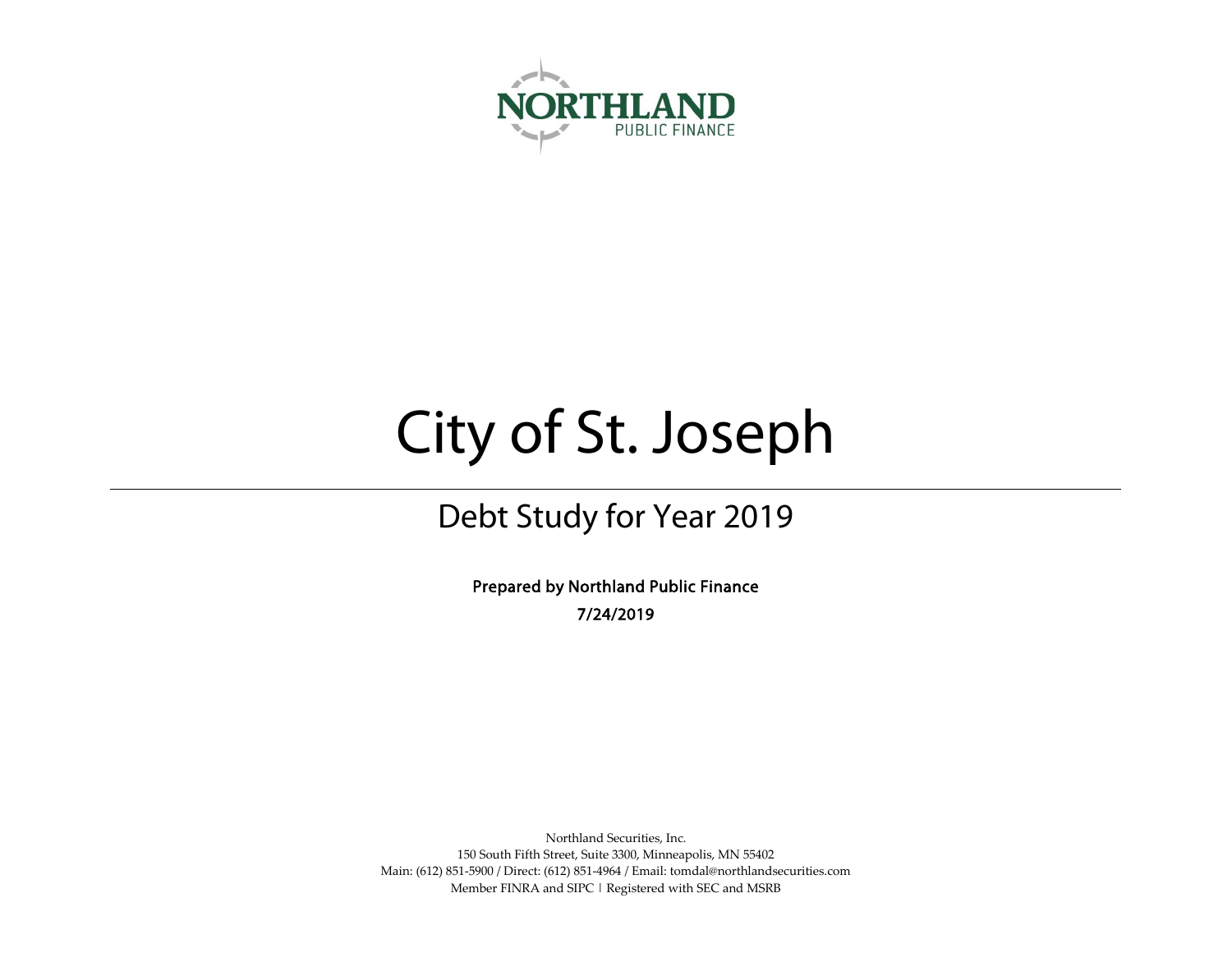

# City of St. Joseph

# Debt Study for Year 2019

Prepared by Northland Public Finance 7/24/2019

Northland Securities, Inc. 150 South Fifth Street, Suite 3300, Minneapolis, MN 55402 Main: (612) 851-5900 / Direct: (612) 851-4964 / Email: tomdal@northlandsecurities.com Member FINRA and SIPC | Registered with SEC and MSRB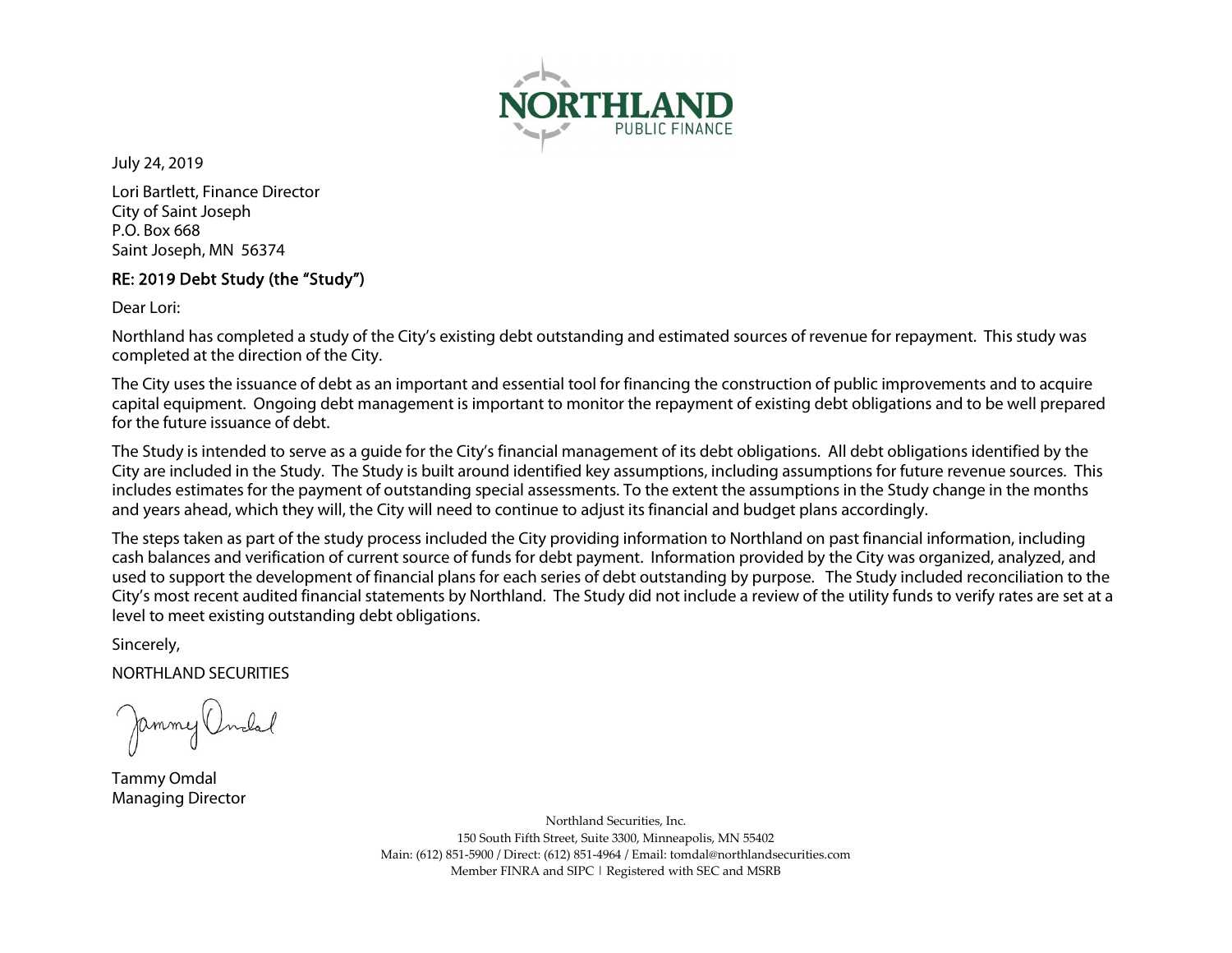

July 24, 2019

Lori Bartlett, Finance Director City of Saint Joseph P.O. Box 668 Saint Joseph, MN 56374

# RE: 2019 Debt Study (the "Study")

Dear Lori:

Northland has completed a study of the City's existing debt outstanding and estimated sources of revenue for repayment. This study was completed at the direction of the City.

The City uses the issuance of debt as an important and essential tool for financing the construction of public improvements and to acquire capital equipment. Ongoing debt management is important to monitor the repayment of existing debt obligations and to be well prepared for the future issuance of debt.

The Study is intended to serve as a guide for the City's financial management of its debt obligations. All debt obligations identified by the City are included in the Study. The Study is built around identified key assumptions, including assumptions for future revenue sources. This includes estimates for the payment of outstanding special assessments. To the extent the assumptions in the Study change in the months and years ahead, which they will, the City will need to continue to adjust its financial and budget plans accordingly.

The steps taken as part of the study process included the City providing information to Northland on past financial information, including cash balances and verification of current source of funds for debt payment. Information provided by the City was organized, analyzed, and used to support the development of financial plans for each series of debt outstanding by purpose. The Study included reconciliation to the City's most recent audited financial statements by Northland. The Study did not include a review of the utility funds to verify rates are set at a level to meet existing outstanding debt obligations.

Sincerely,

NORTHLAND SECURITIES

Jammy Undal

Tammy Omdal Managing Director

Northland Securities, Inc. 150 South Fifth Street, Suite 3300, Minneapolis, MN 55402 Main: (612) 851-5900 / Direct: (612) 851-4964 / Email: tomdal@northlandsecurities.com Member FINRA and SIPC | Registered with SEC and MSRB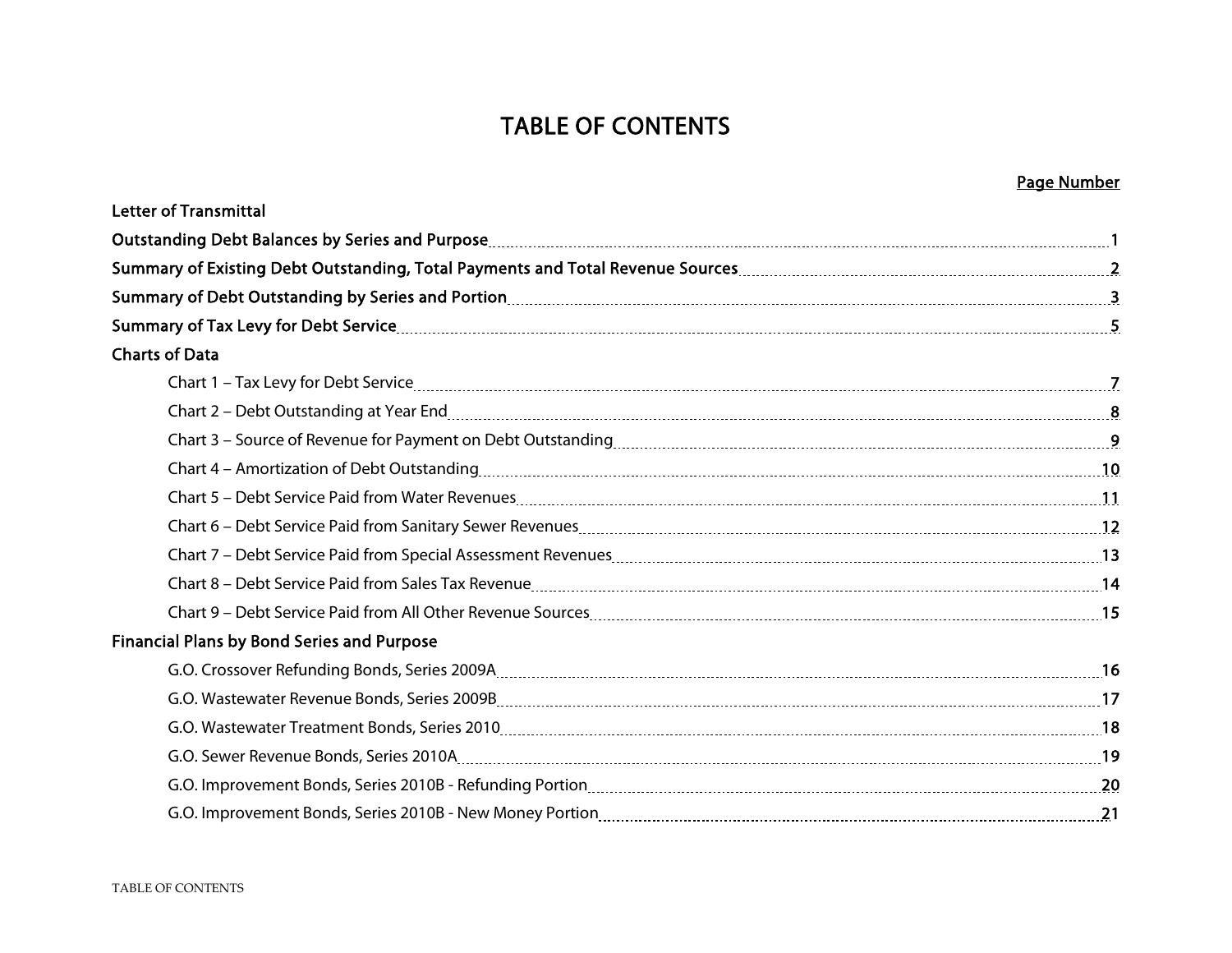# TABLE OF CONTENTS

|                                                                                                                                                                                                                                | Page Number |
|--------------------------------------------------------------------------------------------------------------------------------------------------------------------------------------------------------------------------------|-------------|
| <b>Letter of Transmittal</b>                                                                                                                                                                                                   |             |
|                                                                                                                                                                                                                                |             |
|                                                                                                                                                                                                                                |             |
|                                                                                                                                                                                                                                |             |
|                                                                                                                                                                                                                                |             |
| <b>Charts of Data</b>                                                                                                                                                                                                          |             |
|                                                                                                                                                                                                                                |             |
|                                                                                                                                                                                                                                |             |
|                                                                                                                                                                                                                                |             |
| Chart 4 - Amortization of Debt Outstanding [10] Chart 4 - Amortization of Debt Outstanding [10] Chart 4 - Amortization of Debt Outstanding [10] Chart 4 - Amortization of Debt Outstanding [10] Chart 4 - Amortization of Debt |             |
|                                                                                                                                                                                                                                |             |
|                                                                                                                                                                                                                                |             |
|                                                                                                                                                                                                                                |             |
|                                                                                                                                                                                                                                |             |
|                                                                                                                                                                                                                                |             |
| <b>Financial Plans by Bond Series and Purpose</b>                                                                                                                                                                              |             |
|                                                                                                                                                                                                                                |             |
|                                                                                                                                                                                                                                |             |
|                                                                                                                                                                                                                                |             |
|                                                                                                                                                                                                                                |             |
|                                                                                                                                                                                                                                |             |
|                                                                                                                                                                                                                                |             |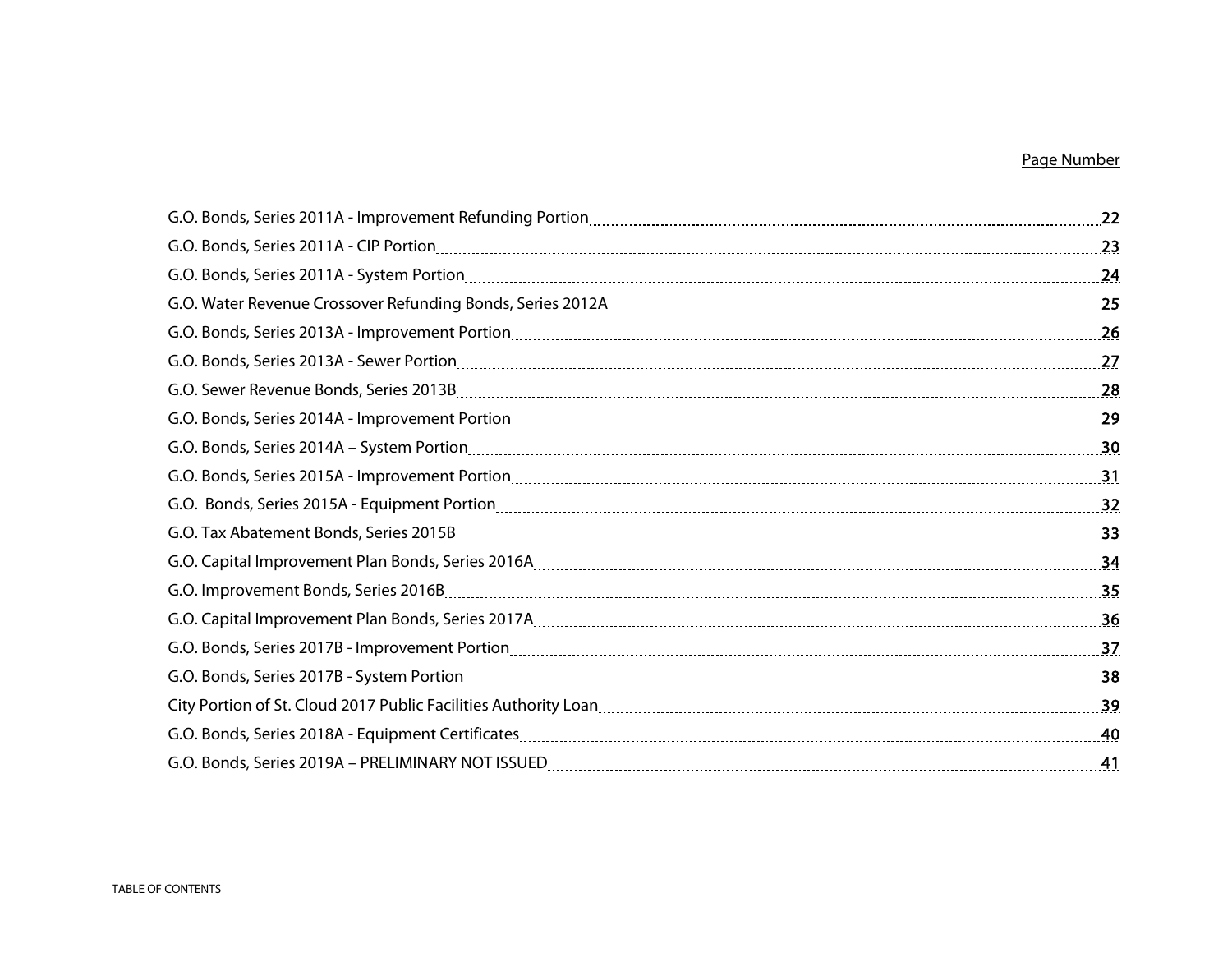# Page Number

| G.O. Bonds, Series 2011A - CIP Portion 23 23                                                                                                                                                                                   |  |
|--------------------------------------------------------------------------------------------------------------------------------------------------------------------------------------------------------------------------------|--|
|                                                                                                                                                                                                                                |  |
|                                                                                                                                                                                                                                |  |
|                                                                                                                                                                                                                                |  |
|                                                                                                                                                                                                                                |  |
|                                                                                                                                                                                                                                |  |
|                                                                                                                                                                                                                                |  |
|                                                                                                                                                                                                                                |  |
|                                                                                                                                                                                                                                |  |
|                                                                                                                                                                                                                                |  |
|                                                                                                                                                                                                                                |  |
|                                                                                                                                                                                                                                |  |
|                                                                                                                                                                                                                                |  |
| G.O. Capital Improvement Plan Bonds, Series 2017A [11] Samman Manuscoff Co.O. Capital Improvement Plan Bonds, Series 2017A [11] Manuscoff Co.C. Capital Improvement Plan Bonds, Series 2017A [11] Manuscoff Co.C. Capital Impr |  |
|                                                                                                                                                                                                                                |  |
|                                                                                                                                                                                                                                |  |
|                                                                                                                                                                                                                                |  |
|                                                                                                                                                                                                                                |  |
|                                                                                                                                                                                                                                |  |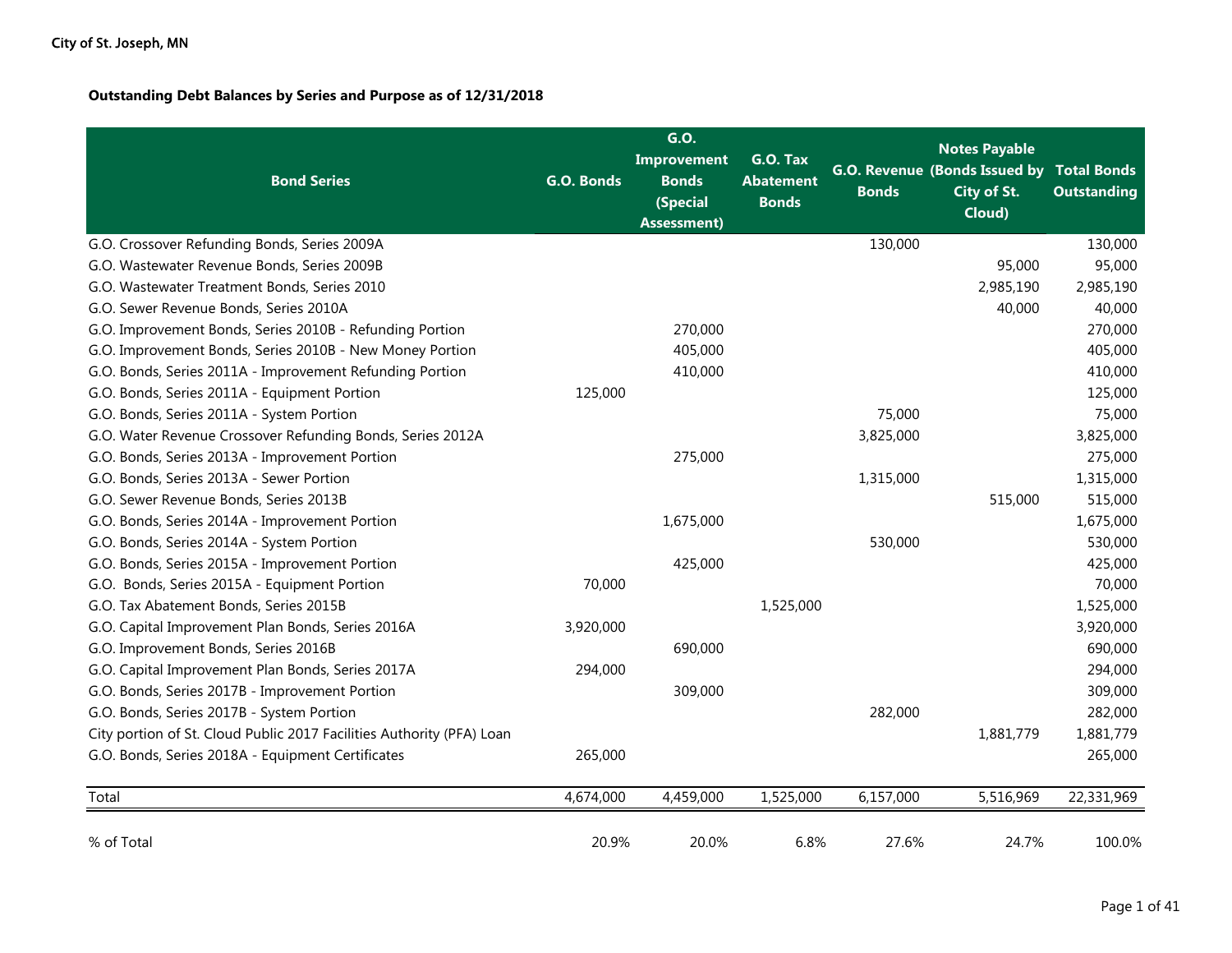## **Outstanding Debt Balances by Series and Purpose as of 12/31/2018**

| <b>Bond Series</b>                                                    | G.O. Bonds | G.O.<br><b>Improvement</b><br><b>Bonds</b><br>(Special<br><b>Assessment</b> ) | G.O. Tax<br><b>Abatement</b><br><b>Bonds</b> | <b>Bonds</b> | <b>Notes Payable</b><br>G.O. Revenue (Bonds Issued by Total Bonds<br>City of St.<br>Cloud) | <b>Outstanding</b> |
|-----------------------------------------------------------------------|------------|-------------------------------------------------------------------------------|----------------------------------------------|--------------|--------------------------------------------------------------------------------------------|--------------------|
| G.O. Crossover Refunding Bonds, Series 2009A                          |            |                                                                               |                                              | 130,000      |                                                                                            | 130,000            |
| G.O. Wastewater Revenue Bonds, Series 2009B                           |            |                                                                               |                                              |              | 95,000                                                                                     | 95,000             |
| G.O. Wastewater Treatment Bonds, Series 2010                          |            |                                                                               |                                              |              | 2,985,190                                                                                  | 2,985,190          |
| G.O. Sewer Revenue Bonds, Series 2010A                                |            |                                                                               |                                              |              | 40,000                                                                                     | 40,000             |
| G.O. Improvement Bonds, Series 2010B - Refunding Portion              |            | 270,000                                                                       |                                              |              |                                                                                            | 270,000            |
| G.O. Improvement Bonds, Series 2010B - New Money Portion              |            | 405,000                                                                       |                                              |              |                                                                                            | 405,000            |
| G.O. Bonds, Series 2011A - Improvement Refunding Portion              |            | 410,000                                                                       |                                              |              |                                                                                            | 410,000            |
| G.O. Bonds, Series 2011A - Equipment Portion                          | 125,000    |                                                                               |                                              |              |                                                                                            | 125,000            |
| G.O. Bonds, Series 2011A - System Portion                             |            |                                                                               |                                              | 75,000       |                                                                                            | 75,000             |
| G.O. Water Revenue Crossover Refunding Bonds, Series 2012A            |            |                                                                               |                                              | 3,825,000    |                                                                                            | 3,825,000          |
| G.O. Bonds, Series 2013A - Improvement Portion                        |            | 275,000                                                                       |                                              |              |                                                                                            | 275,000            |
| G.O. Bonds, Series 2013A - Sewer Portion                              |            |                                                                               |                                              | 1,315,000    |                                                                                            | 1,315,000          |
| G.O. Sewer Revenue Bonds, Series 2013B                                |            |                                                                               |                                              |              | 515,000                                                                                    | 515,000            |
| G.O. Bonds, Series 2014A - Improvement Portion                        |            | 1,675,000                                                                     |                                              |              |                                                                                            | 1,675,000          |
| G.O. Bonds, Series 2014A - System Portion                             |            |                                                                               |                                              | 530,000      |                                                                                            | 530,000            |
| G.O. Bonds, Series 2015A - Improvement Portion                        |            | 425,000                                                                       |                                              |              |                                                                                            | 425,000            |
| G.O. Bonds, Series 2015A - Equipment Portion                          | 70,000     |                                                                               |                                              |              |                                                                                            | 70,000             |
| G.O. Tax Abatement Bonds, Series 2015B                                |            |                                                                               | 1,525,000                                    |              |                                                                                            | 1,525,000          |
| G.O. Capital Improvement Plan Bonds, Series 2016A                     | 3,920,000  |                                                                               |                                              |              |                                                                                            | 3,920,000          |
| G.O. Improvement Bonds, Series 2016B                                  |            | 690,000                                                                       |                                              |              |                                                                                            | 690,000            |
| G.O. Capital Improvement Plan Bonds, Series 2017A                     | 294,000    |                                                                               |                                              |              |                                                                                            | 294,000            |
| G.O. Bonds, Series 2017B - Improvement Portion                        |            | 309,000                                                                       |                                              |              |                                                                                            | 309,000            |
| G.O. Bonds, Series 2017B - System Portion                             |            |                                                                               |                                              | 282,000      |                                                                                            | 282,000            |
| City portion of St. Cloud Public 2017 Facilities Authority (PFA) Loan |            |                                                                               |                                              |              | 1,881,779                                                                                  | 1,881,779          |
| G.O. Bonds, Series 2018A - Equipment Certificates                     | 265,000    |                                                                               |                                              |              |                                                                                            | 265,000            |
| Total                                                                 | 4,674,000  | 4,459,000                                                                     | 1,525,000                                    | 6,157,000    | 5,516,969                                                                                  | 22,331,969         |
| % of Total                                                            | 20.9%      | 20.0%                                                                         | 6.8%                                         | 27.6%        | 24.7%                                                                                      | 100.0%             |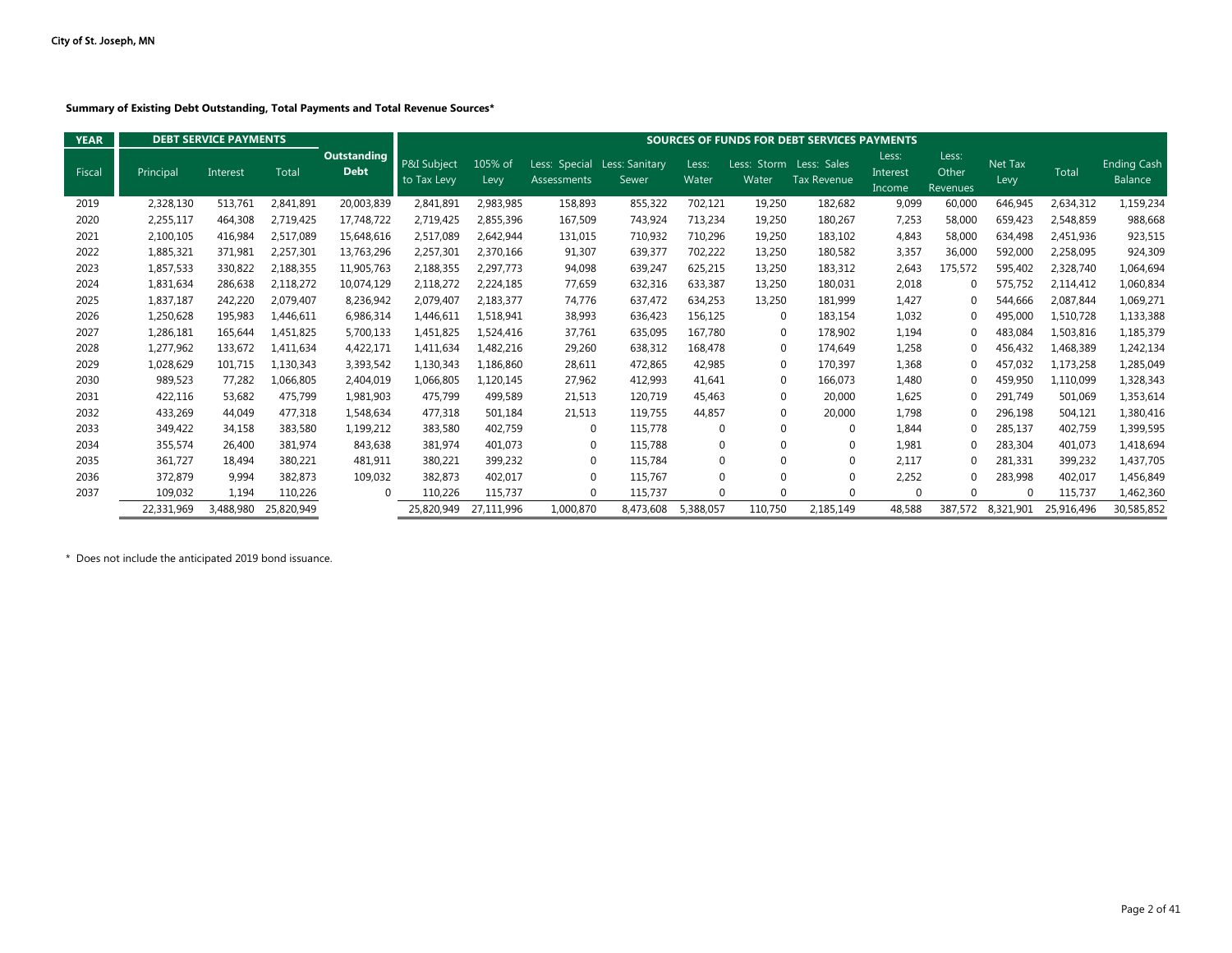**Summary of Existing Debt Outstanding, Total Payments and Total Revenue Sources\***

| <b>YEAR</b> |            | <b>DEBT SERVICE PAYMENTS</b> |              |                                   |                            |                 |                              |                         |                |                      | <b>SOURCES OF FUNDS FOR DEBT SERVICES PAYMENTS</b> |                             |                            |                 |              |                               |
|-------------|------------|------------------------------|--------------|-----------------------------------|----------------------------|-----------------|------------------------------|-------------------------|----------------|----------------------|----------------------------------------------------|-----------------------------|----------------------------|-----------------|--------------|-------------------------------|
| Fiscal      | Principal  | Interest                     | <b>Total</b> | <b>Outstanding</b><br><b>Debt</b> | P&I Subject<br>to Tax Levy | 105% of<br>Levy | Less: Special<br>Assessments | Less: Sanitary<br>Sewer | Less:<br>Water | Less: Storm<br>Water | Less: Sales<br><b>Tax Revenue</b>                  | Less:<br>Interest<br>Income | Less:<br>Other<br>Revenues | Net Tax<br>Levy | <b>Total</b> | <b>Ending Cash</b><br>Balance |
| 2019        | 2,328,130  | 513,761                      | 2,841,891    | 20,003,839                        | 2,841,891                  | 2,983,985       | 158,893                      | 855,322                 | 702,121        | 19,250               | 182,682                                            | 9,099                       | 60,000                     | 646,945         | 2,634,312    | 1,159,234                     |
| 2020        | 2,255,117  | 464,308                      | 2,719,425    | 17,748,722                        | 2,719,425                  | 2,855,396       | 167,509                      | 743,924                 | 713,234        | 19,250               | 180,267                                            | 7,253                       | 58,000                     | 659,423         | 2,548,859    | 988,668                       |
| 2021        | 2,100,105  | 416,984                      | 2,517,089    | 15,648,616                        | 2,517,089                  | 2,642,944       | 131,015                      | 710,932                 | 710,296        | 19,250               | 183,102                                            | 4,843                       | 58,000                     | 634,498         | 2,451,936    | 923,515                       |
| 2022        | 1,885,321  | 371,981                      | 2,257,301    | 13,763,296                        | 2,257,301                  | 2,370,166       | 91,307                       | 639,377                 | 702,222        | 13,250               | 180,582                                            | 3,357                       | 36,000                     | 592,000         | 2,258,095    | 924,309                       |
| 2023        | 1,857,533  | 330,822                      | 2,188,355    | 11,905,763                        | 2,188,355                  | 2,297,773       | 94,098                       | 639,247                 | 625,215        | 13,250               | 183,312                                            | 2,643                       | 175,572                    | 595,402         | 2,328,740    | 1,064,694                     |
| 2024        | 1,831,634  | 286,638                      | 2,118,272    | 10,074,129                        | 2,118,272                  | 2,224,185       | 77,659                       | 632,316                 | 633,387        | 13,250               | 180,031                                            | 2,018                       | 0                          | 575,752         | 2,114,412    | 1,060,834                     |
| 2025        | 1,837,187  | 242,220                      | 2.079.407    | 8,236,942                         | 2,079,407                  | 2,183,377       | 74.776                       | 637.472                 | 634,253        | 13,250               | 181,999                                            | 1,427                       | $\Omega$                   | 544.666         | 2.087.844    | 1,069,271                     |
| 2026        | 1,250,628  | 195,983                      | 1,446,611    | 6,986,314                         | 1,446,611                  | 1,518,941       | 38,993                       | 636,423                 | 156,125        | $\Omega$             | 183,154                                            | 1,032                       | $\Omega$                   | 495,000         | 1,510,728    | 1,133,388                     |
| 2027        | 1,286,181  | 165.644                      | 1,451,825    | 5,700,133                         | 1,451,825                  | 1.524.416       | 37.761                       | 635,095                 | 167,780        | $\mathbf 0$          | 178,902                                            | 1,194                       | $\Omega$                   | 483.084         | 1,503,816    | 1,185,379                     |
| 2028        | 1,277,962  | 133.672                      | 1,411,634    | 4,422,171                         | 1,411,634                  | 1,482,216       | 29,260                       | 638,312                 | 168.478        | $\Omega$             | 174.649                                            | 1,258                       | $\Omega$                   | 456,432         | 1,468,389    | 1,242,134                     |
| 2029        | 1,028,629  | 101,715                      | 1,130,343    | 3,393,542                         | 1,130,343                  | 1,186,860       | 28,611                       | 472,865                 | 42,985         | $\Omega$             | 170,397                                            | 1,368                       | $\Omega$                   | 457.032         | 1,173,258    | 1,285,049                     |
| 2030        | 989,523    | 77.282                       | 1,066,805    | 2.404.019                         | 1,066,805                  | 1,120,145       | 27,962                       | 412,993                 | 41,641         | $\Omega$             | 166,073                                            | 1,480                       | $\Omega$                   | 459,950         | 1,110,099    | 1,328,343                     |
| 2031        | 422,116    | 53.682                       | 475,799      | 1,981,903                         | 475,799                    | 499,589         | 21,513                       | 120,719                 | 45.463         | $\Omega$             | 20,000                                             | 1,625                       | 0                          | 291,749         | 501,069      | 1,353,614                     |
| 2032        | 433,269    | 44.049                       | 477,318      | 1.548.634                         | 477.318                    | 501.184         | 21,513                       | 119.755                 | 44,857         | $\mathbf 0$          | 20,000                                             | 1.798                       | $\Omega$                   | 296,198         | 504.121      | 1,380,416                     |
| 2033        | 349,422    | 34,158                       | 383,580      | 1,199,212                         | 383,580                    | 402,759         | $\Omega$                     | 115,778                 | 0              | $\Omega$             | $\Omega$                                           | 1,844                       | $\Omega$                   | 285,137         | 402,759      | 1,399,595                     |
| 2034        | 355,574    | 26.400                       | 381.974      | 843,638                           | 381,974                    | 401,073         | $\Omega$                     | 115,788                 | $\mathbf 0$    | $\Omega$             | $\Omega$                                           | 1.981                       | $\Omega$                   | 283,304         | 401.073      | 1,418,694                     |
| 2035        | 361,727    | 18.494                       | 380,221      | 481,911                           | 380,221                    | 399,232         | $\Omega$                     | 115,784                 | $\mathbf 0$    | $\Omega$             | $\Omega$                                           | 2.117                       | $\Omega$                   | 281,331         | 399,232      | 1,437,705                     |
| 2036        | 372,879    | 9,994                        | 382,873      | 109,032                           | 382,873                    | 402,017         | $\Omega$                     | 115.767                 | $\mathbf 0$    | $\Omega$             | $\Omega$                                           | 2.252                       | $\Omega$                   | 283.998         | 402.017      | 1,456,849                     |
| 2037        | 109,032    | 1,194                        | 110,226      | $\Omega$                          | 110,226                    | 115.737         | $\Omega$                     | 115,737                 | $\Omega$       | $\Omega$             | $\Omega$                                           | $\Omega$                    | $\Omega$                   | $\Omega$        | 115.737      | 1,462,360                     |
|             | 22,331,969 | 3,488,980                    | 25,820,949   |                                   | 25,820,949                 | 27,111,996      | 1,000,870                    | 8,473,608               | 5,388,057      | 110,750              | 2,185,149                                          | 48.588                      | 387.572                    | 8,321,901       | 25,916,496   | 30,585,852                    |

\* Does not include the anticipated 2019 bond issuance.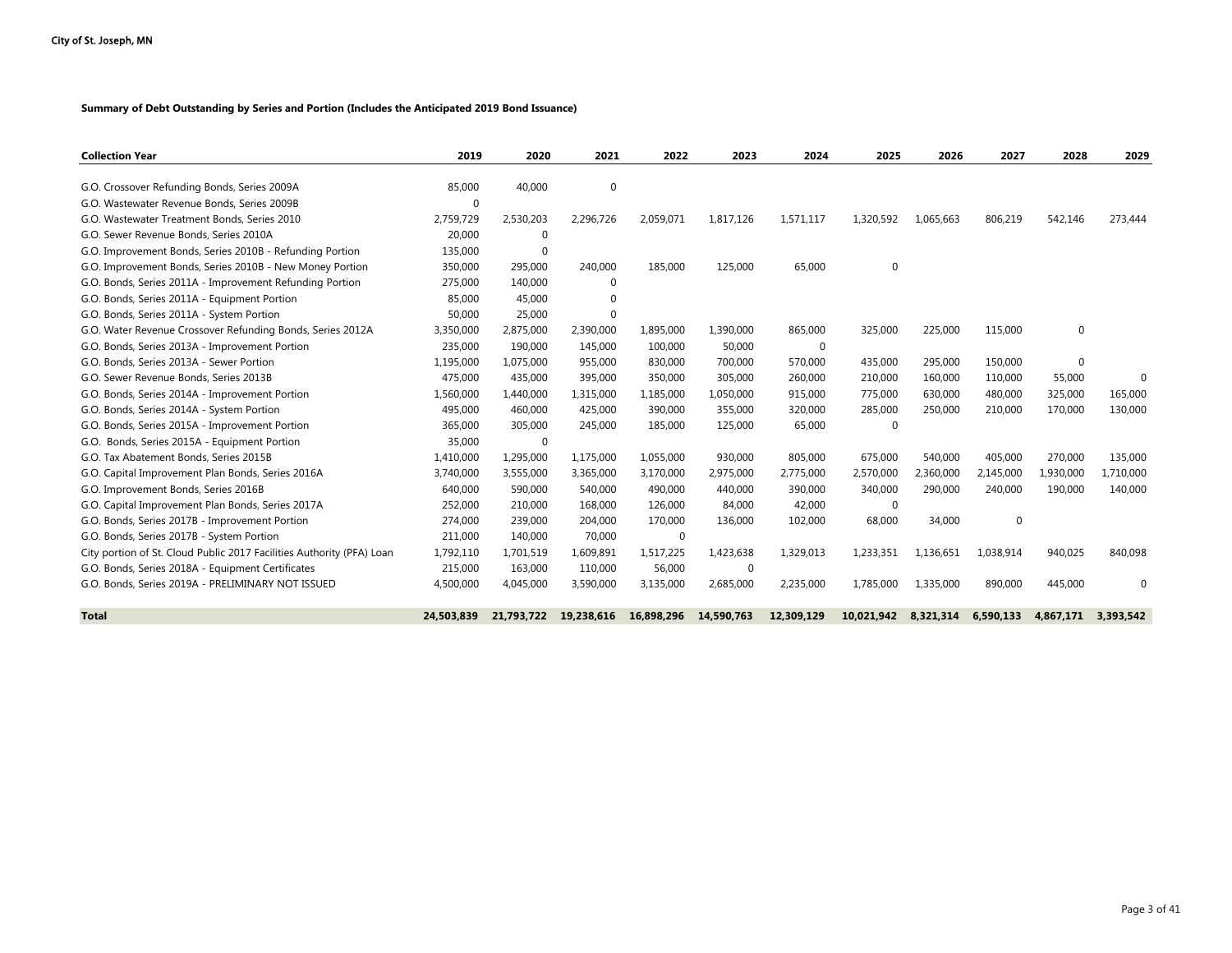#### **Summary of Debt Outstanding by Series and Portion (Includes the Anticipated 2019 Bond Issuance)**

| <b>Collection Year</b>                                                | 2019       | 2020        | 2021        | 2022        | 2023        | 2024        | 2025        | 2026      | 2027        | 2028         | 2029      |
|-----------------------------------------------------------------------|------------|-------------|-------------|-------------|-------------|-------------|-------------|-----------|-------------|--------------|-----------|
|                                                                       |            |             |             |             |             |             |             |           |             |              |           |
| G.O. Crossover Refunding Bonds, Series 2009A                          | 85,000     | 40,000      | 0           |             |             |             |             |           |             |              |           |
| G.O. Wastewater Revenue Bonds, Series 2009B                           | $\Omega$   |             |             |             |             |             |             |           |             |              |           |
| G.O. Wastewater Treatment Bonds, Series 2010                          | 2,759,729  | 2,530,203   | 2,296,726   | 2,059,071   | 1,817,126   | 1,571,117   | 1,320,592   | 1,065,663 | 806,219     | 542,146      | 273,444   |
| G.O. Sewer Revenue Bonds, Series 2010A                                | 20,000     | $\mathbf 0$ |             |             |             |             |             |           |             |              |           |
| G.O. Improvement Bonds, Series 2010B - Refunding Portion              | 135,000    | $\Omega$    |             |             |             |             |             |           |             |              |           |
| G.O. Improvement Bonds, Series 2010B - New Money Portion              | 350,000    | 295,000     | 240,000     | 185,000     | 125,000     | 65,000      | $\mathbf 0$ |           |             |              |           |
| G.O. Bonds, Series 2011A - Improvement Refunding Portion              | 275,000    | 140,000     | $\mathbf 0$ |             |             |             |             |           |             |              |           |
| G.O. Bonds, Series 2011A - Equipment Portion                          | 85,000     | 45,000      | $\Omega$    |             |             |             |             |           |             |              |           |
| G.O. Bonds, Series 2011A - System Portion                             | 50,000     | 25,000      | $\mathbf 0$ |             |             |             |             |           |             |              |           |
| G.O. Water Revenue Crossover Refunding Bonds, Series 2012A            | 3,350,000  | 2,875,000   | 2,390,000   | 1,895,000   | 1,390,000   | 865,000     | 325,000     | 225,000   | 115,000     | 0            |           |
| G.O. Bonds, Series 2013A - Improvement Portion                        | 235,000    | 190,000     | 145.000     | 100,000     | 50,000      | $\mathbf 0$ |             |           |             |              |           |
| G.O. Bonds, Series 2013A - Sewer Portion                              | 1,195,000  | 1,075,000   | 955,000     | 830,000     | 700,000     | 570,000     | 435,000     | 295,000   | 150,000     | $\mathbf{0}$ |           |
| G.O. Sewer Revenue Bonds, Series 2013B                                | 475,000    | 435,000     | 395,000     | 350,000     | 305,000     | 260,000     | 210,000     | 160,000   | 110,000     | 55,000       | $\Omega$  |
| G.O. Bonds, Series 2014A - Improvement Portion                        | 1,560,000  | 1,440,000   | 1,315,000   | 1,185,000   | 1,050,000   | 915,000     | 775,000     | 630.000   | 480,000     | 325,000      | 165,000   |
| G.O. Bonds, Series 2014A - System Portion                             | 495,000    | 460,000     | 425,000     | 390,000     | 355,000     | 320,000     | 285,000     | 250,000   | 210,000     | 170,000      | 130,000   |
| G.O. Bonds, Series 2015A - Improvement Portion                        | 365,000    | 305,000     | 245,000     | 185,000     | 125,000     | 65,000      | $\Omega$    |           |             |              |           |
| G.O. Bonds, Series 2015A - Equipment Portion                          | 35,000     | 0           |             |             |             |             |             |           |             |              |           |
| G.O. Tax Abatement Bonds, Series 2015B                                | 1,410,000  | 1,295,000   | 1,175,000   | 1,055,000   | 930,000     | 805,000     | 675,000     | 540,000   | 405,000     | 270,000      | 135,000   |
| G.O. Capital Improvement Plan Bonds, Series 2016A                     | 3,740,000  | 3,555,000   | 3,365,000   | 3,170,000   | 2,975,000   | 2,775,000   | 2,570,000   | 2,360,000 | 2,145,000   | 1,930,000    | 1,710,000 |
| G.O. Improvement Bonds, Series 2016B                                  | 640,000    | 590,000     | 540,000     | 490,000     | 440,000     | 390,000     | 340,000     | 290,000   | 240,000     | 190,000      | 140,000   |
| G.O. Capital Improvement Plan Bonds, Series 2017A                     | 252,000    | 210,000     | 168,000     | 126,000     | 84,000      | 42,000      | 0           |           |             |              |           |
| G.O. Bonds, Series 2017B - Improvement Portion                        | 274,000    | 239,000     | 204,000     | 170,000     | 136,000     | 102,000     | 68,000      | 34,000    | $\mathbf 0$ |              |           |
| G.O. Bonds, Series 2017B - System Portion                             | 211,000    | 140,000     | 70,000      | $\mathbf 0$ |             |             |             |           |             |              |           |
| City portion of St. Cloud Public 2017 Facilities Authority (PFA) Loan | 1,792,110  | 1,701,519   | 1,609,891   | 1,517,225   | 1,423,638   | 1,329,013   | 1,233,351   | 1,136,651 | 1,038,914   | 940,025      | 840,098   |
| G.O. Bonds, Series 2018A - Equipment Certificates                     | 215,000    | 163,000     | 110,000     | 56,000      | $\mathbf 0$ |             |             |           |             |              |           |
| G.O. Bonds, Series 2019A - PRELIMINARY NOT ISSUED                     | 4,500,000  | 4,045,000   | 3,590,000   | 3,135,000   | 2,685,000   | 2,235,000   | 1.785.000   | 1.335.000 | 890,000     | 445,000      | $\Omega$  |
| <b>Total</b>                                                          | 24,503,839 | 21,793,722  | 19,238,616  | 16,898,296  | 14,590,763  | 12,309,129  | 10,021,942  | 8,321,314 | 6,590,133   | 4,867,171    | 3.393.542 |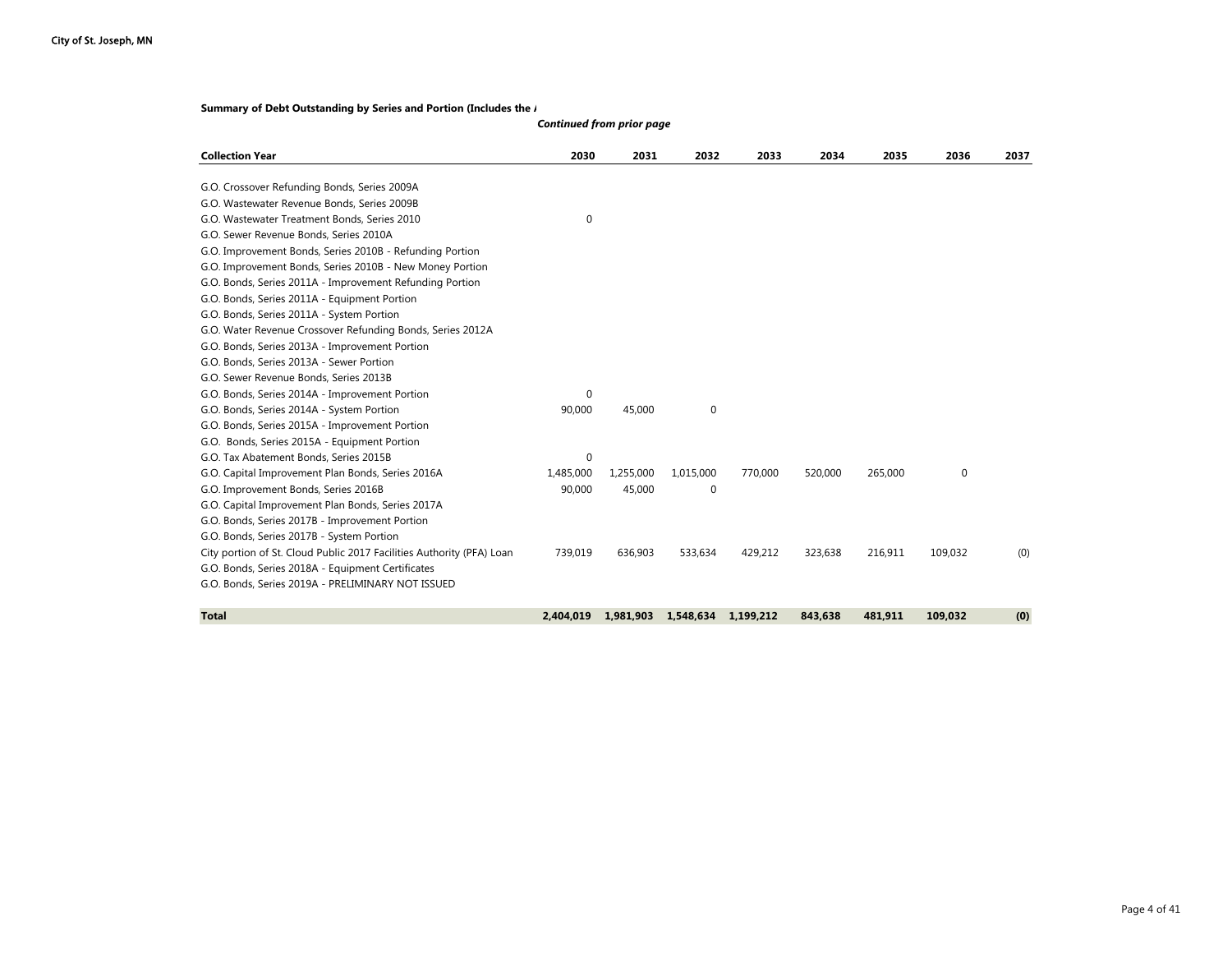#### **Summary of Debt Outstanding by Series and Portion (Includes the** *I*

| <b>Collection Year</b>                                                | 2030        | 2031      | 2032        | 2033      | 2034    | 2035    | 2036    | 2037 |
|-----------------------------------------------------------------------|-------------|-----------|-------------|-----------|---------|---------|---------|------|
| G.O. Crossover Refunding Bonds, Series 2009A                          |             |           |             |           |         |         |         |      |
| G.O. Wastewater Revenue Bonds, Series 2009B                           |             |           |             |           |         |         |         |      |
| G.O. Wastewater Treatment Bonds, Series 2010                          | $\mathbf 0$ |           |             |           |         |         |         |      |
| G.O. Sewer Revenue Bonds, Series 2010A                                |             |           |             |           |         |         |         |      |
| G.O. Improvement Bonds, Series 2010B - Refunding Portion              |             |           |             |           |         |         |         |      |
| G.O. Improvement Bonds, Series 2010B - New Money Portion              |             |           |             |           |         |         |         |      |
| G.O. Bonds, Series 2011A - Improvement Refunding Portion              |             |           |             |           |         |         |         |      |
| G.O. Bonds, Series 2011A - Equipment Portion                          |             |           |             |           |         |         |         |      |
| G.O. Bonds, Series 2011A - System Portion                             |             |           |             |           |         |         |         |      |
| G.O. Water Revenue Crossover Refunding Bonds, Series 2012A            |             |           |             |           |         |         |         |      |
| G.O. Bonds, Series 2013A - Improvement Portion                        |             |           |             |           |         |         |         |      |
| G.O. Bonds, Series 2013A - Sewer Portion                              |             |           |             |           |         |         |         |      |
| G.O. Sewer Revenue Bonds, Series 2013B                                |             |           |             |           |         |         |         |      |
| G.O. Bonds, Series 2014A - Improvement Portion                        | 0           |           |             |           |         |         |         |      |
| G.O. Bonds, Series 2014A - System Portion                             | 90,000      | 45,000    | $\mathbf 0$ |           |         |         |         |      |
| G.O. Bonds, Series 2015A - Improvement Portion                        |             |           |             |           |         |         |         |      |
| G.O. Bonds, Series 2015A - Equipment Portion                          |             |           |             |           |         |         |         |      |
| G.O. Tax Abatement Bonds, Series 2015B                                | 0           |           |             |           |         |         |         |      |
| G.O. Capital Improvement Plan Bonds, Series 2016A                     | 1,485,000   | 1,255,000 | 1,015,000   | 770,000   | 520,000 | 265,000 | 0       |      |
| G.O. Improvement Bonds, Series 2016B                                  | 90,000      | 45,000    | $\mathbf 0$ |           |         |         |         |      |
| G.O. Capital Improvement Plan Bonds, Series 2017A                     |             |           |             |           |         |         |         |      |
| G.O. Bonds, Series 2017B - Improvement Portion                        |             |           |             |           |         |         |         |      |
| G.O. Bonds, Series 2017B - System Portion                             |             |           |             |           |         |         |         |      |
| City portion of St. Cloud Public 2017 Facilities Authority (PFA) Loan | 739.019     | 636.903   | 533,634     | 429,212   | 323.638 | 216,911 | 109,032 | (0)  |
| G.O. Bonds, Series 2018A - Equipment Certificates                     |             |           |             |           |         |         |         |      |
| G.O. Bonds, Series 2019A - PRELIMINARY NOT ISSUED                     |             |           |             |           |         |         |         |      |
|                                                                       |             |           |             |           |         |         |         |      |
| <b>Total</b>                                                          | 2.404.019   | 1.981.903 | 1,548,634   | 1,199,212 | 843.638 | 481,911 | 109.032 | (0)  |

#### *Continued from prior page*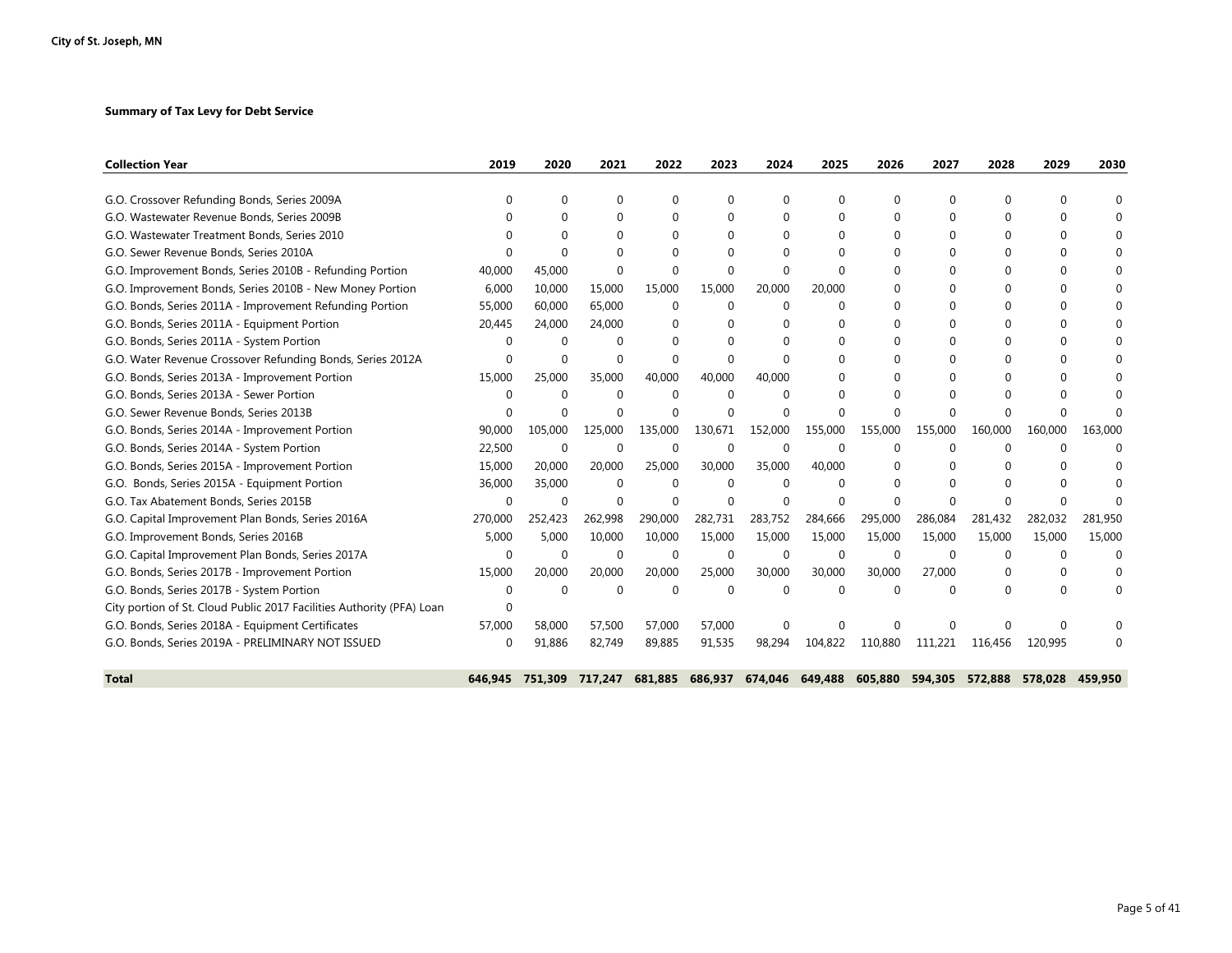#### **Summary of Tax Levy for Debt Service**

| <b>Collection Year</b>                                                | 2019     | 2020        | 2021        | 2022     | 2023     | 2024     | 2025     | 2026        | 2027     | 2028     | 2029     | 2030     |
|-----------------------------------------------------------------------|----------|-------------|-------------|----------|----------|----------|----------|-------------|----------|----------|----------|----------|
| G.O. Crossover Refunding Bonds, Series 2009A                          | 0        | 0           | $\Omega$    | 0        | $\Omega$ |          | $\Omega$ | 0           | 0        | 0        | 0        | $\Omega$ |
| G.O. Wastewater Revenue Bonds, Series 2009B                           |          | 0           | 0           | $\Omega$ |          |          |          | $\Omega$    | 0        | $\Omega$ | 0        |          |
| G.O. Wastewater Treatment Bonds, Series 2010                          | ∩        | $\Omega$    | $\Omega$    | $\Omega$ | $\Omega$ | $\Omega$ | $\Omega$ | $\Omega$    | $\Omega$ | $\Omega$ | $\Omega$ | $\Omega$ |
| G.O. Sewer Revenue Bonds, Series 2010A                                |          | $\Omega$    | $\Omega$    | $\Omega$ |          |          |          |             | Ω        | $\Omega$ | 0        |          |
| G.O. Improvement Bonds, Series 2010B - Refunding Portion              | 40,000   | 45,000      | $\Omega$    | $\Omega$ | $\Omega$ |          | ∩        | 0           | U        | $\Omega$ | 0        | $\Omega$ |
| G.O. Improvement Bonds, Series 2010B - New Money Portion              | 6,000    | 10,000      | 15,000      | 15,000   | 15,000   | 20,000   | 20,000   | 0           | 0        | $\Omega$ | 0        |          |
| G.O. Bonds, Series 2011A - Improvement Refunding Portion              | 55,000   | 60,000      | 65,000      | $\Omega$ | $\Omega$ | $\Omega$ | ∩        | 0           | 0        | 0        | 0        | $\Omega$ |
| G.O. Bonds, Series 2011A - Equipment Portion                          | 20,445   | 24,000      | 24,000      | $\Omega$ |          |          |          | $\Omega$    | 0        | $\Omega$ | 0        |          |
| G.O. Bonds, Series 2011A - System Portion                             | $\Omega$ | $\Omega$    | $\Omega$    | $\Omega$ |          |          |          | $\Omega$    | 0        | $\Omega$ | 0        | $\Omega$ |
| G.O. Water Revenue Crossover Refunding Bonds, Series 2012A            | 0        | $\Omega$    | $\Omega$    | $\Omega$ | $\Omega$ |          |          | 0           | 0        | 0        | 0        |          |
| G.O. Bonds, Series 2013A - Improvement Portion                        | 15,000   | 25,000      | 35,000      | 40,000   | 40,000   | 40,000   | $\Omega$ | $\Omega$    | $\Omega$ | $\Omega$ | $\Omega$ | $\Omega$ |
| G.O. Bonds, Series 2013A - Sewer Portion                              | $\Omega$ | $\Omega$    | $\Omega$    | $\Omega$ | $\Omega$ |          |          |             | Ω        | $\Omega$ | 0        |          |
| G.O. Sewer Revenue Bonds, Series 2013B                                | n        | $\Omega$    | $\Omega$    | $\Omega$ | $\Omega$ |          |          | $\Omega$    | ∩        | $\Omega$ | U        |          |
| G.O. Bonds, Series 2014A - Improvement Portion                        | 90,000   | 105,000     | 125,000     | 135,000  | 130.671  | 152.000  | 155,000  | 155,000     | 155,000  | 160,000  | 160,000  | 163,000  |
| G.O. Bonds, Series 2014A - System Portion                             | 22,500   | $\mathbf 0$ | 0           | 0        | $\Omega$ |          | $\Omega$ | 0           | Ω        | $\Omega$ | 0        | $\Omega$ |
| G.O. Bonds, Series 2015A - Improvement Portion                        | 15,000   | 20,000      | 20,000      | 25,000   | 30,000   | 35,000   | 40.000   |             | $\Omega$ | $\Omega$ | U        |          |
| G.O. Bonds, Series 2015A - Equipment Portion                          | 36,000   | 35,000      | $\mathbf 0$ | $\Omega$ | $\Omega$ | $\Omega$ | $\Omega$ |             |          | $\Omega$ |          |          |
| G.O. Tax Abatement Bonds, Series 2015B                                | $\Omega$ | $\Omega$    | $\Omega$    | $\Omega$ | $\Omega$ | $\Omega$ | $\Omega$ | $\Omega$    | $\Omega$ | $\Omega$ | 0        |          |
| G.O. Capital Improvement Plan Bonds, Series 2016A                     | 270,000  | 252,423     | 262,998     | 290,000  | 282,731  | 283,752  | 284,666  | 295,000     | 286,084  | 281,432  | 282,032  | 281,950  |
| G.O. Improvement Bonds, Series 2016B                                  | 5,000    | 5,000       | 10,000      | 10,000   | 15,000   | 15,000   | 15,000   | 15,000      | 15,000   | 15,000   | 15,000   | 15,000   |
| G.O. Capital Improvement Plan Bonds, Series 2017A                     | $\Omega$ | $\Omega$    | $\Omega$    | $\Omega$ | $\Omega$ | $\Omega$ | $\Omega$ | $\mathbf 0$ | $\Omega$ | $\Omega$ | $\Omega$ | $\Omega$ |
| G.O. Bonds, Series 2017B - Improvement Portion                        | 15,000   | 20,000      | 20,000      | 20,000   | 25,000   | 30,000   | 30.000   | 30,000      | 27.000   | 0        | 0        | $\Omega$ |
| G.O. Bonds, Series 2017B - System Portion                             | $\Omega$ | $\Omega$    | $\Omega$    | $\Omega$ | $\Omega$ | $\Omega$ | $\cap$   | $\Omega$    | U        | $\Omega$ | 0        | $\Omega$ |
| City portion of St. Cloud Public 2017 Facilities Authority (PFA) Loan | 0        |             |             |          |          |          |          |             |          |          |          |          |
| G.O. Bonds, Series 2018A - Equipment Certificates                     | 57,000   | 58,000      | 57,500      | 57,000   | 57,000   |          |          | 0           |          |          | U        |          |
| G.O. Bonds, Series 2019A - PRELIMINARY NOT ISSUED                     | 0        | 91,886      | 82,749      | 89,885   | 91,535   | 98,294   | 104,822  | 110,880     | 111.221  | 116.456  | 120.995  |          |
| <b>Total</b>                                                          | 646.945  | 751.309     | 717.247     | 681.885  | 686.937  | 674.046  | 649,488  | 605,880     | 594,305  | 572.888  | 578.028  | 459.950  |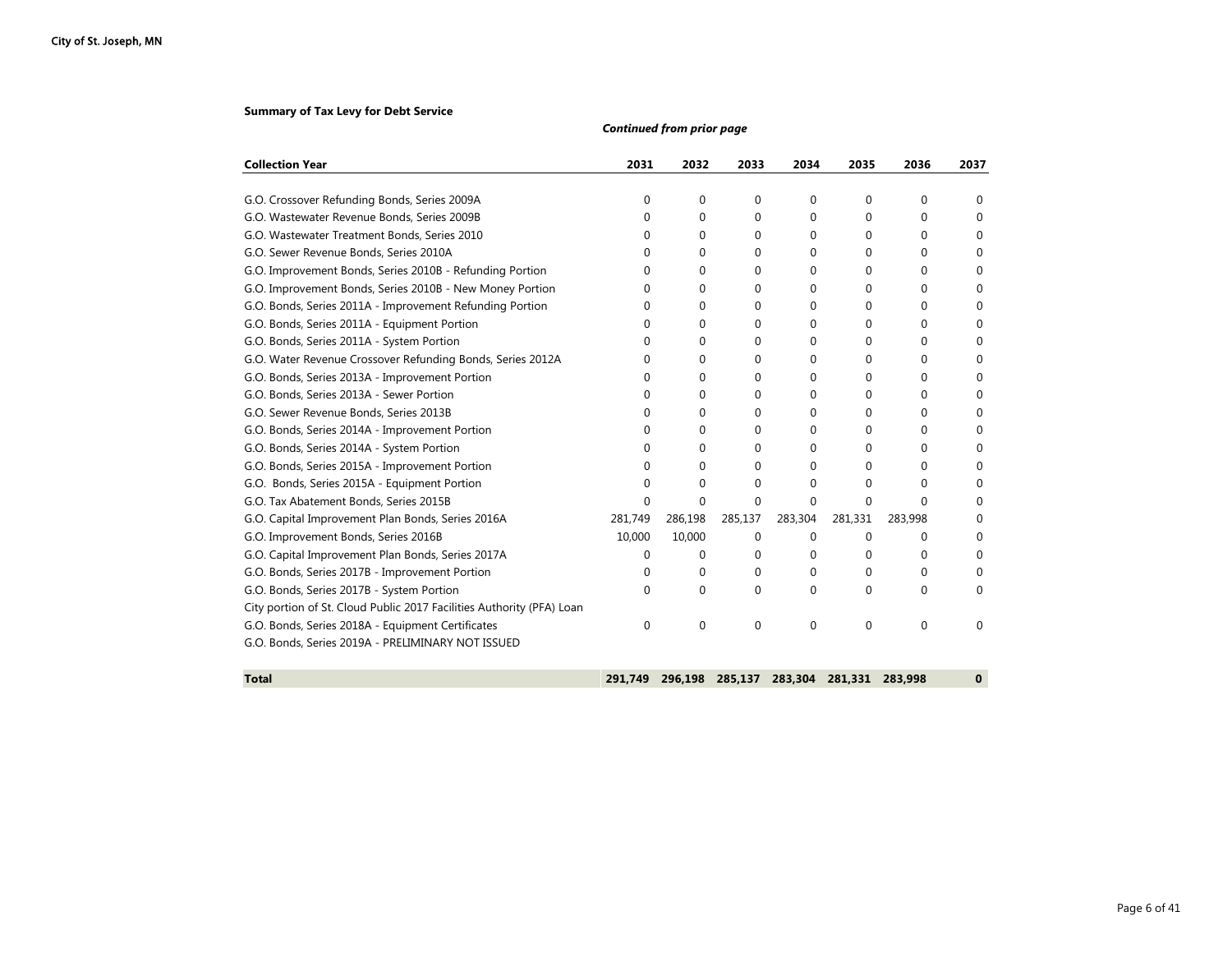#### **Summary of Tax Levy for Debt Service**

| <b>Collection Year</b>                                                | 2031    | 2032        | 2033        | 2034        | 2035        | 2036     | 2037     |
|-----------------------------------------------------------------------|---------|-------------|-------------|-------------|-------------|----------|----------|
| G.O. Crossover Refunding Bonds, Series 2009A                          | 0       | $\Omega$    | 0           | $\Omega$    | 0           | $\Omega$ | 0        |
| G.O. Wastewater Revenue Bonds, Series 2009B                           | 0       | 0           | 0           | 0           | 0           | $\Omega$ | 0        |
| G.O. Wastewater Treatment Bonds, Series 2010                          | 0       | 0           | 0           | 0           | 0           | 0        | 0        |
| G.O. Sewer Revenue Bonds, Series 2010A                                | 0       | 0           | 0           | 0           | 0           | 0        | 0        |
| G.O. Improvement Bonds, Series 2010B - Refunding Portion              | 0       | 0           | 0           | 0           | 0           | 0        | 0        |
| G.O. Improvement Bonds, Series 2010B - New Money Portion              | 0       | 0           | 0           | 0           | 0           | 0        | 0        |
| G.O. Bonds, Series 2011A - Improvement Refunding Portion              | 0       | $\Omega$    | 0           | 0           | 0           | $\Omega$ | 0        |
| G.O. Bonds, Series 2011A - Equipment Portion                          | 0       | $\Omega$    | 0           | 0           | 0           | 0        | 0        |
| G.O. Bonds, Series 2011A - System Portion                             | 0       | 0           | 0           | 0           | 0           | 0        | 0        |
| G.O. Water Revenue Crossover Refunding Bonds, Series 2012A            | 0       | 0           | 0           | 0           | 0           | 0        | 0        |
| G.O. Bonds, Series 2013A - Improvement Portion                        | 0       | 0           | 0           | 0           | 0           | 0        | 0        |
| G.O. Bonds, Series 2013A - Sewer Portion                              | 0       | 0           | 0           | 0           | 0           | 0        | 0        |
| G.O. Sewer Revenue Bonds, Series 2013B                                | 0       | 0           | 0           | 0           | 0           | 0        | 0        |
| G.O. Bonds, Series 2014A - Improvement Portion                        | 0       | 0           | $\Omega$    | 0           | 0           | 0        | 0        |
| G.O. Bonds, Series 2014A - System Portion                             | 0       | $\Omega$    | 0           | 0           | $\Omega$    | 0        | 0        |
| G.O. Bonds, Series 2015A - Improvement Portion                        | 0       | 0           | $\Omega$    | $\Omega$    | 0           | 0        | 0        |
| G.O. Bonds, Series 2015A - Equipment Portion                          | 0       | 0           | $\mathbf 0$ | 0           | 0           | $\Omega$ | 0        |
| G.O. Tax Abatement Bonds, Series 2015B                                | 0       | 0           | 0           | $\Omega$    | 0           | $\Omega$ | 0        |
| G.O. Capital Improvement Plan Bonds, Series 2016A                     | 281,749 | 286,198     | 285,137     | 283,304     | 281,331     | 283,998  | 0        |
| G.O. Improvement Bonds, Series 2016B                                  | 10,000  | 10,000      | 0           | $\mathbf 0$ | $\mathbf 0$ | $\Omega$ | 0        |
| G.O. Capital Improvement Plan Bonds, Series 2017A                     | 0       | $\Omega$    | 0           | 0           | 0           | 0        | 0        |
| G.O. Bonds, Series 2017B - Improvement Portion                        | 0       | $\Omega$    | $\Omega$    | $\Omega$    | 0           | $\Omega$ | 0        |
| G.O. Bonds, Series 2017B - System Portion                             | 0       | $\Omega$    | 0           | 0           | 0           | 0        | 0        |
| City portion of St. Cloud Public 2017 Facilities Authority (PFA) Loan |         |             |             |             |             |          |          |
| G.O. Bonds, Series 2018A - Equipment Certificates                     | 0       | $\mathbf 0$ | $\mathbf 0$ | $\mathbf 0$ | $\mathbf 0$ | $\Omega$ | 0        |
| G.O. Bonds, Series 2019A - PRELIMINARY NOT ISSUED                     |         |             |             |             |             |          |          |
| <b>Total</b>                                                          | 291.749 | 296,198     | 285.137     | 283,304     | 281.331     | 283,998  | $\bf{0}$ |

*Continued from prior page*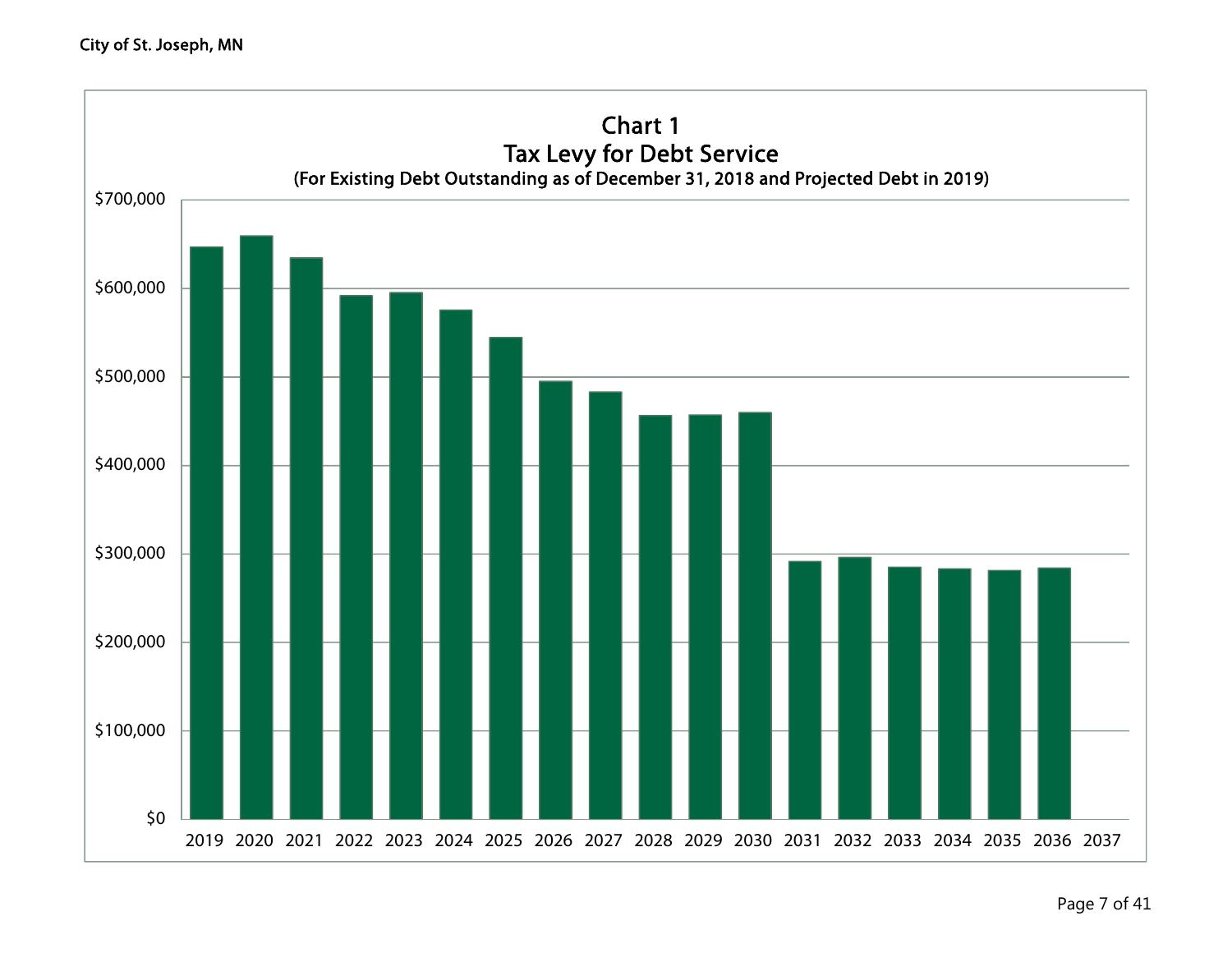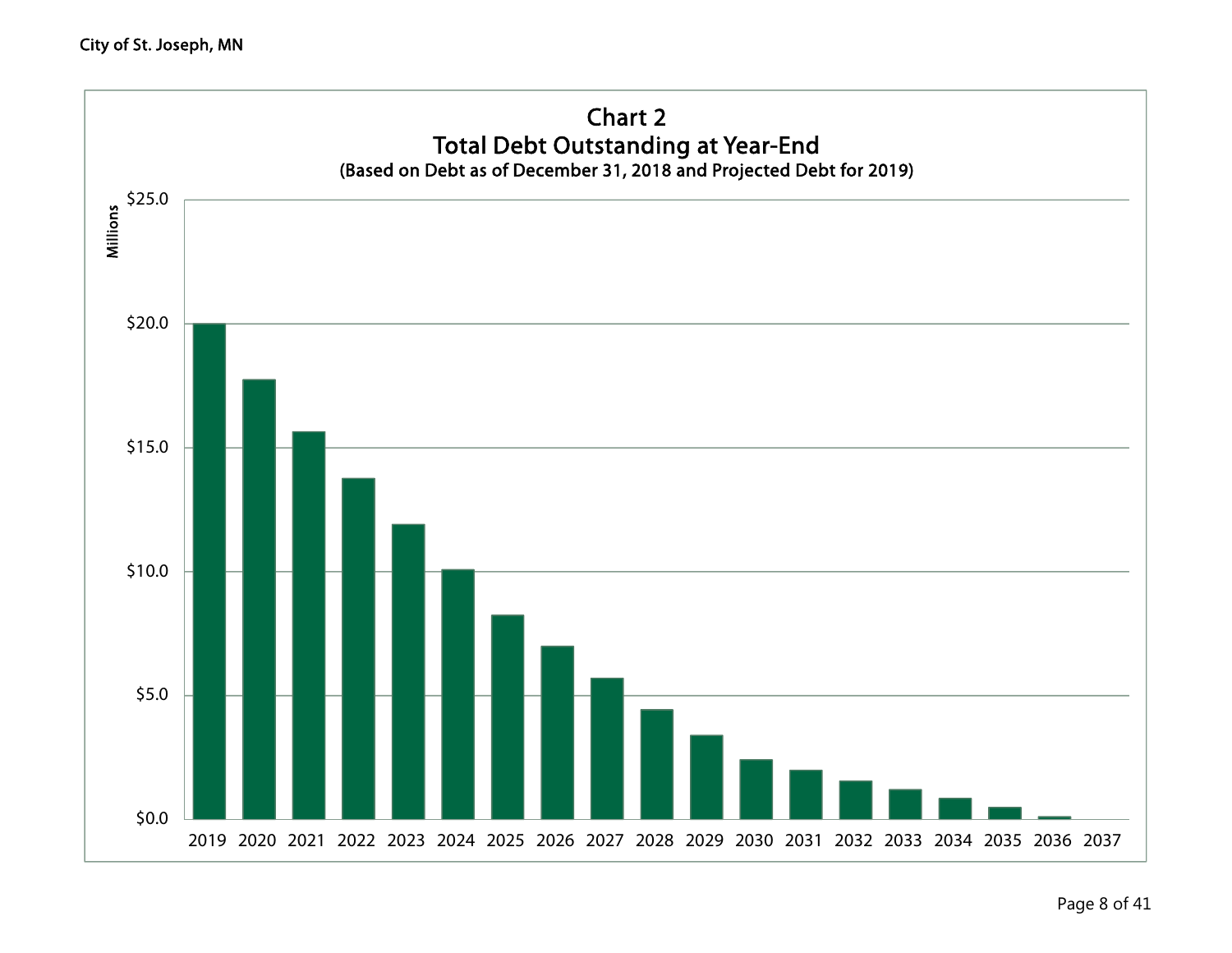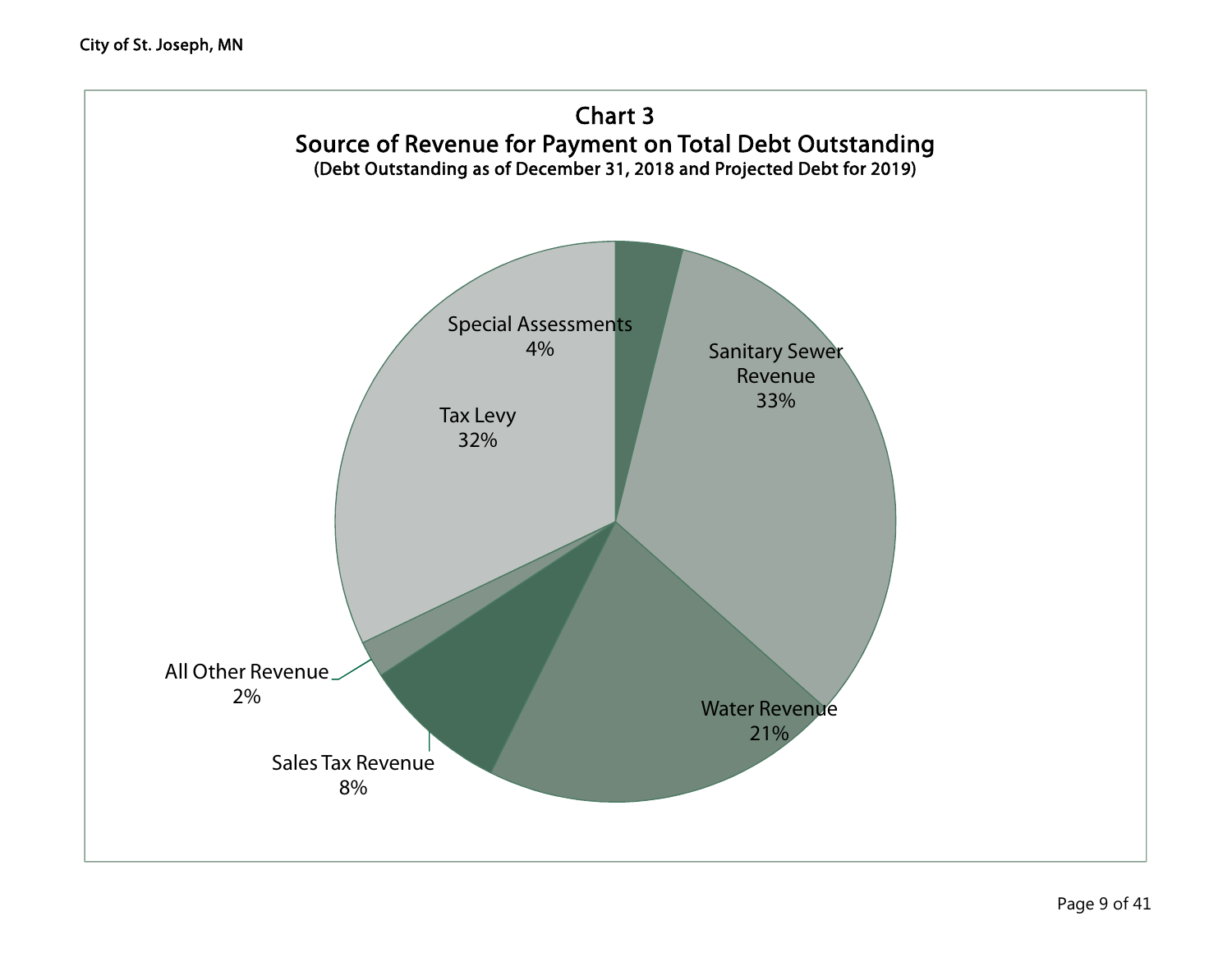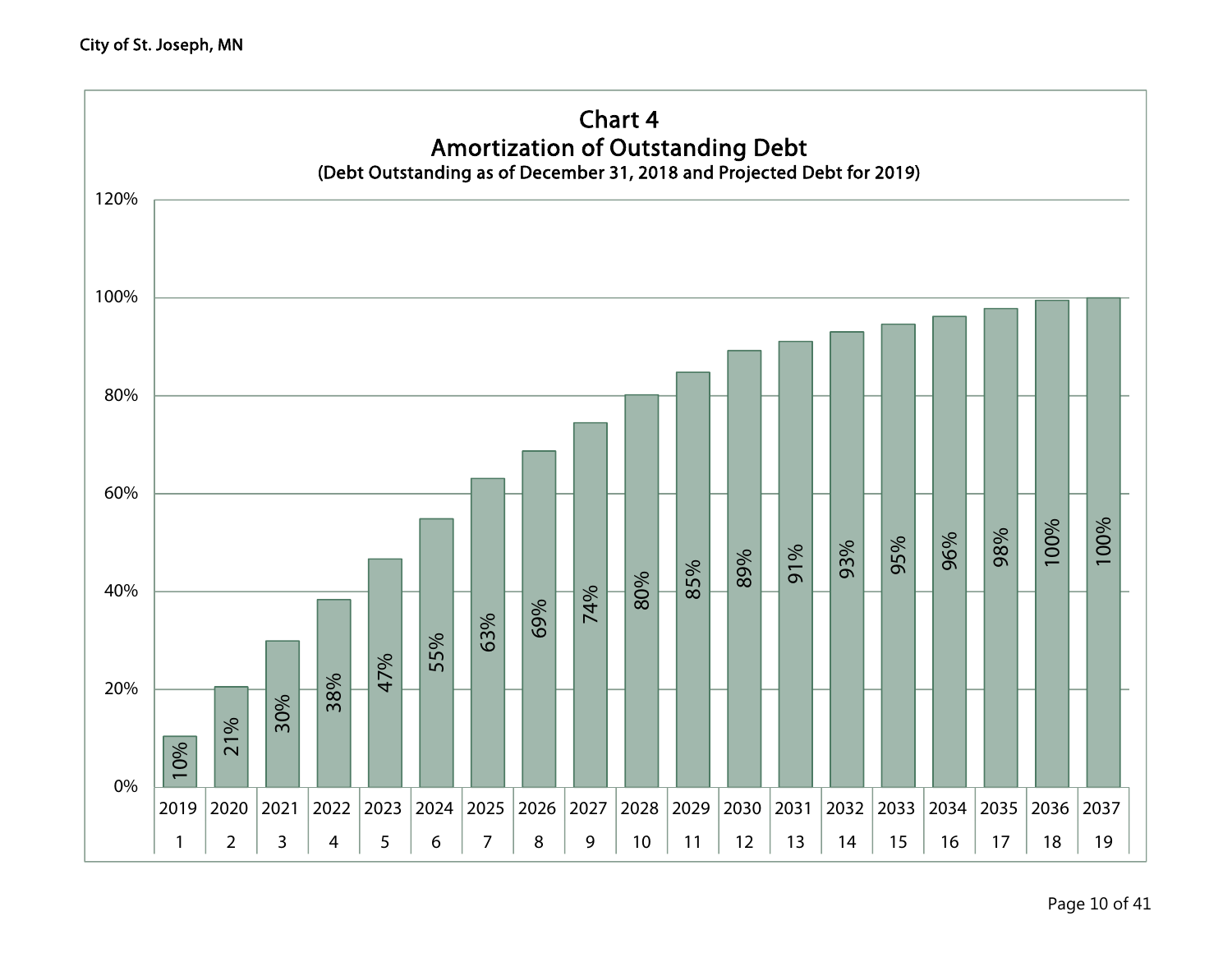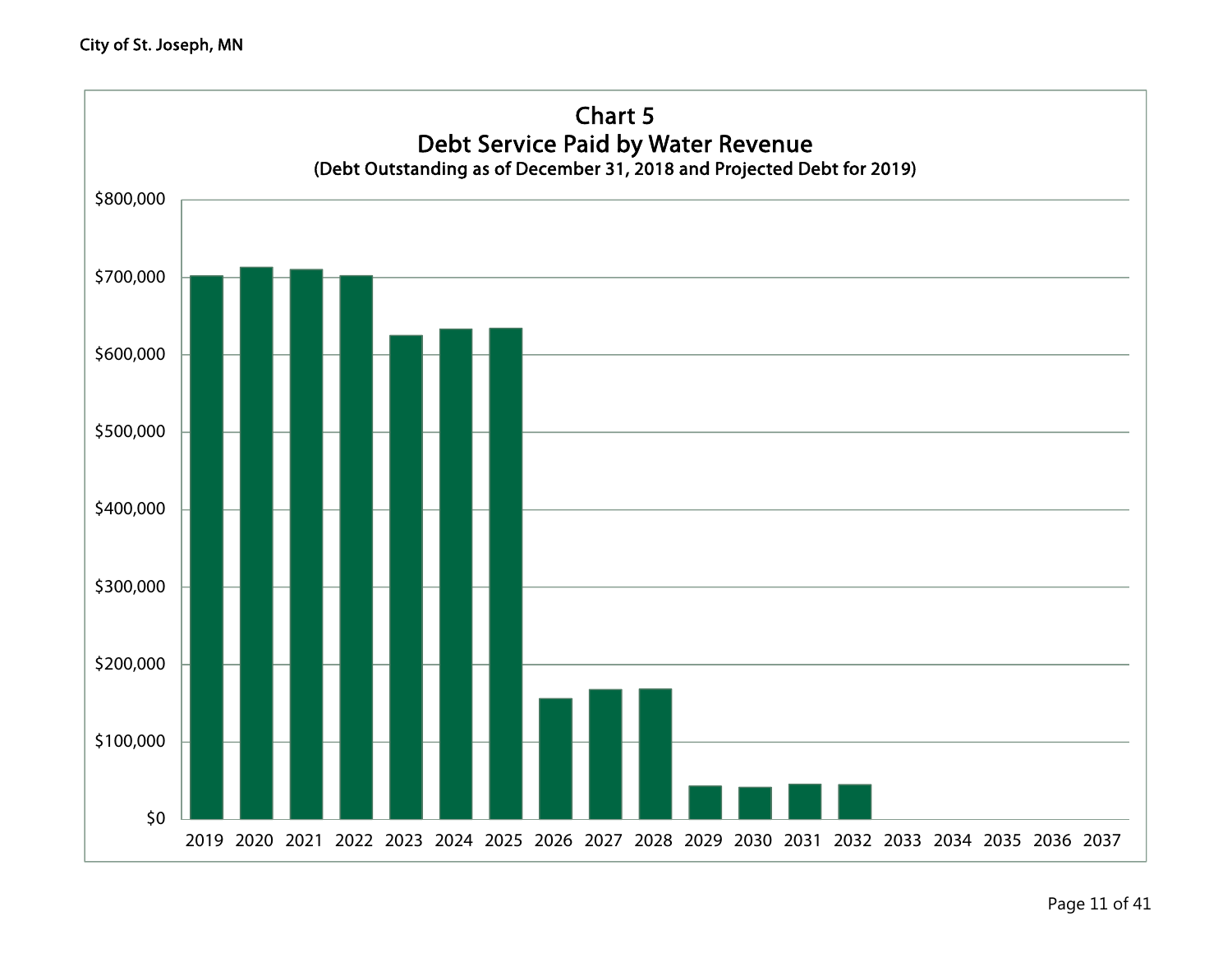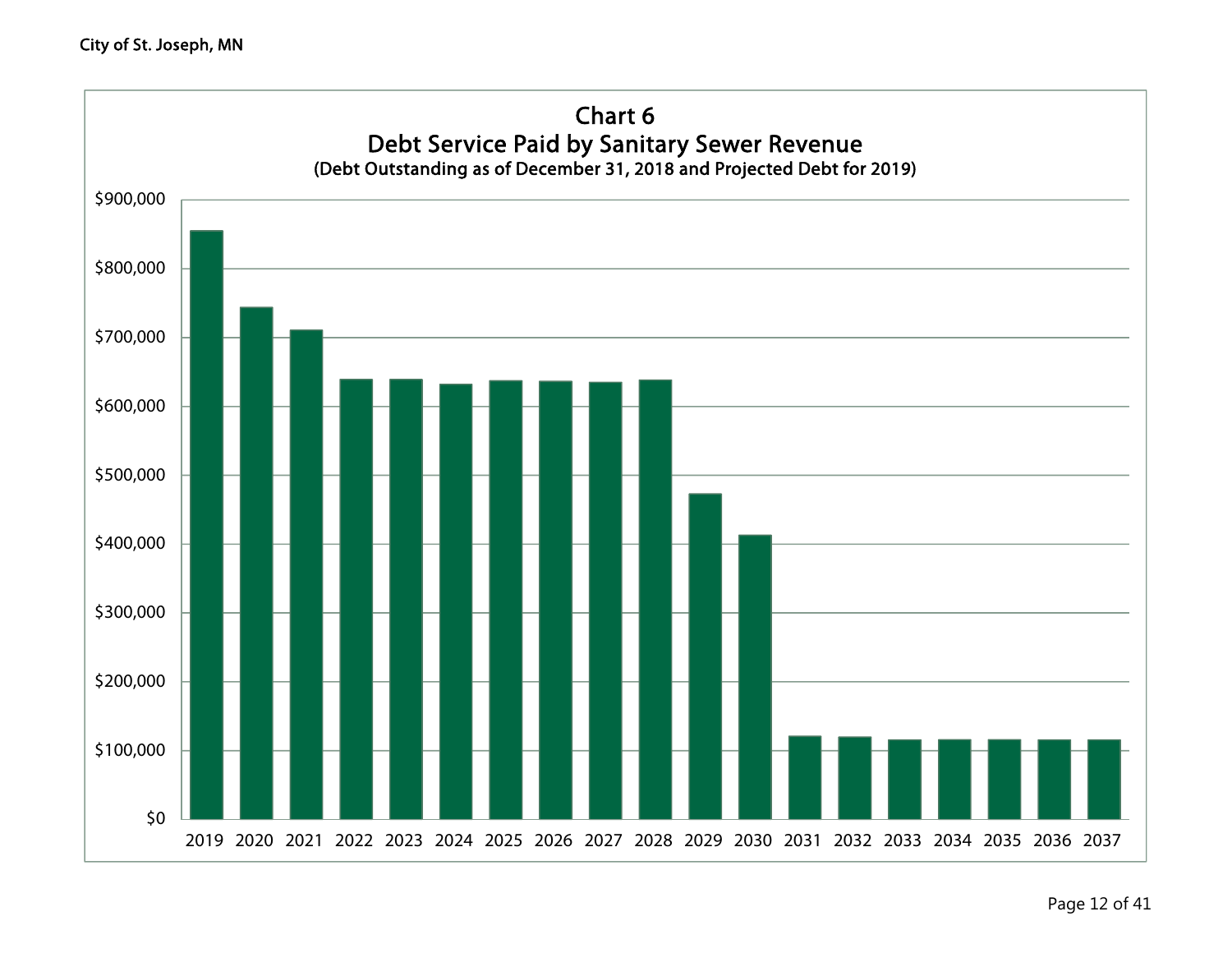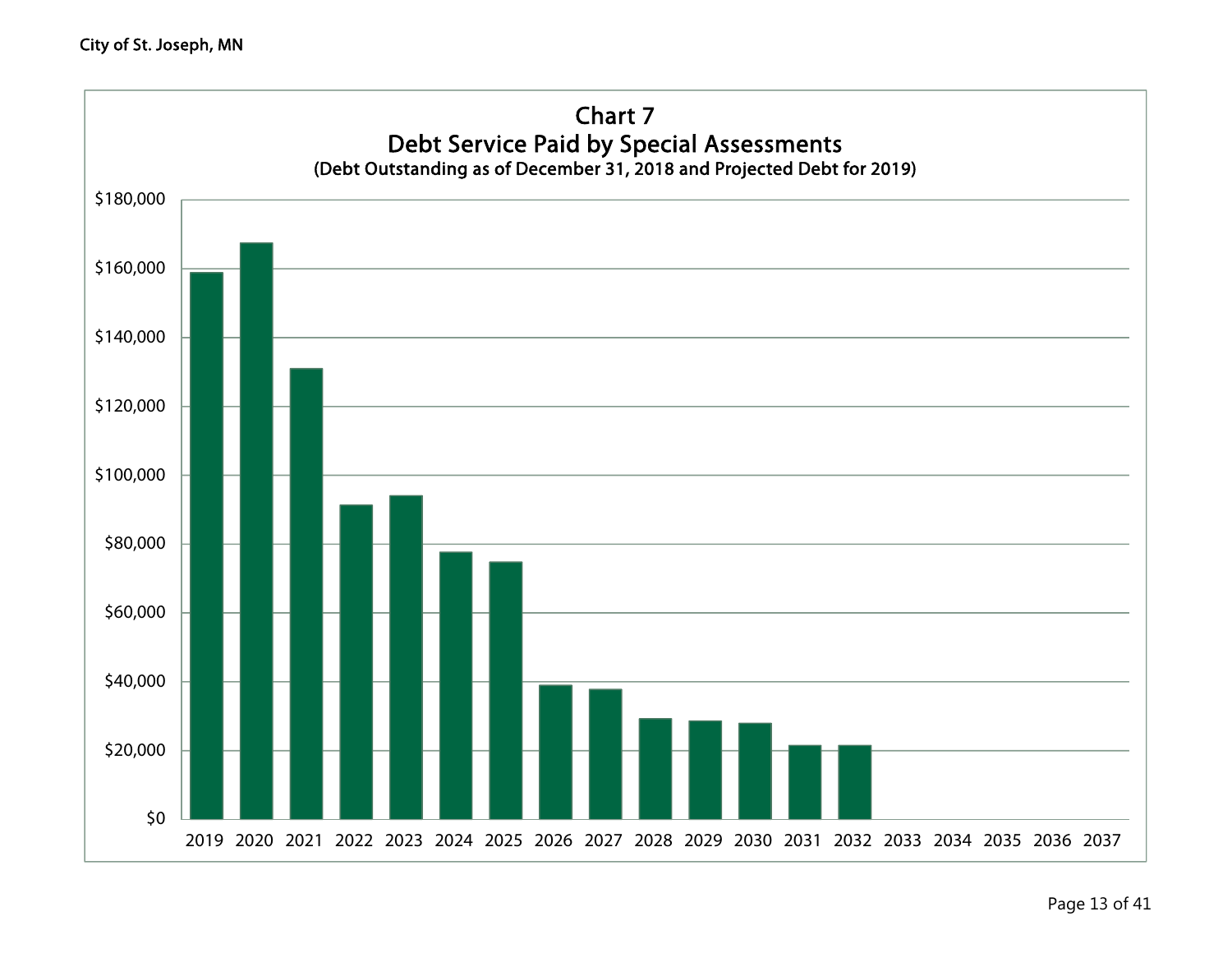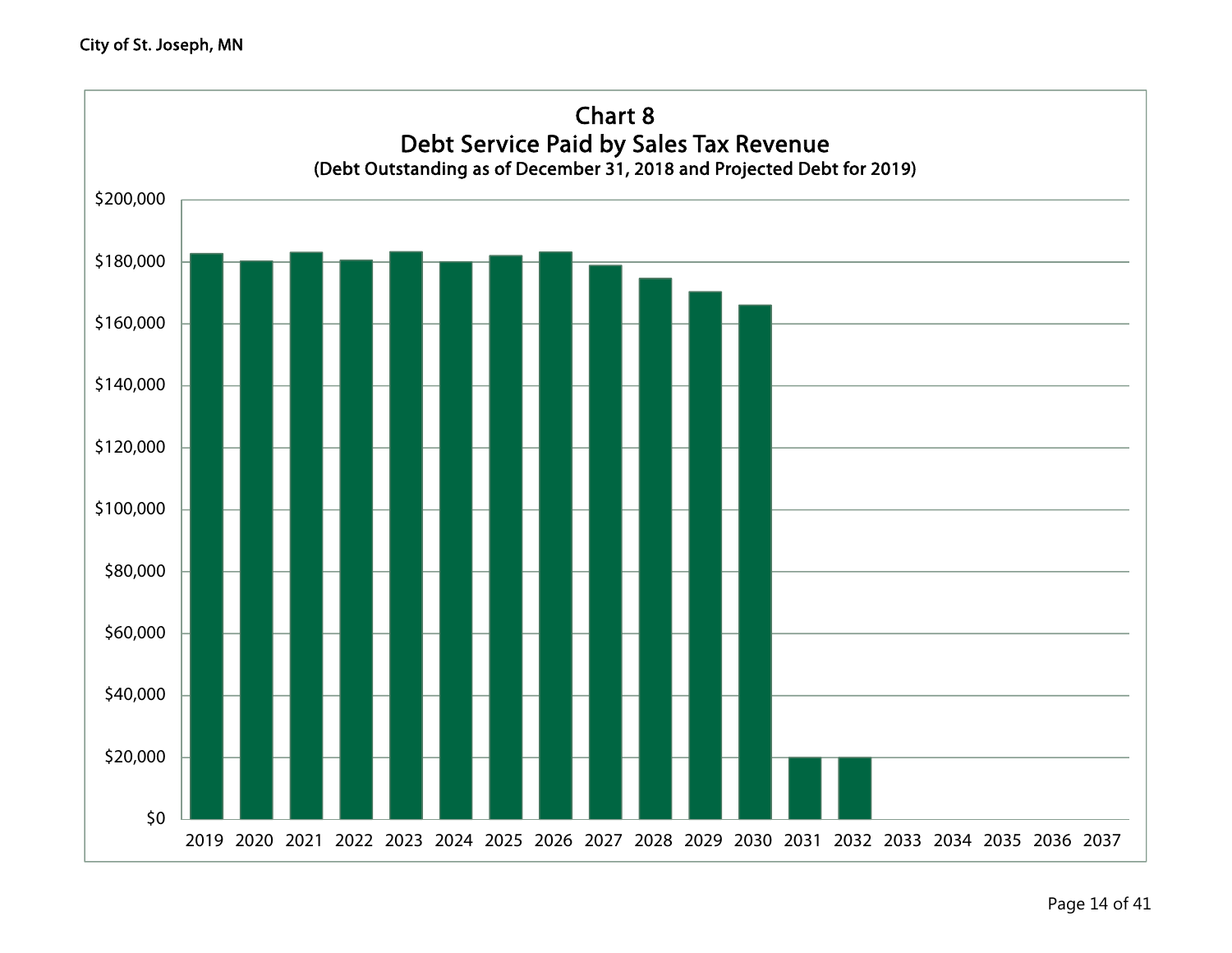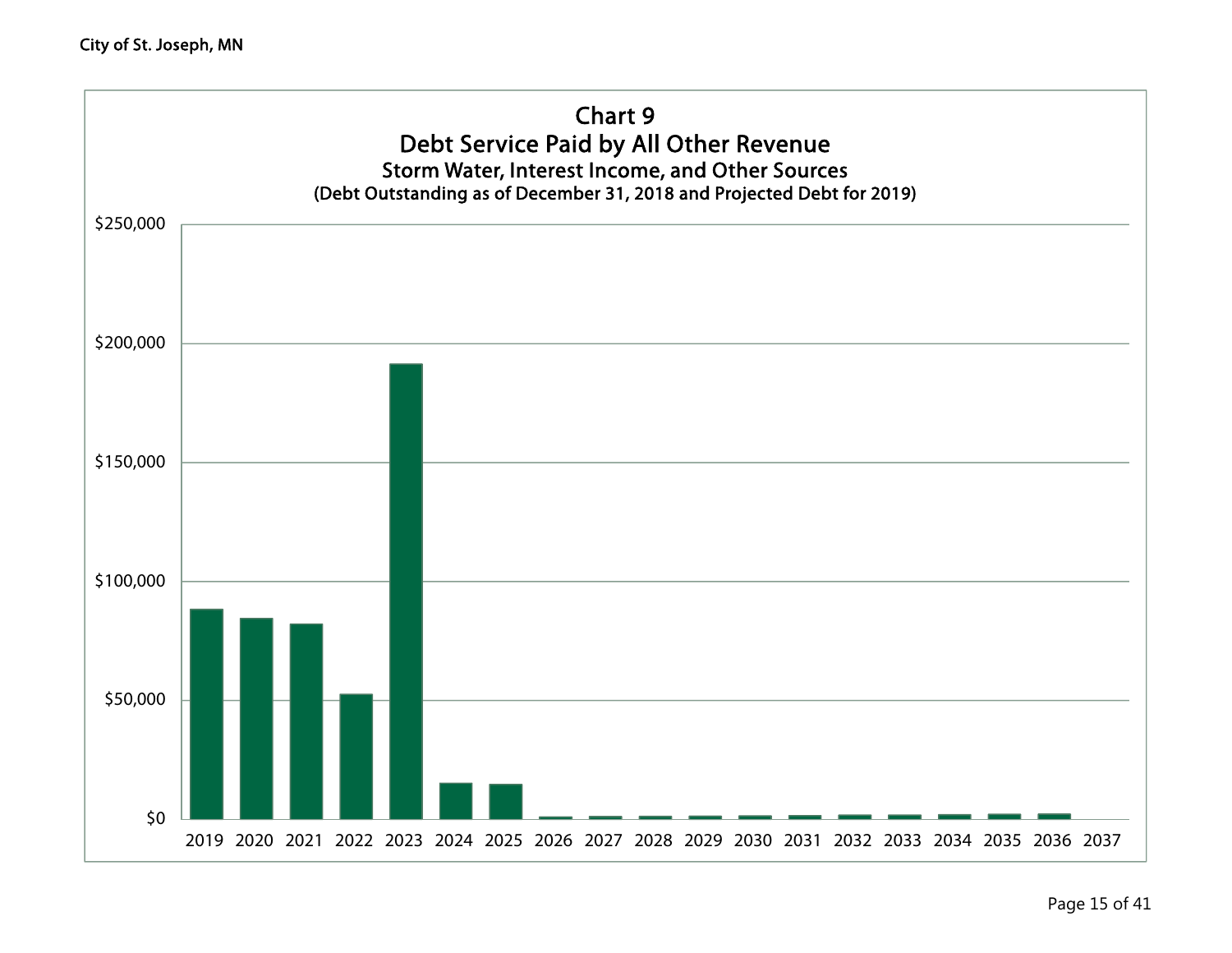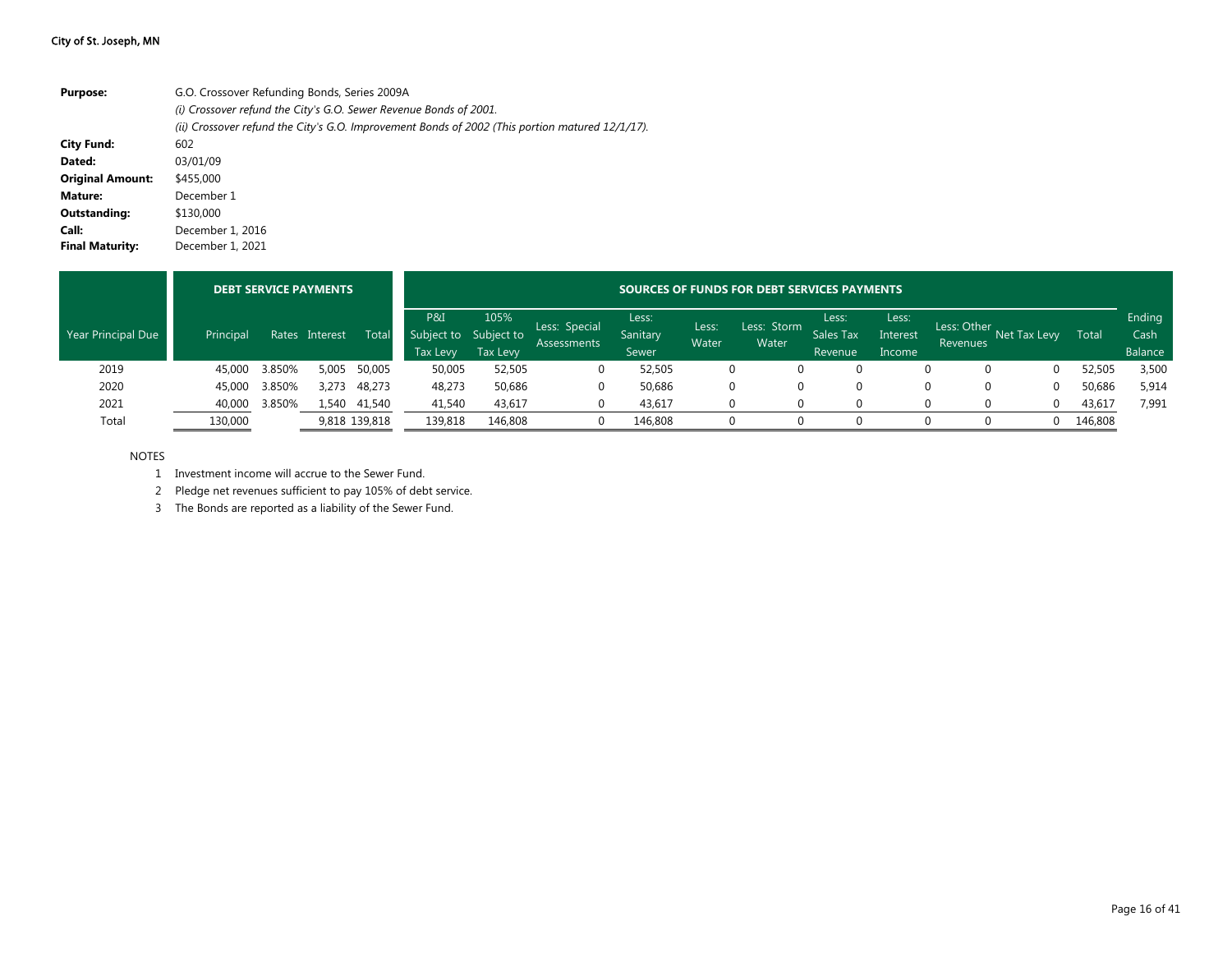| <b>Purpose:</b>         | G.O. Crossover Refunding Bonds, Series 2009A                                                    |
|-------------------------|-------------------------------------------------------------------------------------------------|
|                         | (i) Crossover refund the City's G.O. Sewer Revenue Bonds of 2001.                               |
|                         | (ii) Crossover refund the City's G.O. Improvement Bonds of 2002 (This portion matured 12/1/17). |
| <b>City Fund:</b>       | 602                                                                                             |
| Dated:                  | 03/01/09                                                                                        |
| <b>Original Amount:</b> | \$455,000                                                                                       |
| Mature:                 | December 1                                                                                      |
| Outstanding:            | \$130,000                                                                                       |
| Call:                   | December 1, 2016                                                                                |
| <b>Final Maturity:</b>  | December 1, 2021                                                                                |

|                    |           |        | <b>DEBT SERVICE PAYMENTS</b> |               |                                                 | SOURCES OF FUNDS FOR DEBT SERVICES PAYMENTS |                                     |                            |                |                      |                               |                             |                         |              |         |                           |  |
|--------------------|-----------|--------|------------------------------|---------------|-------------------------------------------------|---------------------------------------------|-------------------------------------|----------------------------|----------------|----------------------|-------------------------------|-----------------------------|-------------------------|--------------|---------|---------------------------|--|
| Year Principal Due | Principal | Rates  | Interest                     | Tota          | P&I<br>Subject to Subject to<br><b>Tax Levy</b> | 105%<br><b>Tax Levy</b>                     | Less: Special<br><b>Assessments</b> | Less:<br>Sanitary<br>Sewer | Less:<br>Water | Less: Storm<br>Water | Less:<br>Sales Tax<br>Revenue | Less:<br>Interest<br>Income | Less: Other<br>Revenues | Net Tax Levy | Total   | Ending<br>Cash<br>Balance |  |
| 2019               | 45,000    | 3.850% | 5,005                        | 50,005        | 50,005                                          | 52,505                                      | 0                                   | 52,505                     |                |                      |                               |                             | 0                       |              | 52,505  | 3,500                     |  |
| 2020               | 45,000    | 3.850% | 3,273                        | 48,273        | 48,273                                          | 50,686                                      | 0                                   | 50,686                     |                |                      |                               |                             | 0                       |              | 50,686  | 5,914                     |  |
| 2021               | 40,000    | 3.850% | 1,540                        | 41,540        | 41,540                                          | 43,617                                      | 0                                   | 43,617                     |                |                      |                               |                             |                         |              | 43,617  | 7,991                     |  |
| Total              | 130,000   |        |                              | 9,818 139,818 | 139,818                                         | 146,808                                     | $\Omega$                            | 146,808                    |                |                      |                               |                             |                         |              | 146,808 |                           |  |

#### NOTES

1 Investment income will accrue to the Sewer Fund.

2 Pledge net revenues sufficient to pay 105% of debt service.

3 The Bonds are reported as a liability of the Sewer Fund.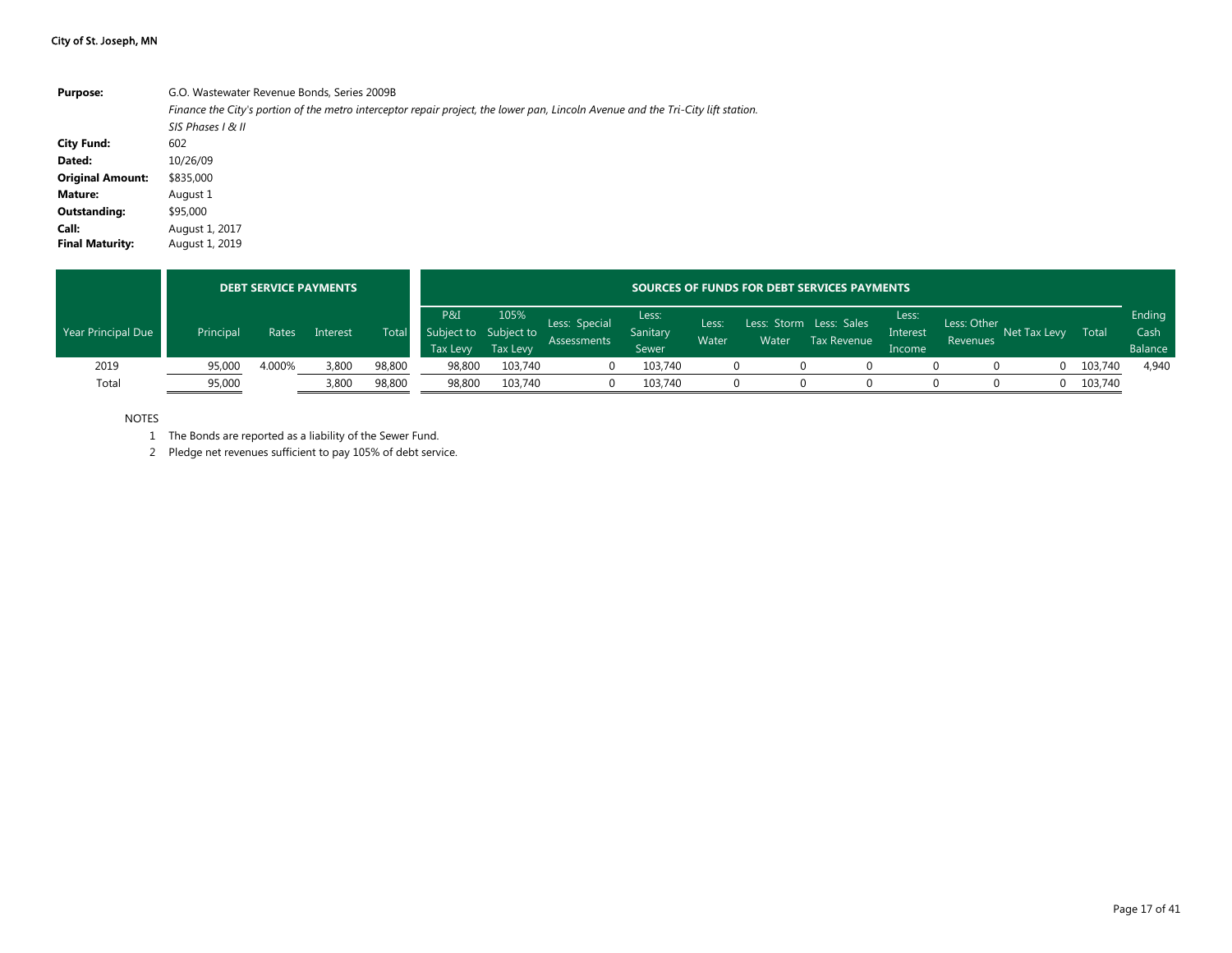| <b>Purpose:</b>         | G.O. Wastewater Revenue Bonds, Series 2009B                                                                                      |
|-------------------------|----------------------------------------------------------------------------------------------------------------------------------|
|                         | Finance the City's portion of the metro interceptor repair project, the lower pan, Lincoln Avenue and the Tri-City lift station. |
|                         | SIS Phases   & II                                                                                                                |
| <b>City Fund:</b>       | 602                                                                                                                              |
| Dated:                  | 10/26/09                                                                                                                         |
| <b>Original Amount:</b> | \$835,000                                                                                                                        |
| <b>Mature:</b>          | August 1                                                                                                                         |
| <b>Outstanding:</b>     | \$95,000                                                                                                                         |
| Call:                   | August 1, 2017                                                                                                                   |
| <b>Final Maturity:</b>  | August 1, 2019                                                                                                                   |

|                    |           |        | <b>DEBT SERVICE PAYMENTS</b> |              |                 | <b>SOURCES OF FUNDS FOR DEBT SERVICES PAYMENTS</b> |                                     |                                   |                |       |                                        |                             |                         |              |         |                           |  |
|--------------------|-----------|--------|------------------------------|--------------|-----------------|----------------------------------------------------|-------------------------------------|-----------------------------------|----------------|-------|----------------------------------------|-----------------------------|-------------------------|--------------|---------|---------------------------|--|
| Year Principal Due | Principal | Rates  | Interest                     | <b>Total</b> | P&I<br>Tax Levy | 105%<br>Subject to Subject to<br><b>Tax Levy</b>   | Less: Special<br><b>Assessments</b> | Less:<br><b>Sanitary</b><br>Sewer | Less:<br>Water | Water | Less: Storm Less: Sales<br>Tax Revenue | Less:<br>Interest<br>Income | Less: Other<br>Revenues | Net Tax Levy | Total   | Ending<br>Cash<br>Balance |  |
| 2019               | 95,000    | 4.000% | 3.800                        | 98,800       | 98,800          | 103,740                                            |                                     | 103,740                           |                |       |                                        |                             |                         | 0            | 103,740 | 4,940                     |  |
| Total              | 95,000    |        | 3,800                        | 98,800       | 98,800          | 103.740                                            |                                     | 103.740                           |                |       |                                        |                             |                         | $\Omega$     | 103,740 |                           |  |

NOTES

1 The Bonds are reported as a liability of the Sewer Fund.

2 Pledge net revenues sufficient to pay 105% of debt service.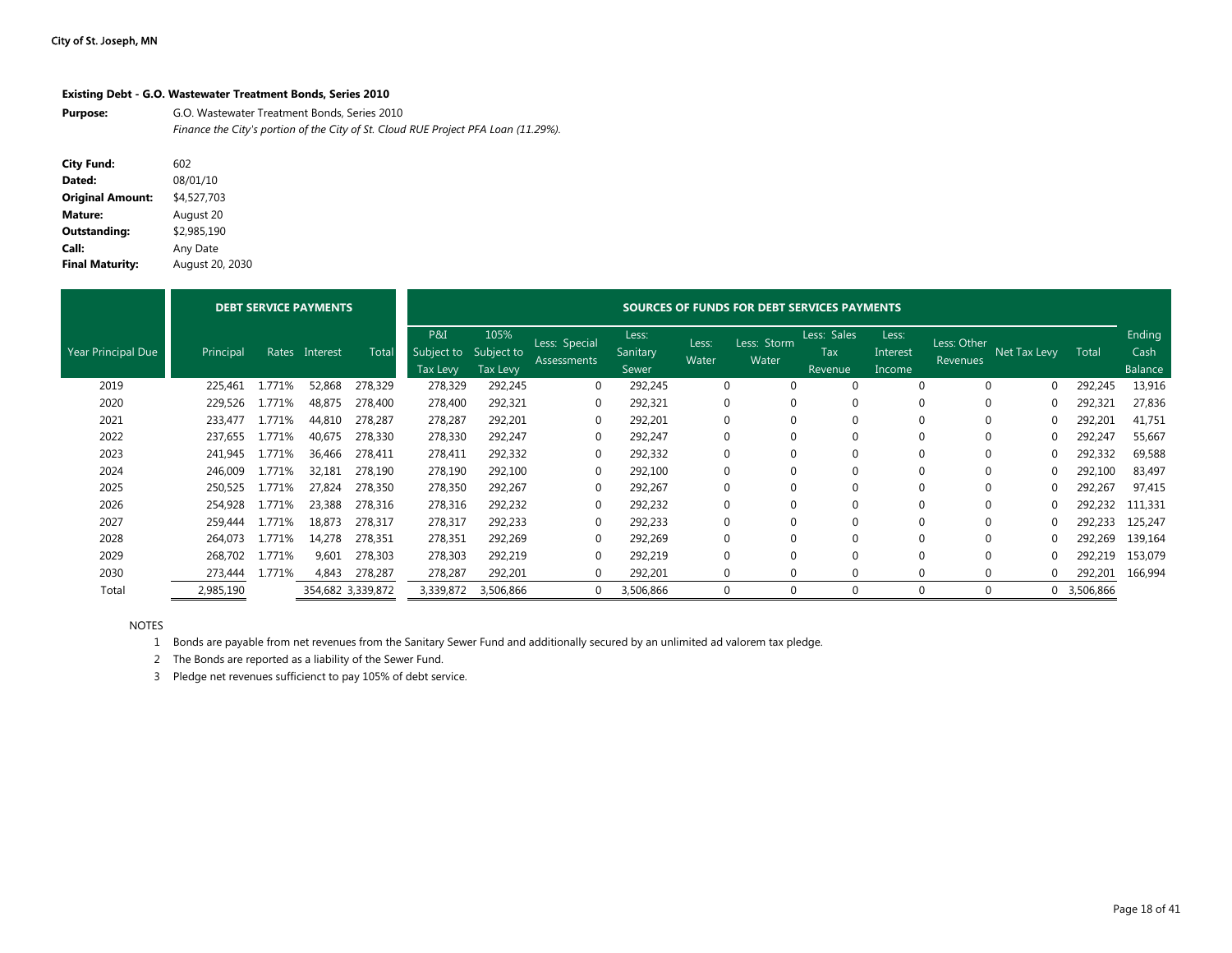#### **Existing Debt - G.O. Wastewater Treatment Bonds, Series 2010**

**Purpose:** G.O. Wastewater Treatment Bonds, Series 2010 *Finance the City's portion of the City of St. Cloud RUE Project PFA Loan (11.29%).*

| <b>City Fund:</b>       | 602             |
|-------------------------|-----------------|
| Dated:                  | 08/01/10        |
| <b>Original Amount:</b> | \$4,527,703     |
| Mature:                 | August 20       |
| <b>Outstanding:</b>     | \$2.985.190     |
| Call:                   | Any Date        |
| <b>Final Maturity:</b>  | August 20, 2030 |

|                           |           |        | <b>DEBT SERVICE PAYMENTS</b> |                   | SOURCES OF FUNDS FOR DEBT SERVICES PAYMENTS |                                       |                              |                            |                |                      |                                      |                             |                         |              |             |                           |
|---------------------------|-----------|--------|------------------------------|-------------------|---------------------------------------------|---------------------------------------|------------------------------|----------------------------|----------------|----------------------|--------------------------------------|-----------------------------|-------------------------|--------------|-------------|---------------------------|
| <b>Year Principal Due</b> | Principal | Rates  | Interest                     | Total             | P&I<br>Subject to<br>Tax Levy               | 105%<br>Subject to<br><b>Tax Levy</b> | Less: Special<br>Assessments | Less:<br>Sanitary<br>Sewer | Less:<br>Water | Less: Storm<br>Water | Less: Sales<br><b>Tax</b><br>Revenue | Less:<br>Interest<br>Income | Less: Other<br>Revenues | Net Tax Levy | Total       | Ending<br>Cash<br>Balance |
| 2019                      | 225,461   | 1.771% | 52,868                       | 278,329           | 278,329                                     | 292,245                               | 0                            | 292,245                    |                | 0<br>$\Omega$        |                                      |                             |                         |              | 292,245     | 13,916                    |
| 2020                      | 229,526   | 1.771% | 48,875                       | 278,400           | 278,400                                     | 292,321                               | 0                            | 292,321                    | $\Omega$       | 0                    |                                      |                             |                         |              | 292,321     | 27,836                    |
| 2021                      | 233,477   | 1.771% | 44,810                       | 278,287           | 278,287                                     | 292,201                               | 0                            | 292,201                    | 0              | $\Omega$             |                                      |                             |                         | 0            | 292,201     | 41,751                    |
| 2022                      | 237,655   | 1.771% | 40,675                       | 278,330           | 278,330                                     | 292,247                               | 0                            | 292,247                    | $\Omega$       | 0                    |                                      |                             | $\Omega$                | 0            | 292,247     | 55,667                    |
| 2023                      | 241,945   | 1.771% | 36,466                       | 278.411           | 278,411                                     | 292,332                               | 0                            | 292,332                    | 0              | 0                    |                                      |                             | $\Omega$                | 0            | 292,332     | 69,588                    |
| 2024                      | 246,009   | 1.771% | 32,181                       | 278,190           | 278,190                                     | 292,100                               | 0                            | 292,100                    | 0              | 0                    |                                      |                             |                         | 0            | 292,100     | 83,497                    |
| 2025                      | 250,525   | 1.771% | 27,824                       | 278,350           | 278,350                                     | 292,267                               | 0                            | 292,267                    | 0              | $\mathbf 0$          |                                      |                             |                         |              | 292,267     | 97,415                    |
| 2026                      | 254,928   | 1.771% | 23,388                       | 278,316           | 278,316                                     | 292,232                               | 0                            | 292,232                    | 0              | 0                    | $\Omega$                             |                             | $\Omega$                |              | 292,232     | 111,331                   |
| 2027                      | 259,444   | 1.771% | 18,873                       | 278,317           | 278,317                                     | 292,233                               | 0                            | 292,233                    | 0              | 0                    | 0                                    |                             | $\Omega$                |              | 292,233     | 125,247                   |
| 2028                      | 264,073   | 1.771% | 14,278                       | 278,351           | 278,351                                     | 292,269                               | 0                            | 292,269                    | 0              | 0                    | $\Omega$                             |                             | $\Omega$                |              | 292,269     | 139,164                   |
| 2029                      | 268,702   | 1.771% | 9,601                        | 278,303           | 278,303                                     | 292,219                               | 0                            | 292,219                    | $\Omega$       | $\Omega$             |                                      |                             |                         |              | 292,219     | 153,079                   |
| 2030                      | 273,444   | 1.771% | 4,843                        | 278,287           | 278,287                                     | 292,201                               | 0                            | 292,201                    |                | 0<br>$\Omega$        | $\Omega$                             | 0                           |                         | 0            | 292,201     | 166,994                   |
| Total                     | 2,985,190 |        |                              | 354,682 3,339,872 | 3,339,872                                   | 3,506,866                             | 0                            | 3,506,866                  |                | 0                    |                                      |                             |                         |              | 0 3,506,866 |                           |

NOTES

1 Bonds are payable from net revenues from the Sanitary Sewer Fund and additionally secured by an unlimited ad valorem tax pledge.

2 The Bonds are reported as a liability of the Sewer Fund.

3 Pledge net revenues sufficienct to pay 105% of debt service.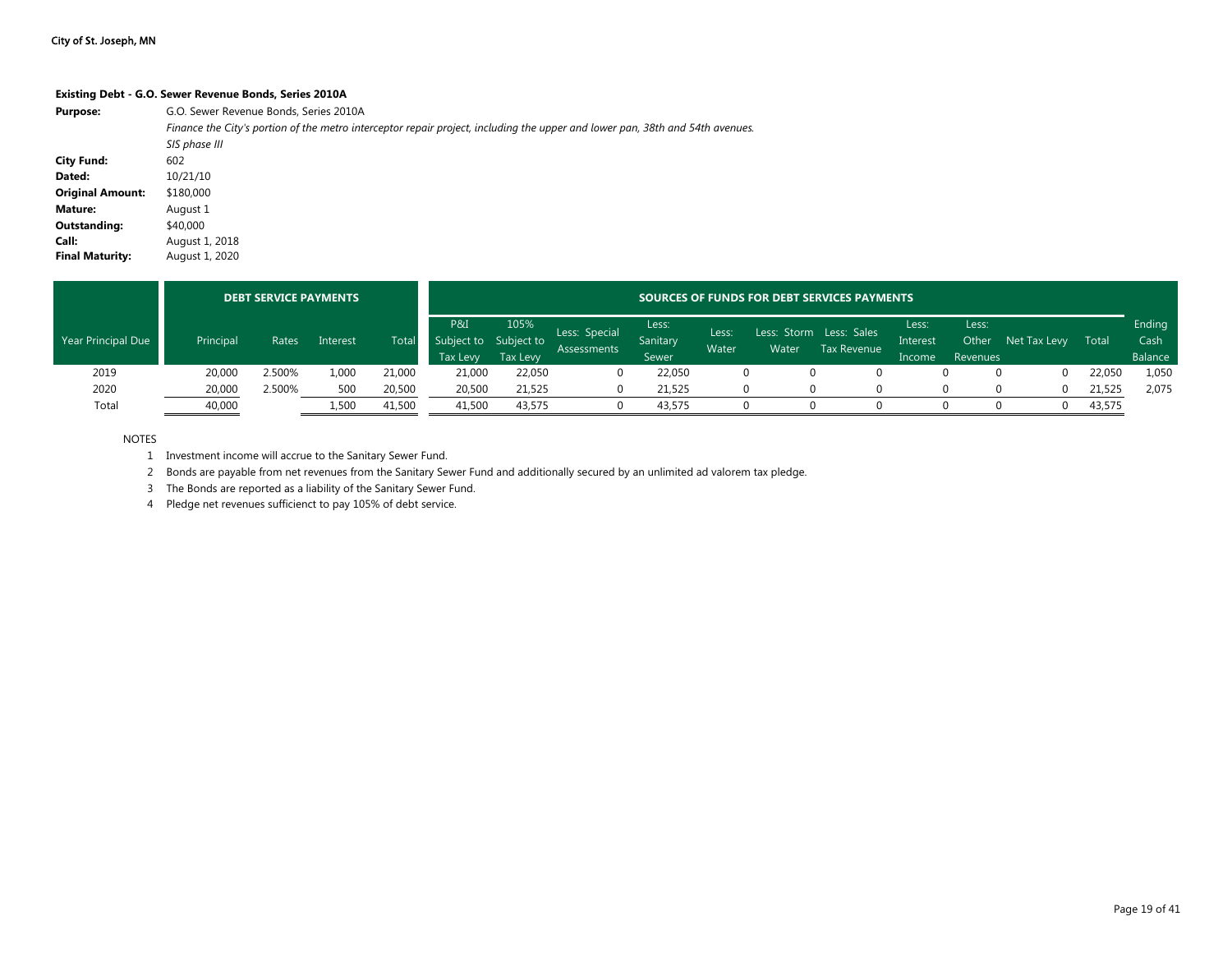#### **Existing Debt - G.O. Sewer Revenue Bonds, Series 2010A**

| <b>Purpose:</b>         | G.O. Sewer Revenue Bonds, Series 2010A                                                                                        |
|-------------------------|-------------------------------------------------------------------------------------------------------------------------------|
|                         | Finance the City's portion of the metro interceptor repair project, including the upper and lower pan, 38th and 54th avenues. |
|                         | SIS phase III                                                                                                                 |
| <b>City Fund:</b>       | 602                                                                                                                           |
| Dated:                  | 10/21/10                                                                                                                      |
| <b>Original Amount:</b> | \$180,000                                                                                                                     |
| Mature:                 | August 1                                                                                                                      |
| Outstanding:            | \$40,000                                                                                                                      |
| Call:                   | August 1, 2018                                                                                                                |
| <b>Final Maturity:</b>  | August 1, 2020                                                                                                                |

|                           |           | <b>DEBT SERVICE PAYMENTS</b> |          |        |                                                      |                         |                              |                                   |                |       | SOURCES OF FUNDS FOR DEBT SERVICES PAYMENTS   |                             |                            |              |        |                           |
|---------------------------|-----------|------------------------------|----------|--------|------------------------------------------------------|-------------------------|------------------------------|-----------------------------------|----------------|-------|-----------------------------------------------|-----------------------------|----------------------------|--------------|--------|---------------------------|
| <b>Year Principal Due</b> | Principal | Rates                        | Interest | Total  | P&I <sup></sup><br>Subject to Subject to<br>Tax Levy | 105%<br><b>Tax Levy</b> | Less: Special<br>Assessments | Less:<br>Sanitary<br><b>Sewer</b> | Less:<br>Water | Water | Less: Storm Less: Sales<br><b>Tax Revenue</b> | Less:<br>Interest<br>Income | Less:<br>Other<br>Revenues | Net Tax Levy | Total  | Ending<br>Cash<br>Balance |
| 2019                      | 20,000    | 2.500%                       | 1.000    | 21,000 | 21,000                                               | 22,050                  |                              | 22.050                            |                |       |                                               |                             |                            |              | 22,050 | 1,050                     |
| 2020                      | 20,000    | 2.500%                       | 500      | 20,500 | 20,500                                               | 21,525                  |                              | 21.525                            |                |       |                                               |                             |                            |              | 21,525 | 2,075                     |
| Total                     | 40,000    |                              | 1,500    | 41,500 | 41,500                                               | 43,575                  |                              | 43,575                            |                |       |                                               |                             |                            |              | 43,575 |                           |

NOTES

1 Investment income will accrue to the Sanitary Sewer Fund.

2 Bonds are payable from net revenues from the Sanitary Sewer Fund and additionally secured by an unlimited ad valorem tax pledge.

3 The Bonds are reported as a liability of the Sanitary Sewer Fund.

4 Pledge net revenues sufficienct to pay 105% of debt service.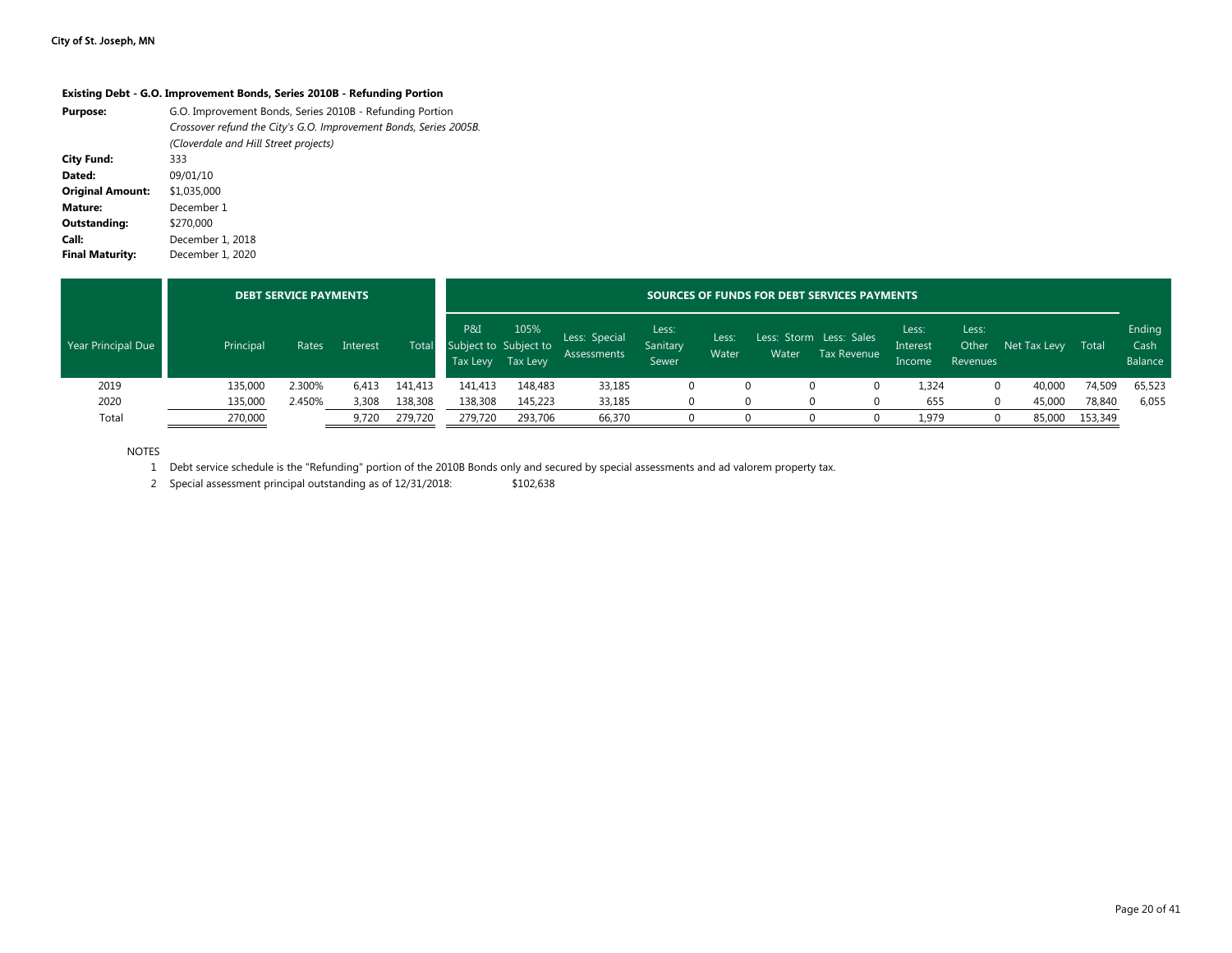#### **Existing Debt - G.O. Improvement Bonds, Series 2010B - Refunding Portion**

| <b>Purpose:</b>         | G.O. Improvement Bonds, Series 2010B - Refunding Portion<br>Crossover refund the City's G.O. Improvement Bonds, Series 2005B.<br>(Cloverdale and Hill Street projects) |
|-------------------------|------------------------------------------------------------------------------------------------------------------------------------------------------------------------|
| <b>City Fund:</b>       | 333                                                                                                                                                                    |
| Dated:                  | 09/01/10                                                                                                                                                               |
| <b>Original Amount:</b> | \$1,035,000                                                                                                                                                            |
| Mature:                 | December 1                                                                                                                                                             |
| Outstanding:            | \$270,000                                                                                                                                                              |
| Call:                   | December 1, 2018                                                                                                                                                       |
| <b>Final Maturity:</b>  | December 1, 2020                                                                                                                                                       |

|                    | <b>DEBT SERVICE PAYMENTS</b> |        |          |         | SOURCES OF FUNDS FOR DEBT SERVICES PAYMENTS |                  |                                     |                            |                |       |                                        |                             |                            |              |         |                           |
|--------------------|------------------------------|--------|----------|---------|---------------------------------------------|------------------|-------------------------------------|----------------------------|----------------|-------|----------------------------------------|-----------------------------|----------------------------|--------------|---------|---------------------------|
| Year Principal Due | Principal                    | Rates  | Interest | Total   | P&I<br>Subject to Subject to<br>Tax Levy    | 105%<br>Tax Levy | Less: Special<br><b>Assessments</b> | Less:<br>Sanitary<br>Sewer | Lessi<br>Water | Water | Less: Storm Less: Sales<br>Tax Revenue | Less:<br>Interest<br>Income | Less:<br>Other<br>Revenues | Net Tax Levy | Total   | Ending<br>Cash<br>Balance |
| 2019               | 135,000                      | 2.300% | 6,413    | 141,413 | 141,413                                     | 148.483          | 33,185                              |                            |                |       |                                        | 1,324                       |                            | 40,000       | 74,509  | 65,523                    |
| 2020               | 135,000                      | 2.450% | 3,308    | 138,308 | 138,308                                     | 145,223          | 33,185                              |                            |                |       |                                        | 655                         |                            | 45,000       | 78,840  | 6,055                     |
| Total              | 270,000                      |        | 9,720    | 279,720 | 279,720                                     | 293,706          | 66,370                              |                            |                |       |                                        | 1,979                       |                            | 85,000       | 153,349 |                           |

NOTES

1 Debt service schedule is the "Refunding" portion of the 2010B Bonds only and secured by special assessments and ad valorem property tax.

2 Special assessment principal outstanding as of 12/31/2018: \$102,638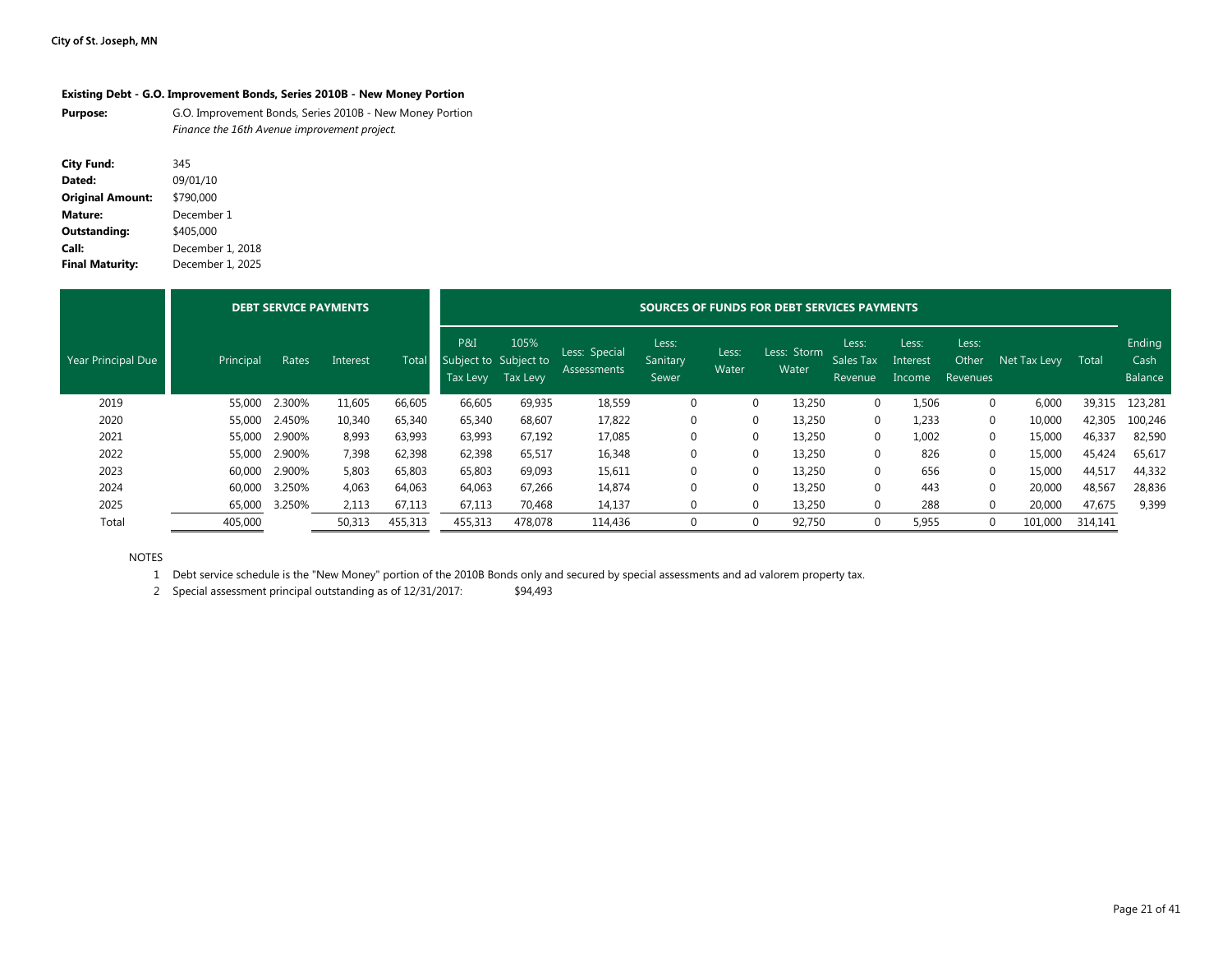#### **Existing Debt - G.O. Improvement Bonds, Series 2010B - New Money Portion**

**Purpose:** G.O. Improvement Bonds, Series 2010B - New Money Portion *Finance the 16th Avenue improvement project.*

| <b>City Fund:</b>       | 345              |
|-------------------------|------------------|
| Dated:                  | 09/01/10         |
| <b>Original Amount:</b> | \$790,000        |
| <b>Mature:</b>          | December 1       |
| <b>Outstanding:</b>     | \$405,000        |
| Call:                   | December 1, 2018 |
| <b>Final Maturity:</b>  | December 1, 2025 |

|                    |           | <b>DEBT SERVICE PAYMENTS</b> |          | SOURCES OF FUNDS FOR DEBT SERVICES PAYMENTS |                                          |                  |                                     |                            |                |                      |                               |                             |                            |              |         |                           |
|--------------------|-----------|------------------------------|----------|---------------------------------------------|------------------------------------------|------------------|-------------------------------------|----------------------------|----------------|----------------------|-------------------------------|-----------------------------|----------------------------|--------------|---------|---------------------------|
| Year Principal Due | Principal | Rates                        | Interest | Total                                       | P&I<br>Subject to Subject to<br>Tax Levy | 105%<br>Tax Levy | Less: Special<br><b>Assessments</b> | Less:<br>Sanitary<br>Sewer | Less:<br>Water | Less: Storm<br>Water | Less:<br>Sales Tax<br>Revenue | Less:<br>Interest<br>Income | Less:<br>Other<br>Revenues | Net Tax Levy | Total   | Ending<br>Cash<br>Balance |
| 2019               | 55,000    | 2.300%                       | 11,605   | 66,605                                      | 66,605                                   | 69,935           | 18,559                              | $\mathbf 0$                |                | 13,250               | $\Omega$                      | 1,506                       | $\Omega$                   | 6,000        | 39,315  | 123,281                   |
| 2020               | 55,000    | 2.450%                       | 10,340   | 65,340                                      | 65,340                                   | 68,607           | 17,822                              | $\mathbf 0$                | 0              | 13.250               | $\Omega$                      | 1,233                       | $\Omega$                   | 10,000       | 42,305  | 100,246                   |
| 2021               | 55,000    | 2.900%                       | 8,993    | 63,993                                      | 63,993                                   | 67,192           | 17,085                              | $\mathbf 0$                |                | 13,250               | $\Omega$                      | 1,002                       | $\Omega$                   | 15,000       | 46,337  | 82,590                    |
| 2022               | 55,000    | 2.900%                       | 7,398    | 62,398                                      | 62,398                                   | 65,517           | 16,348                              | $\mathbf 0$                |                | 13,250               | $\Omega$                      | 826                         | $\Omega$                   | 15,000       | 45,424  | 65,617                    |
| 2023               | 60,000    | 2.900%                       | 5,803    | 65,803                                      | 65,803                                   | 69,093           | 15,611                              | $\mathbf 0$                | $\Omega$       | 13,250               | $\Omega$                      | 656                         | $\Omega$                   | 15,000       | 44,517  | 44,332                    |
| 2024               | 60.000    | 3.250%                       | 4,063    | 64,063                                      | 64,063                                   | 67,266           | 14,874                              | $\mathbf 0$                | $\Omega$       | 13,250               | $\Omega$                      | 443                         | $\Omega$                   | 20,000       | 48,567  | 28,836                    |
| 2025               | 65,000    | 3.250%                       | 2,113    | 67,113                                      | 67,113                                   | 70,468           | 14,137                              | $\Omega$                   | $\Omega$       | 13,250               |                               | 288                         | $\Omega$                   | 20,000       | 47,675  | 9,399                     |
| Total              | 405,000   |                              | 50,313   | 455,313                                     | 455,313                                  | 478,078          | 114,436                             | $\Omega$                   |                | 92,750               | $\Omega$                      | 5,955                       | $\Omega$                   | 101,000      | 314,141 |                           |

NOTES

1 Debt service schedule is the "New Money" portion of the 2010B Bonds only and secured by special assessments and ad valorem property tax.

2 Special assessment principal outstanding as of 12/31/2017: \$94,493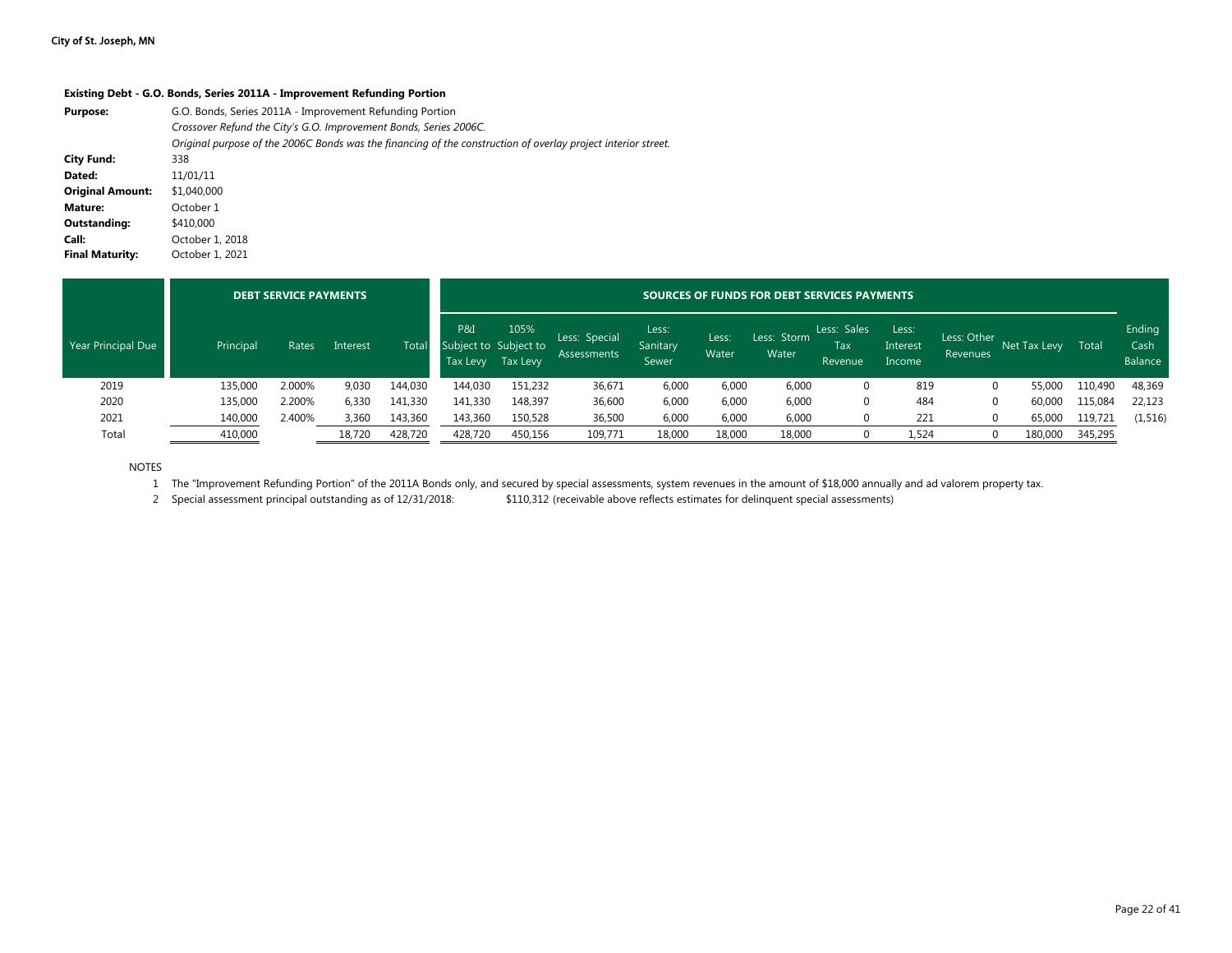#### **Existing Debt - G.O. Bonds, Series 2011A - Improvement Refunding Portion**

| <b>Purpose:</b>         | G.O. Bonds, Series 2011A - Improvement Refunding Portion<br>Crossover Refund the City's G.O. Improvement Bonds, Series 2006C.<br>Original purpose of the 2006C Bonds was the financing of the construction of overlay project interior street. |
|-------------------------|------------------------------------------------------------------------------------------------------------------------------------------------------------------------------------------------------------------------------------------------|
| <b>City Fund:</b>       | 338                                                                                                                                                                                                                                            |
|                         |                                                                                                                                                                                                                                                |
| Dated:                  | 11/01/11                                                                                                                                                                                                                                       |
| <b>Original Amount:</b> | \$1,040,000                                                                                                                                                                                                                                    |
| Mature:                 | October 1                                                                                                                                                                                                                                      |
| Outstanding:            | \$410,000                                                                                                                                                                                                                                      |
| Call:                   | October 1, 2018                                                                                                                                                                                                                                |
| <b>Final Maturity:</b>  | October 1, 2021                                                                                                                                                                                                                                |

|                    | <b>DEBT SERVICE PAYMENTS</b> |        |          |         | SOURCES OF FUNDS FOR DEBT SERVICES PAYMENTS |                  |                                     |                            |                |                      |                               |                             |                         |              |         |                           |
|--------------------|------------------------------|--------|----------|---------|---------------------------------------------|------------------|-------------------------------------|----------------------------|----------------|----------------------|-------------------------------|-----------------------------|-------------------------|--------------|---------|---------------------------|
| Year Principal Due | Principal                    | Rates  | Interest | Total   | P&I<br>Subject to Subject to<br>Tax Levy    | 105%<br>Tax Levy | Less: Special<br><b>Assessments</b> | Less:<br>Sanitary<br>Sewer | Less:<br>Water | Less: Storm<br>Water | Less: Sales<br>Tax<br>Revenue | Less:<br>Interest<br>Income | Less: Other<br>Revenues | Net Tax Levy | Total   | Ending<br>Cash<br>Balance |
| 2019               | 135,000                      | 2.000% | 9,030    | 144,030 | 144.030                                     | 151,232          | 36,671                              | 6,000                      | 6,000          | 6,000                | 0                             | 819                         |                         | 55,000       | 110,490 | 48,369                    |
| 2020               | 135,000                      | 2.200% | 6,330    | 141,330 | 141,330                                     | 148,397          | 36,600                              | 6,000                      | 6,000          | 6,000                | 0                             | 484                         |                         | 60,000       | 115,084 | 22,123                    |
| 2021               | 140,000                      | 2.400% | 3,360    | 143,360 | 143,360                                     | 150,528          | 36,500                              | 6,000                      | 6,000          | 6,000                | 0                             | 221                         |                         | 65,000       | 119,721 | (1, 516)                  |
| Total              | 410,000                      |        | 18,720   | 428,720 | 428.720                                     | 450,156          | 109,771                             | 18,000                     | 18,000         | 18,000               | 0                             | 1,524                       |                         | 180,000      | 345,295 |                           |

NOTES

1 The "Improvement Refunding Portion" of the 2011A Bonds only, and secured by special assessments, system revenues in the amount of \$18,000 annually and ad valorem property tax.

2 Special assessment principal outstanding as of 12/31/2018: \$110,312 (receivable above reflects estimates for delinquent special assessments)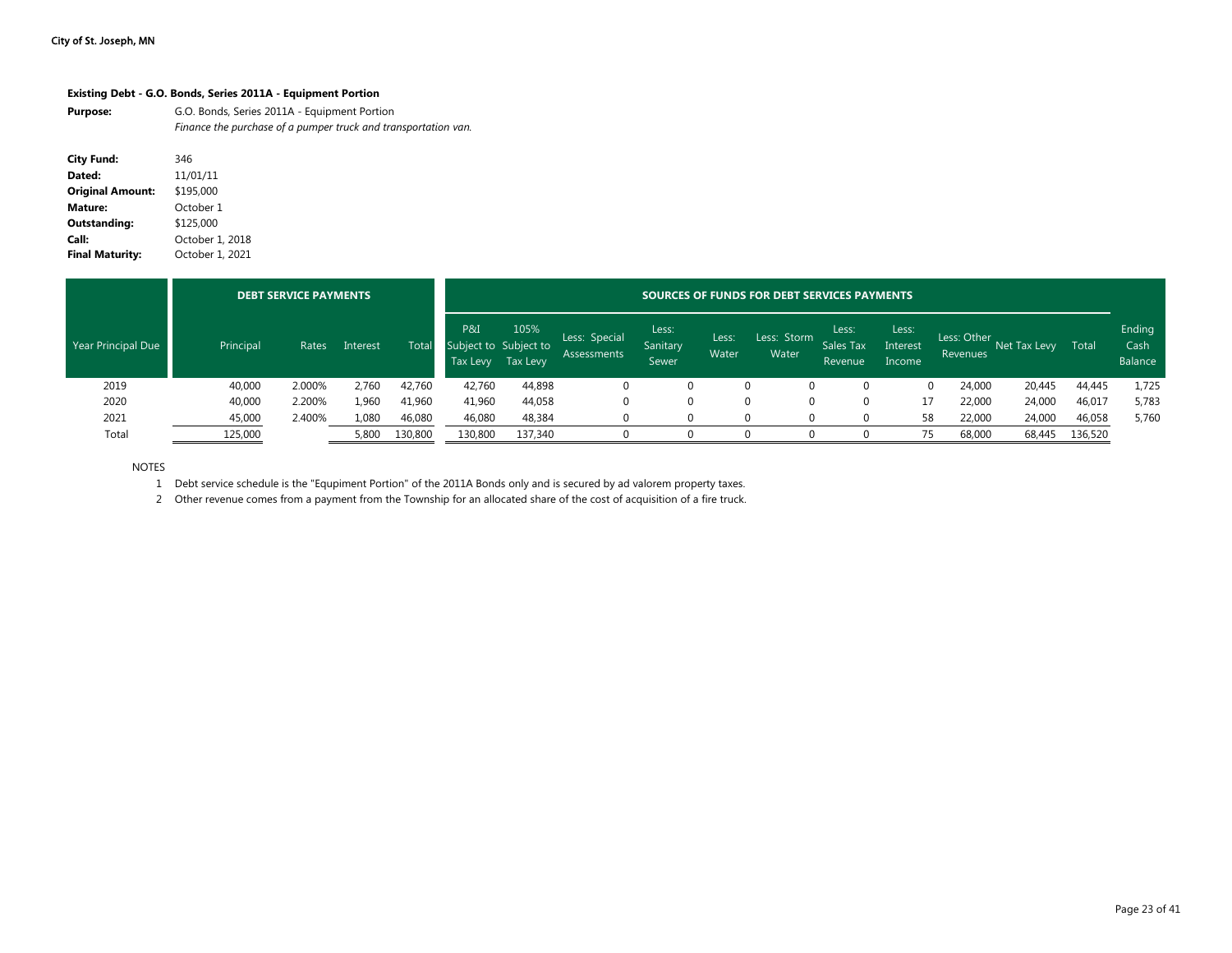#### **Existing Debt - G.O. Bonds, Series 2011A - Equipment Portion**

| <b>Purpose:</b> | G.O. Bonds, Series 2011A - Equipment Portion                   |
|-----------------|----------------------------------------------------------------|
|                 | Finance the purchase of a pumper truck and transportation van. |

| <b>City Fund:</b>       | 346             |
|-------------------------|-----------------|
| Dated:                  | 11/01/11        |
| <b>Original Amount:</b> | \$195,000       |
| Mature:                 | October 1       |
| Outstanding:            | \$125,000       |
| Call:                   | October 1, 2018 |
| <b>Final Maturity:</b>  | October 1, 2021 |

|                    |           | <b>DEBT SERVICE PAYMENTS</b> |          |              | SOURCES OF FUNDS FOR DEBT SERVICES PAYMENTS |                  |                                     |                            |                |                      |                                      |                             |                         |              |         |                           |
|--------------------|-----------|------------------------------|----------|--------------|---------------------------------------------|------------------|-------------------------------------|----------------------------|----------------|----------------------|--------------------------------------|-----------------------------|-------------------------|--------------|---------|---------------------------|
| Year Principal Due | Principal | Rates                        | Interest | <b>Total</b> | P&I<br>Subject to Subject to<br>Tax Levy    | 105%<br>Tax Levy | Less: Special<br><b>Assessments</b> | Less:<br>Sanitary<br>Sewer | Less:<br>Water | Less: Storm<br>Water | Less:<br><b>Sales Tax</b><br>Revenue | Less:<br>Interest<br>Income | Less: Other<br>Revenues | Net Tax Levy | Total   | Ending<br>Cash<br>Balance |
| 2019               | 40,000    | 2.000%                       | 2,760    | 42,760       | 42,760                                      | 44,898           | 0                                   | 0                          |                | 0                    | 0                                    |                             | 24,000<br>0             | 20,445       | 44,445  | 1,725                     |
| 2020               | 40,000    | 2.200%                       | 1,960    | 41,960       | 41,960                                      | 44,058           | 0                                   | 0                          |                | 0                    | 0                                    | 17                          | 22,000                  | 24,000       | 46,017  | 5,783                     |
| 2021               | 45,000    | 2.400%                       | 1,080    | 46,080       | 46,080                                      | 48,384           |                                     | 0                          |                |                      |                                      | 58                          | 22,000                  | 24,000       | 46,058  | 5,760                     |
| Total              | 125,000   |                              | 5,800    | 130,800      | 130,800                                     | 137,340          |                                     |                            |                |                      |                                      | 75                          | 68,000                  | 68,445       | 136,520 |                           |

NOTES

1 Debt service schedule is the "Equpiment Portion" of the 2011A Bonds only and is secured by ad valorem property taxes.

2 Other revenue comes from a payment from the Township for an allocated share of the cost of acquisition of a fire truck.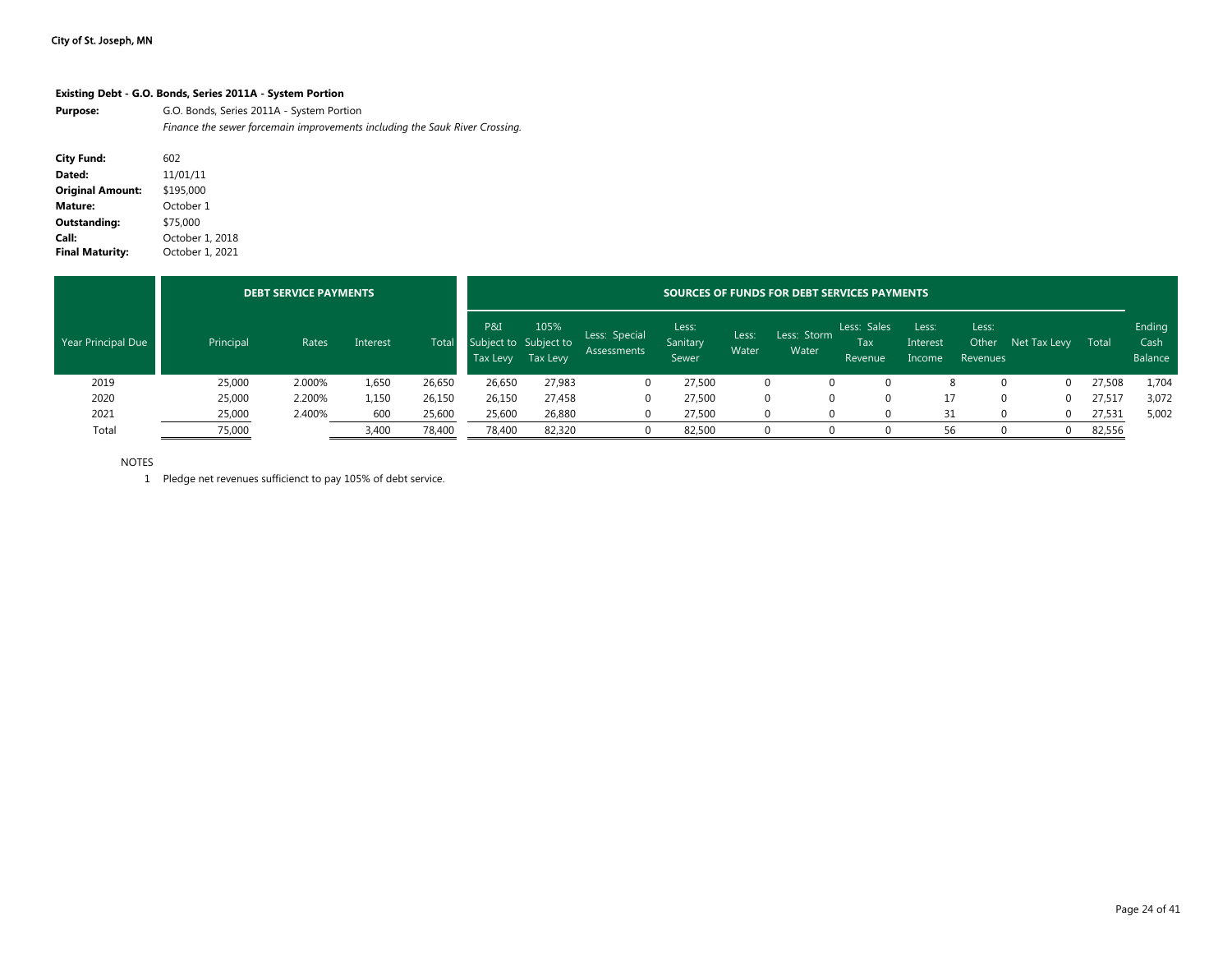#### **Existing Debt - G.O. Bonds, Series 2011A - System Portion**

**Purpose:** G.O. Bonds, Series 2011A - System Portion *Finance the sewer forcemain improvements including the Sauk River Crossing.*

| <b>City Fund:</b>       | 602             |
|-------------------------|-----------------|
| Dated:                  | 11/01/11        |
| <b>Original Amount:</b> | \$195,000       |
| Mature:                 | October 1       |
| Outstanding:            | \$75,000        |
| Call:                   | October 1, 2018 |
| <b>Final Maturity:</b>  | October 1, 2021 |

|                    |           | <b>DEBT SERVICE PAYMENTS</b> |          |        | <b>SOURCES OF FUNDS FOR DEBT SERVICES PAYMENTS</b> |                  |                                     |                            |                |                      |                               |                             |                            |              |        |                           |
|--------------------|-----------|------------------------------|----------|--------|----------------------------------------------------|------------------|-------------------------------------|----------------------------|----------------|----------------------|-------------------------------|-----------------------------|----------------------------|--------------|--------|---------------------------|
| Year Principal Due | Principal | Rates                        | Interest | Total  | P&I<br>Subject to Subject to<br>Tax Levy           | 105%<br>Tax Levy | Less: Special<br><b>Assessments</b> | Less:<br>Sanitary<br>Sewer | Less:<br>Water | Less: Storm<br>Water | Less: Sales<br>Tax<br>Revenue | Less:<br>Interest<br>Income | Less:<br>Other<br>Revenues | Net Tax Levy | Total  | Ending<br>Cash<br>Balance |
| 2019               | 25,000    | 2.000%                       | 1,650    | 26,650 | 26,650                                             | 27,983           | $\Omega$                            | 27,500                     |                |                      |                               |                             |                            |              | 27,508 | 1,704                     |
| 2020               | 25,000    | 2.200%                       | 1.150    | 26,150 | 26,150                                             | 27,458           |                                     | 27,500                     |                |                      |                               |                             | 0                          |              | 27,517 | 3,072                     |
| 2021               | 25,000    | 2.400%                       | 600      | 25,600 | 25,600                                             | 26,880           |                                     | 27,500                     |                |                      |                               | 31                          | $\Omega$                   |              | 27,531 | 5,002                     |
| Total              | 75,000    |                              | 3,400    | 78,400 | 78,400                                             | 82,320           |                                     | 82,500                     |                |                      |                               | 56                          | <sup>0</sup>               |              | 82,556 |                           |

NOTES

1 Pledge net revenues sufficienct to pay 105% of debt service.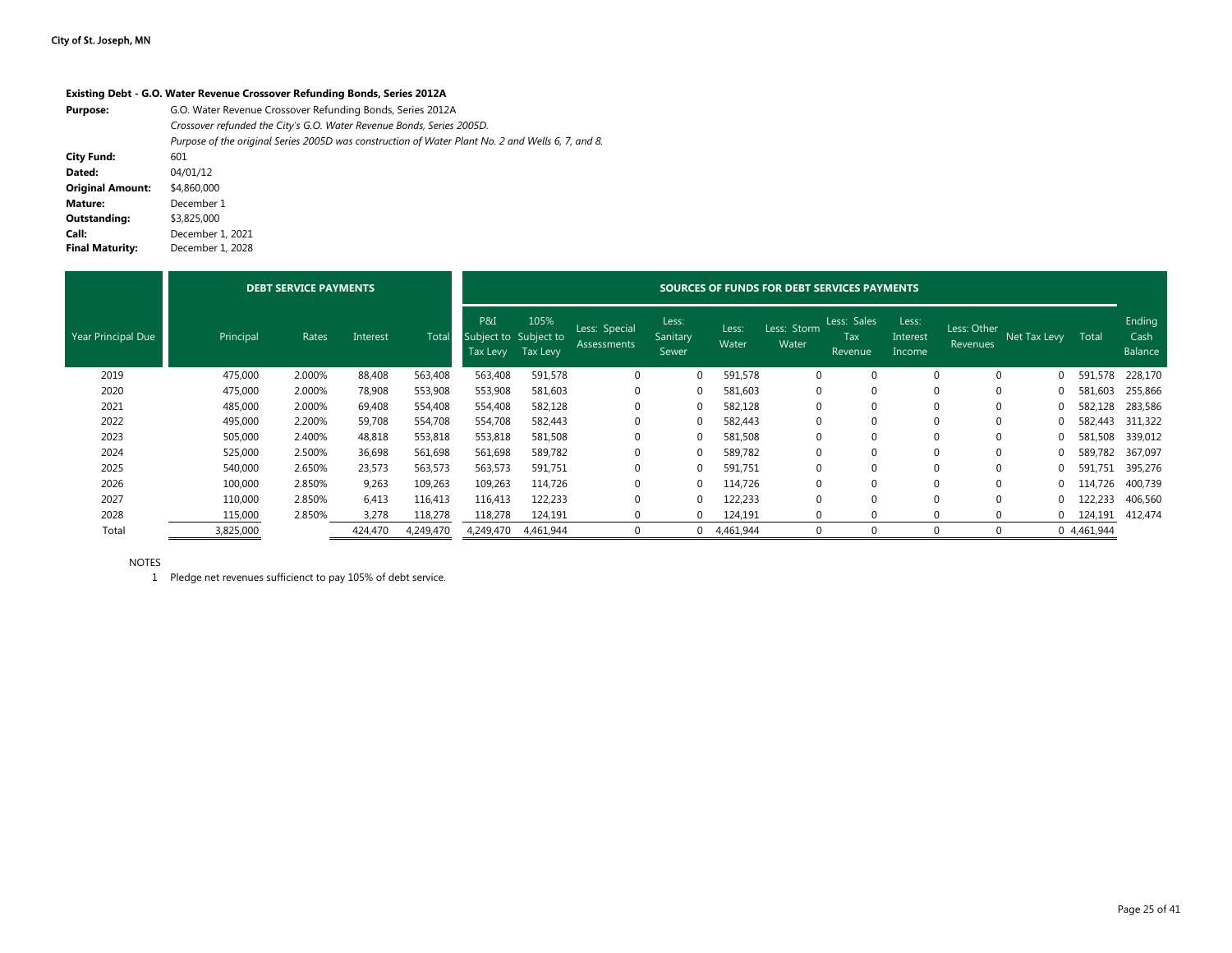#### **Existing Debt - G.O. Water Revenue Crossover Refunding Bonds, Series 2012A**

| <b>Purpose:</b>         | G.O. Water Revenue Crossover Refunding Bonds, Series 2012A                                        |
|-------------------------|---------------------------------------------------------------------------------------------------|
|                         | Crossover refunded the City's G.O. Water Revenue Bonds, Series 2005D.                             |
|                         | Purpose of the original Series 2005D was construction of Water Plant No. 2 and Wells 6, 7, and 8. |
| <b>City Fund:</b>       | 601                                                                                               |
| Dated:                  | 04/01/12                                                                                          |
| <b>Original Amount:</b> | \$4,860,000                                                                                       |
| Mature:                 | December 1                                                                                        |
| Outstanding:            | \$3,825,000                                                                                       |
| Call:                   | December 1, 2021                                                                                  |
| <b>Final Maturity:</b>  | December 1, 2028                                                                                  |

|                    |           | <b>DEBT SERVICE PAYMENTS</b> |          |              |                                          | SOURCES OF FUNDS FOR DEBT SERVICES PAYMENTS |                                     |                            |                |                      |                               |                             |                         |                    |             |                           |  |
|--------------------|-----------|------------------------------|----------|--------------|------------------------------------------|---------------------------------------------|-------------------------------------|----------------------------|----------------|----------------------|-------------------------------|-----------------------------|-------------------------|--------------------|-------------|---------------------------|--|
| Year Principal Due | Principal | Rates                        | Interest | <b>Total</b> | P&I<br>Subject to Subject to<br>Tax Levy | 105%<br>Tax Levy                            | Less: Special<br><b>Assessments</b> | Less:<br>Sanitary<br>Sewer | Less:<br>Water | Less: Storm<br>Water | Less: Sales<br>Tax<br>Revenue | Less:<br>Interest<br>Income | Less: Other<br>Revenues | Net Tax Levy Total |             | Ending<br>Cash<br>Balance |  |
| 2019               | 475,000   | 2.000%                       | 88,408   | 563,408      | 563,408                                  | 591,578                                     | 0                                   | $\Omega$                   | 591,578        | 0                    |                               | $\Omega$                    | $\Omega$                | 0                  | 591,578     | 228,170                   |  |
| 2020               | 475,000   | 2.000%                       | 78,908   | 553,908      | 553,908                                  | 581,603                                     |                                     |                            | 581,603        | $\Omega$             |                               |                             | 0                       | 0                  | 581.603     | 255,866                   |  |
| 2021               | 485,000   | 2.000%                       | 69,408   | 554,408      | 554,408                                  | 582,128                                     |                                     |                            | 582,128        | $\Omega$             |                               | $\Omega$                    | 0                       |                    | 582,128     | 283,586                   |  |
| 2022               | 495,000   | 2.200%                       | 59,708   | 554,708      | 554,708                                  | 582,443                                     |                                     |                            | 582,443        | 0                    |                               | 0                           | 0                       |                    | 582,443     | 311,322                   |  |
| 2023               | 505,000   | 2.400%                       | 48,818   | 553,818      | 553,818                                  | 581,508                                     |                                     | $\Omega$                   | 581,508        | $\Omega$             |                               | $\Omega$                    | 0                       | 0                  | 581,508     | 339,012                   |  |
| 2024               | 525,000   | 2.500%                       | 36,698   | 561,698      | 561,698                                  | 589,782                                     |                                     | $\Omega$                   | 589,782        | $\Omega$             |                               | $\Omega$                    | $\Omega$                | 0                  | 589,782     | 367,097                   |  |
| 2025               | 540,000   | 2.650%                       | 23,573   | 563,573      | 563,573                                  | 591,751                                     |                                     |                            | 591,751        | $\Omega$             |                               | $\Omega$                    | $\Omega$                |                    | 591,751     | 395,276                   |  |
| 2026               | 100,000   | 2.850%                       | 9,263    | 109,263      | 109,263                                  | 114,726                                     |                                     |                            | 114,726        | $\Omega$             |                               |                             | $\Omega$                | $\Omega$           | 114,726     | 400,739                   |  |
| 2027               | 110,000   | 2.850%                       | 6,413    | 116,413      | 116,413                                  | 122,233                                     |                                     |                            | 122,233        | $\Omega$             |                               |                             | $\Omega$                | $\Omega$           | 122,233     | 406,560                   |  |
| 2028               | 115,000   | 2.850%                       | 3,278    | 118,278      | 118,278                                  | 124,191                                     |                                     | $\Omega$                   | 124,191        | 0                    | 0                             | 0                           | $\Omega$                |                    | $0$ 124,191 | 412,474                   |  |
| Total              | 3,825,000 |                              | 424,470  | 4,249,470    | 4,249,470                                | 4,461,944                                   |                                     | 0                          | 4,461,944      | 0                    |                               | $\Omega$                    |                         |                    | 0 4,461,944 |                           |  |

NOTES

1 Pledge net revenues sufficienct to pay 105% of debt service.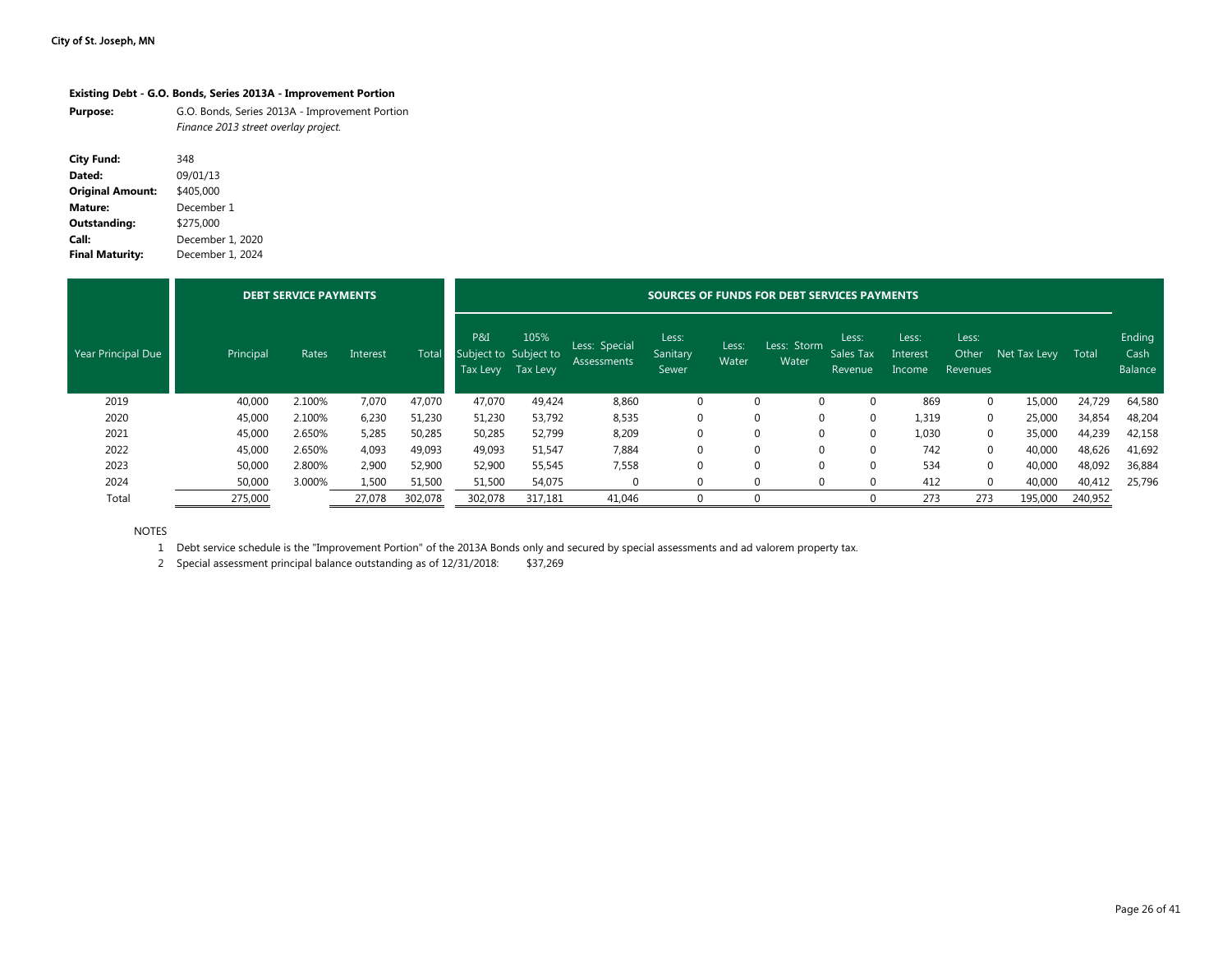#### **Existing Debt - G.O. Bonds, Series 2013A - Improvement Portion**

| <b>Purpose:</b> | G.O. Bonds, Series 2013A - Improvement Portion |
|-----------------|------------------------------------------------|
|                 | Finance 2013 street overlay project.           |

| City Fund:              | 348              |
|-------------------------|------------------|
| Dated:                  | 09/01/13         |
| <b>Original Amount:</b> | \$405,000        |
| Mature:                 | December 1       |
| Outstanding:            | \$275,000        |
| Call:                   | December 1, 2020 |
| <b>Final Maturity:</b>  | December 1, 2024 |

|                    |           | <b>DEBT SERVICE PAYMENTS</b> |          |         | <b>SOURCES OF FUNDS FOR DEBT SERVICES PAYMENTS</b> |                  |                              |                            |                |                      |                               |                             |                            |              |         |                           |
|--------------------|-----------|------------------------------|----------|---------|----------------------------------------------------|------------------|------------------------------|----------------------------|----------------|----------------------|-------------------------------|-----------------------------|----------------------------|--------------|---------|---------------------------|
| Year Principal Due | Principal | Rates                        | Interest | Total   | P&I<br>Subject to Subject to<br>Tax Levy           | 105%<br>Tax Levy | Less: Special<br>Assessments | Less:<br>Sanitary<br>Sewer | Less:<br>Water | Less: Storm<br>Water | Less:<br>Sales Tax<br>Revenue | Less:<br>Interest<br>Income | Less:<br>Other<br>Revenues | Net Tax Levy | Total   | Ending<br>Cash<br>Balance |
| 2019               | 40,000    | 2.100%                       | 7,070    | 47,070  | 47,070                                             | 49,424           | 8,860                        | 0                          | $\mathbf 0$    | $\Omega$             | $\Omega$                      | 869                         | $\Omega$                   | 15,000       | 24,729  | 64,580                    |
| 2020               | 45,000    | 2.100%                       | 6,230    | 51,230  | 51,230                                             | 53,792           | 8,535                        | $\Omega$                   | $\Omega$       | $\Omega$             |                               | 1,319                       | $\Omega$                   | 25,000       | 34,854  | 48,204                    |
| 2021               | 45,000    | 2.650%                       | 5,285    | 50,285  | 50,285                                             | 52,799           | 8,209                        | $\Omega$                   | $\Omega$       | $\Omega$             |                               | 1,030                       | $\Omega$                   | 35,000       | 44,239  | 42,158                    |
| 2022               | 45,000    | 2.650%                       | 4,093    | 49,093  | 49,093                                             | 51,547           | 7,884                        | $\mathbf 0$                | $\Omega$       | $\Omega$             |                               | 742                         | $\Omega$                   | 40,000       | 48,626  | 41,692                    |
| 2023               | 50,000    | 2.800%                       | 2,900    | 52,900  | 52,900                                             | 55,545           | 7,558                        | $\Omega$                   | $\Omega$       | $\Omega$             | $\Omega$                      | 534                         | $\Omega$                   | 40,000       | 48,092  | 36,884                    |
| 2024               | 50,000    | 3.000%                       | 1,500    | 51,500  | 51,500                                             | 54,075           |                              | $\Omega$                   | $\Omega$       | $\Omega$             |                               | 412                         |                            | 40,000       | 40,412  | 25,796                    |
| Total              | 275,000   |                              | 27,078   | 302,078 | 302,078                                            | 317,181          | 41,046                       |                            |                |                      |                               | 273                         | 273                        | 195,000      | 240,952 |                           |

NOTES

1 Debt service schedule is the "Improvement Portion" of the 2013A Bonds only and secured by special assessments and ad valorem property tax.

2 Special assessment principal balance outstanding as of 12/31/2018: \$37,269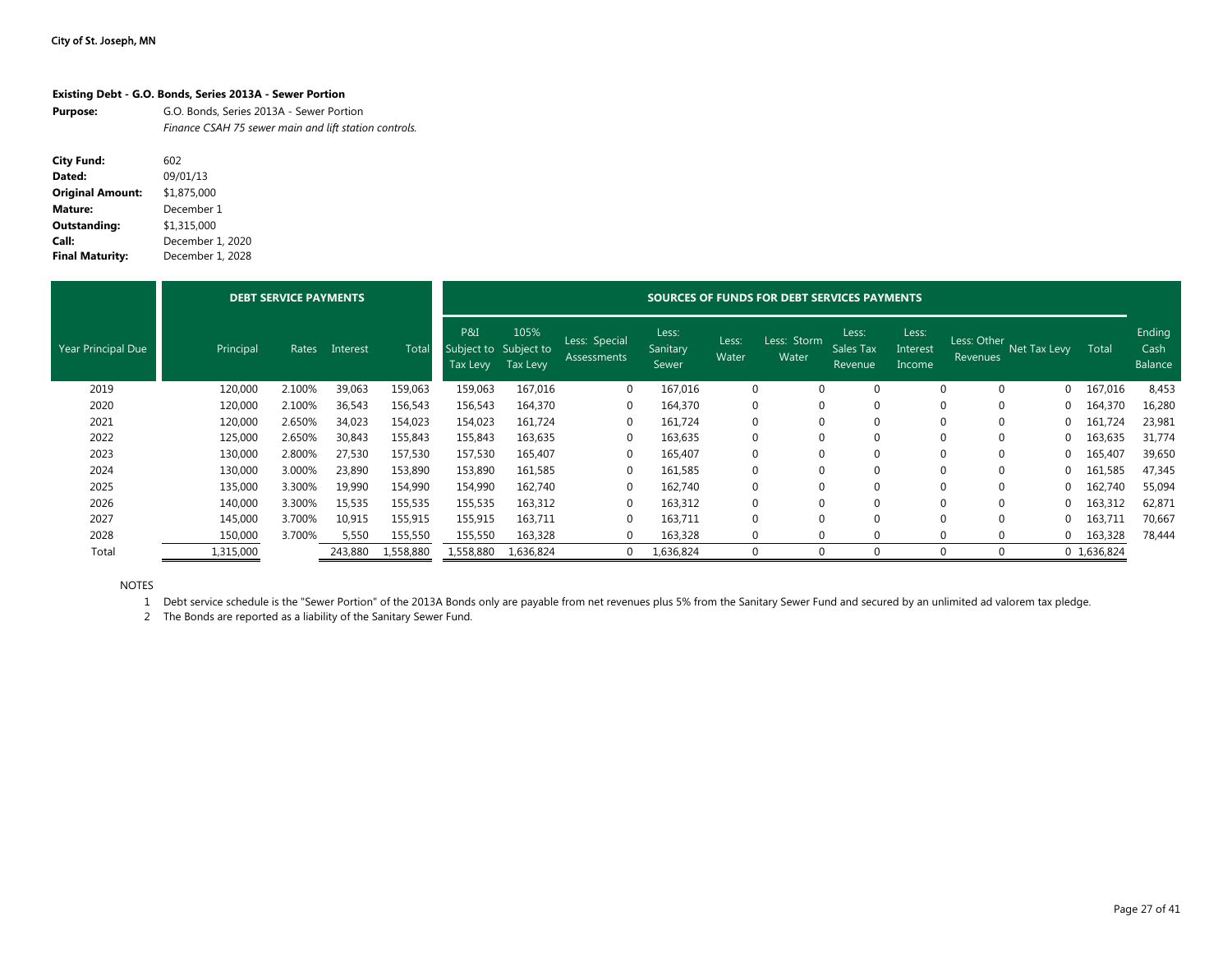### **Existing Debt - G.O. Bonds, Series 2013A - Sewer Portion**

| <b>Purpose:</b> | G.O. Bonds, Series 2013A - Sewer Portion              |
|-----------------|-------------------------------------------------------|
|                 | Finance CSAH 75 sewer main and lift station controls. |

| <b>City Fund:</b>       | 602              |
|-------------------------|------------------|
| Dated:                  | 09/01/13         |
| <b>Original Amount:</b> | \$1,875,000      |
| Mature:                 | December 1       |
| <b>Outstanding:</b>     | \$1,315,000      |
| Call:                   | December 1, 2020 |
| <b>Final Maturity:</b>  | December 1, 2028 |

|                    |           | <b>DEBT SERVICE PAYMENTS</b> |          |           |                                          | <b>SOURCES OF FUNDS FOR DEBT SERVICES PAYMENTS</b> |                                     |                            |                |                      |                               |                             |                         |              |             |                           |  |
|--------------------|-----------|------------------------------|----------|-----------|------------------------------------------|----------------------------------------------------|-------------------------------------|----------------------------|----------------|----------------------|-------------------------------|-----------------------------|-------------------------|--------------|-------------|---------------------------|--|
| Year Principal Due | Principal | Rates                        | Interest | Total     | P&I<br>Subject to Subject to<br>Tax Levy | 105%<br>Tax Levy                                   | Less: Special<br><b>Assessments</b> | Less:<br>Sanitary<br>Sewer | Less:<br>Water | Less: Storm<br>Water | Less:<br>Sales Tax<br>Revenue | Less:<br>Interest<br>Income | Less: Other<br>Revenues | Net Tax Levy | Total       | Ending<br>Cash<br>Balance |  |
| 2019               | 120,000   | 2.100%                       | 39,063   | 159,063   | 159,063                                  | 167,016                                            | $\mathbf{0}$                        | 167,016                    | $\mathbf 0$    | 0                    |                               |                             | $\Omega$<br>$\Omega$    | $\Omega$     | 167,016     | 8,453                     |  |
| 2020               | 120,000   | 2.100%                       | 36,543   | 156,543   | 156,543                                  | 164,370                                            | 0                                   | 164,370                    | $\mathbf 0$    | 0                    |                               |                             | $\mathbf 0$             |              | 164,370     | 16,280                    |  |
| 2021               | 120,000   | 2.650%                       | 34,023   | 154,023   | 154,023                                  | 161,724                                            | 0                                   | 161,724                    | $\mathbf 0$    | 0                    |                               |                             | $\Omega$<br>$\mathbf 0$ |              | 161,724     | 23,981                    |  |
| 2022               | 125,000   | 2.650%                       | 30,843   | 155,843   | 155,843                                  | 163,635                                            | $\mathbf 0$                         | 163,635                    | $\mathbf 0$    | 0                    |                               |                             | $\Omega$                |              | 163,635     | 31,774                    |  |
| 2023               | 130,000   | 2.800%                       | 27,530   | 157,530   | 157,530                                  | 165,407                                            | $\mathbf 0$                         | 165,407                    | $\Omega$       | $\Omega$             |                               |                             | $\Omega$<br>$\Omega$    | $\Omega$     | 165,407     | 39,650                    |  |
| 2024               | 130,000   | 3.000%                       | 23,890   | 153,890   | 153,890                                  | 161,585                                            | 0                                   | 161,585                    | $\mathbf 0$    | 0                    |                               |                             | $\Omega$                |              | 161,585     | 47,345                    |  |
| 2025               | 135,000   | 3.300%                       | 19,990   | 154,990   | 154,990                                  | 162,740                                            | $\mathbf 0$                         | 162,740                    | $\Omega$       |                      |                               |                             | $\Omega$                |              | 162,740     | 55,094                    |  |
| 2026               | 140,000   | 3.300%                       | 15,535   | 155,535   | 155,535                                  | 163,312                                            | $\mathbf 0$                         | 163,312                    | $\mathbf 0$    |                      |                               |                             |                         |              | 163,312     | 62,871                    |  |
| 2027               | 145,000   | 3.700%                       | 10,915   | 155,915   | 155,915                                  | 163,711                                            | $\mathbf 0$                         | 163,711                    | $\mathbf 0$    |                      |                               |                             | $\Omega$                |              | 163,711     | 70,667                    |  |
| 2028               | 150,000   | 3.700%                       | 5,550    | 155,550   | 155,550                                  | 163,328                                            | 0                                   | 163,328                    | 0              | $\Omega$             |                               |                             | $\Omega$<br>$\Omega$    | $\Omega$     | 163,328     | 78,444                    |  |
| Total              | 1,315,000 |                              | 243,880  | 1,558,880 | 1,558,880                                | 1,636,824                                          | $\mathbf 0$                         | 1,636,824                  | 0              | $\Omega$             |                               |                             | $\Omega$<br>$\Omega$    |              | 0 1,636,824 |                           |  |

NOTES

1 Debt service schedule is the "Sewer Portion" of the 2013A Bonds only are payable from net revenues plus 5% from the Sanitary Sewer Fund and secured by an unlimited ad valorem tax pledge.

2 The Bonds are reported as a liability of the Sanitary Sewer Fund.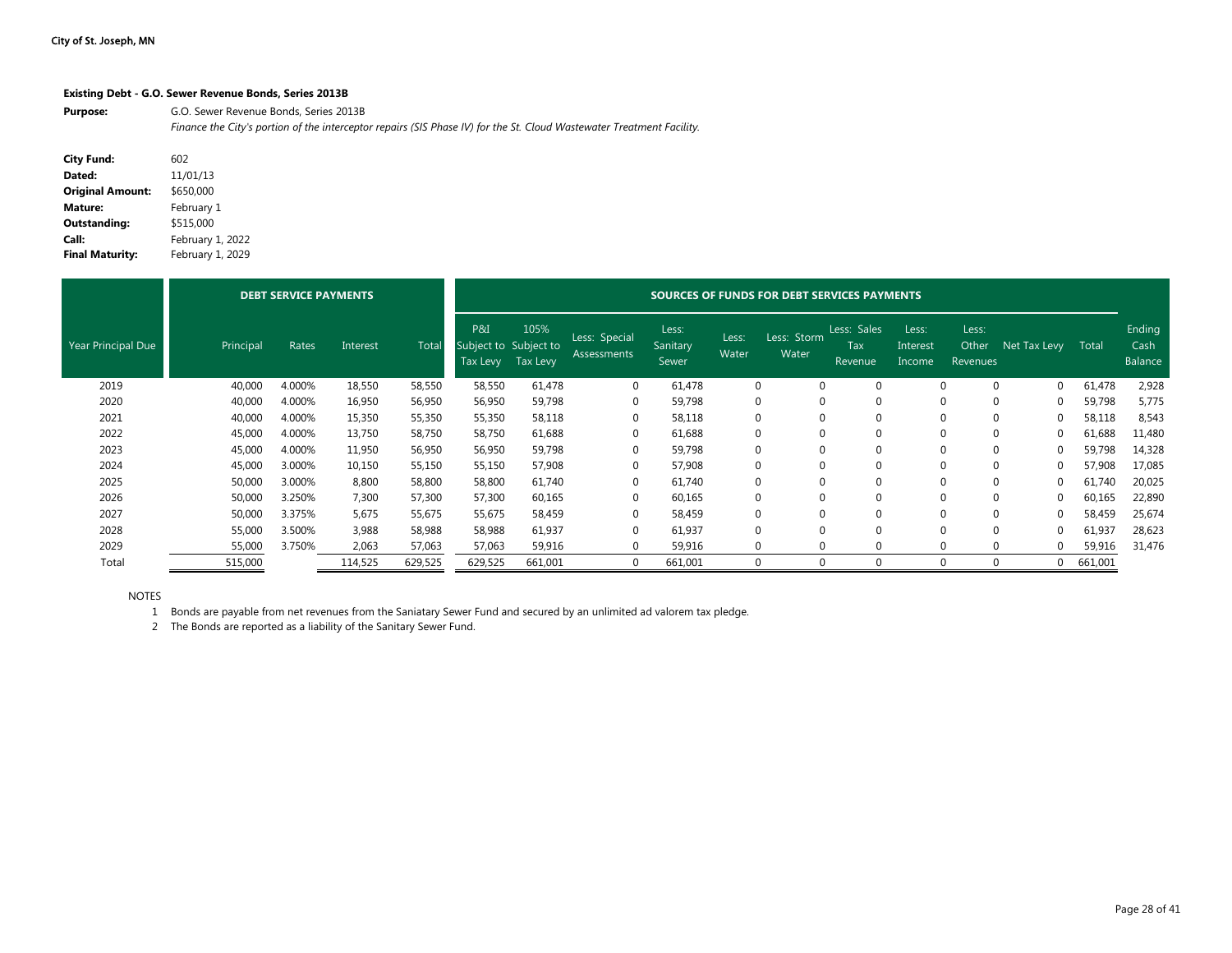#### **Existing Debt - G.O. Sewer Revenue Bonds, Series 2013B**

Purpose: **G.O. Sewer Revenue Bonds, Series 2013B** *Finance the City's portion of the interceptor repairs (SIS Phase IV) for the St. Cloud Wastewater Treatment Facility.*

| <b>City Fund:</b>       | 602              |
|-------------------------|------------------|
| Dated:                  | 11/01/13         |
| <b>Original Amount:</b> | \$650,000        |
| Mature:                 | February 1       |
| <b>Outstanding:</b>     | \$515.000        |
| Call:                   | February 1, 2022 |
| <b>Final Maturity:</b>  | February 1, 2029 |

|                    |           | <b>DEBT SERVICE PAYMENTS</b> |          |         |                                          | SOURCES OF FUNDS FOR DEBT SERVICES PAYMENTS |                              |                            |                |                      |                               |                             |                            |              |         |                           |  |
|--------------------|-----------|------------------------------|----------|---------|------------------------------------------|---------------------------------------------|------------------------------|----------------------------|----------------|----------------------|-------------------------------|-----------------------------|----------------------------|--------------|---------|---------------------------|--|
| Year Principal Due | Principal | Rates                        | Interest | Total   | P&I<br>Subject to Subject to<br>Tax Levy | 105%<br>Tax Levy                            | Less: Special<br>Assessments | Less:<br>Sanitary<br>Sewer | Less:<br>Water | Less: Storm<br>Water | Less: Sales<br>Tax<br>Revenue | Less:<br>Interest<br>Income | Less:<br>Other<br>Revenues | Net Tax Levy | Total   | Ending<br>Cash<br>Balance |  |
| 2019               | 40,000    | 4.000%                       | 18,550   | 58,550  | 58,550                                   | 61,478                                      | $\mathbf{0}$                 | 61,478                     |                | $\mathbf 0$          | 0                             | $\mathbf{0}$                | $\Omega$                   | 0            | 61,478  | 2,928                     |  |
| 2020               | 40,000    | 4.000%                       | 16,950   | 56,950  | 56,950                                   | 59,798                                      | $\mathbf 0$                  | 59,798                     |                |                      | 0                             | $\mathbf{0}$                |                            | 0            | 59,798  | 5,775                     |  |
| 2021               | 40,000    | 4.000%                       | 15,350   | 55,350  | 55,350                                   | 58,118                                      | $\mathbf 0$                  | 58,118                     |                |                      | 0                             | $\mathbf{0}$                |                            | 0            | 58,118  | 8,543                     |  |
| 2022               | 45,000    | 4.000%                       | 13,750   | 58,750  | 58,750                                   | 61,688                                      | $\mathbf 0$                  | 61,688                     |                |                      | 0                             | $\mathbf{0}$                |                            | 0            | 61,688  | 11,480                    |  |
| 2023               | 45,000    | 4.000%                       | 11,950   | 56,950  | 56,950                                   | 59,798                                      | $\mathbf 0$                  | 59,798                     |                |                      | $\Omega$                      | $\mathbf{0}$                |                            | 0            | 59,798  | 14,328                    |  |
| 2024               | 45,000    | 3.000%                       | 10,150   | 55,150  | 55,150                                   | 57,908                                      | $\mathbf 0$                  | 57,908                     |                |                      | $\Omega$                      | $\mathbf{0}$                |                            | 0            | 57,908  | 17,085                    |  |
| 2025               | 50,000    | 3.000%                       | 8,800    | 58,800  | 58,800                                   | 61,740                                      | $\mathbf{0}$                 | 61,740                     |                |                      | 0                             | $\Omega$                    |                            | 0            | 61,740  | 20,025                    |  |
| 2026               | 50,000    | 3.250%                       | 7,300    | 57,300  | 57,300                                   | 60,165                                      | $\mathbf{0}$                 | 60,165                     |                |                      | $\mathbf{0}$                  | $\Omega$                    | 0                          | 0            | 60,165  | 22,890                    |  |
| 2027               | 50,000    | 3.375%                       | 5,675    | 55,675  | 55,675                                   | 58,459                                      | $\mathbf{0}$                 | 58,459                     |                | $\Omega$             | 0                             | $\Omega$                    |                            | 0            | 58,459  | 25,674                    |  |
| 2028               | 55,000    | 3.500%                       | 3,988    | 58,988  | 58,988                                   | 61,937                                      | $\mathbf{0}$                 | 61,937                     |                |                      | 0                             | $\Omega$                    |                            | 0            | 61,937  | 28,623                    |  |
| 2029               | 55,000    | 3.750%                       | 2,063    | 57,063  | 57,063                                   | 59,916                                      | $\Omega$                     | 59,916                     | 0              | $\Omega$             | $\Omega$                      | $\Omega$                    | $\Omega$                   | O            | 59,916  | 31,476                    |  |
| Total              | 515,000   |                              | 114,525  | 629,525 | 629,525                                  | 661,001                                     | $\mathbf 0$                  | 661,001                    |                |                      | 0                             | $\mathbf 0$                 |                            | 0            | 661,001 |                           |  |

NOTES

1 Bonds are payable from net revenues from the Saniatary Sewer Fund and secured by an unlimited ad valorem tax pledge.

2 The Bonds are reported as a liability of the Sanitary Sewer Fund.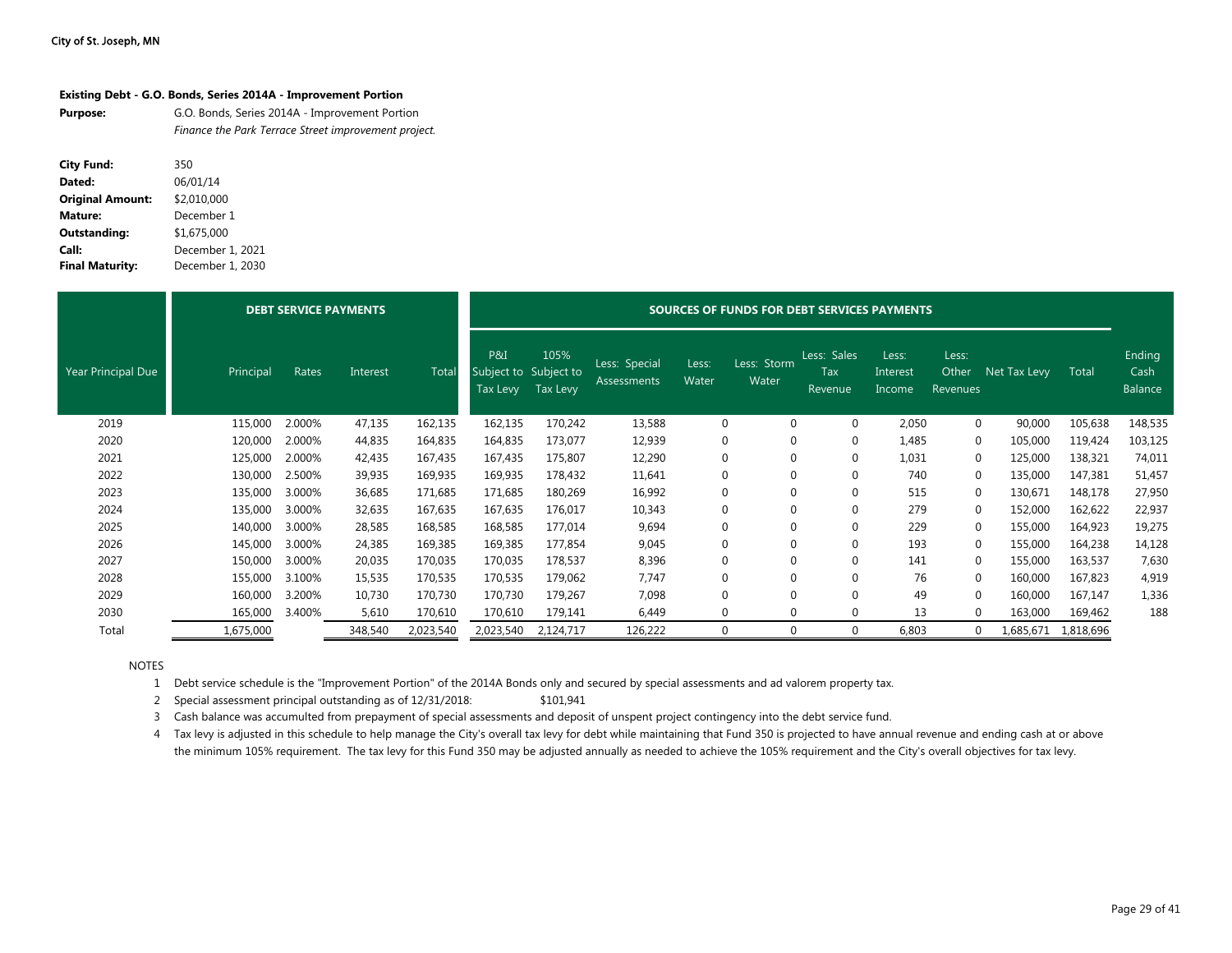| Existing Debt - G.O. Bonds, Series 2014A - Improvement Portion |  |
|----------------------------------------------------------------|--|
|----------------------------------------------------------------|--|

| <b>Purpose:</b> | G.O. Bonds, Series 2014A - Improvement Portion       |
|-----------------|------------------------------------------------------|
|                 | Finance the Park Terrace Street improvement project. |

| <b>City Fund:</b>       | 350              |
|-------------------------|------------------|
| Dated:                  | 06/01/14         |
| <b>Original Amount:</b> | \$2,010,000      |
| <b>Mature:</b>          | December 1       |
| <b>Outstanding:</b>     | \$1,675,000      |
| Call:                   | December 1, 2021 |
| <b>Final Maturity:</b>  | December 1, 2030 |

|                    |           |        | <b>DEBT SERVICE PAYMENTS</b> |           | SOURCES OF FUNDS FOR DEBT SERVICES PAYMENTS |                           |                              |                |                      |                               |                             |                            |              |           |                           |  |
|--------------------|-----------|--------|------------------------------|-----------|---------------------------------------------|---------------------------|------------------------------|----------------|----------------------|-------------------------------|-----------------------------|----------------------------|--------------|-----------|---------------------------|--|
| Year Principal Due | Principal | Rates  | Interest                     | Total     | P&I<br>Subject to Subject to                | 105%<br>Tax Levy Tax Levy | Less: Special<br>Assessments | Less:<br>Water | Less: Storm<br>Water | Less: Sales<br>Tax<br>Revenue | Less:<br>Interest<br>Income | Less:<br>Other<br>Revenues | Net Tax Levy | Total     | Ending<br>Cash<br>Balance |  |
| 2019               | 115,000   | 2.000% | 47,135                       | 162,135   | 162,135                                     | 170,242                   | 13,588                       | 0              | $\Omega$             | $\mathbf 0$                   | 2,050                       | 0                          | 90,000       | 105,638   | 148,535                   |  |
| 2020               | 120,000   | 2.000% | 44,835                       | 164,835   | 164,835                                     | 173,077                   | 12,939                       | 0              | $\mathbf 0$          | $\mathbf 0$                   | 1,485                       | 0                          | 105,000      | 119,424   | 103,125                   |  |
| 2021               | 125,000   | 2.000% | 42,435                       | 167,435   | 167,435                                     | 175,807                   | 12,290                       | 0              | $\mathbf 0$          | $\mathbf 0$                   | 1,031                       | 0                          | 125,000      | 138,321   | 74,011                    |  |
| 2022               | 130,000   | 2.500% | 39,935                       | 169,935   | 169,935                                     | 178,432                   | 11,641                       | 0              |                      | 0                             | 740                         | $\Omega$                   | 135,000      | 147,381   | 51,457                    |  |
| 2023               | 135,000   | 3.000% | 36,685                       | 171,685   | 171,685                                     | 180,269                   | 16,992                       | $\Omega$       |                      | $\Omega$                      | 515                         | $\Omega$                   | 130,671      | 148,178   | 27,950                    |  |
| 2024               | 135,000   | 3.000% | 32,635                       | 167,635   | 167,635                                     | 176,017                   | 10,343                       | 0              | 0                    | $\mathbf 0$                   | 279                         | 0                          | 152,000      | 162,622   | 22,937                    |  |
| 2025               | 140,000   | 3.000% | 28,585                       | 168,585   | 168,585                                     | 177,014                   | 9,694                        | 0              | $\Omega$             | $\mathbf 0$                   | 229                         | $\Omega$                   | 155,000      | 164,923   | 19,275                    |  |
| 2026               | 145,000   | 3.000% | 24,385                       | 169,385   | 169,385                                     | 177,854                   | 9,045                        | 0              |                      | $\Omega$                      | 193                         | $\Omega$                   | 155,000      | 164,238   | 14,128                    |  |
| 2027               | 150,000   | 3.000% | 20,035                       | 170,035   | 170,035                                     | 178,537                   | 8,396                        | 0              | $\mathbf 0$          | $\mathbf 0$                   | 141                         | 0                          | 155,000      | 163,537   | 7,630                     |  |
| 2028               | 155,000   | 3.100% | 15,535                       | 170,535   | 170,535                                     | 179,062                   | 7,747                        | 0              |                      | $\Omega$                      | 76                          | $\Omega$                   | 160,000      | 167,823   | 4,919                     |  |
| 2029               | 160,000   | 3.200% | 10,730                       | 170,730   | 170,730                                     | 179,267                   | 7,098                        | 0              |                      | $\Omega$                      | 49                          | 0                          | 160,000      | 167,147   | 1,336                     |  |
| 2030               | 165,000   | 3.400% | 5,610                        | 170,610   | 170,610                                     | 179,141                   | 6,449                        | 0              | $\Omega$             | $\mathbf 0$                   | 13                          | 0                          | 163,000      | 169,462   | 188                       |  |
| Total              | 1,675,000 |        | 348,540                      | 2,023,540 | 2,023,540                                   | 2,124,717                 | 126,222                      | 0              | $\Omega$             | $\mathbf 0$                   | 6,803                       |                            | 1,685,671    | 1,818,696 |                           |  |

NOTES

1 Debt service schedule is the "Improvement Portion" of the 2014A Bonds only and secured by special assessments and ad valorem property tax.

2 Special assessment principal outstanding as of 12/31/2018: \$101,941

3 Cash balance was accumulted from prepayment of special assessments and deposit of unspent project contingency into the debt service fund.

4 Tax levy is adjusted in this schedule to help manage the City's overall tax levy for debt while maintaining that Fund 350 is projected to have annual revenue and ending cash at or above the minimum 105% requirement. The tax levy for this Fund 350 may be adjusted annually as needed to achieve the 105% requirement and the City's overall objectives for tax levy.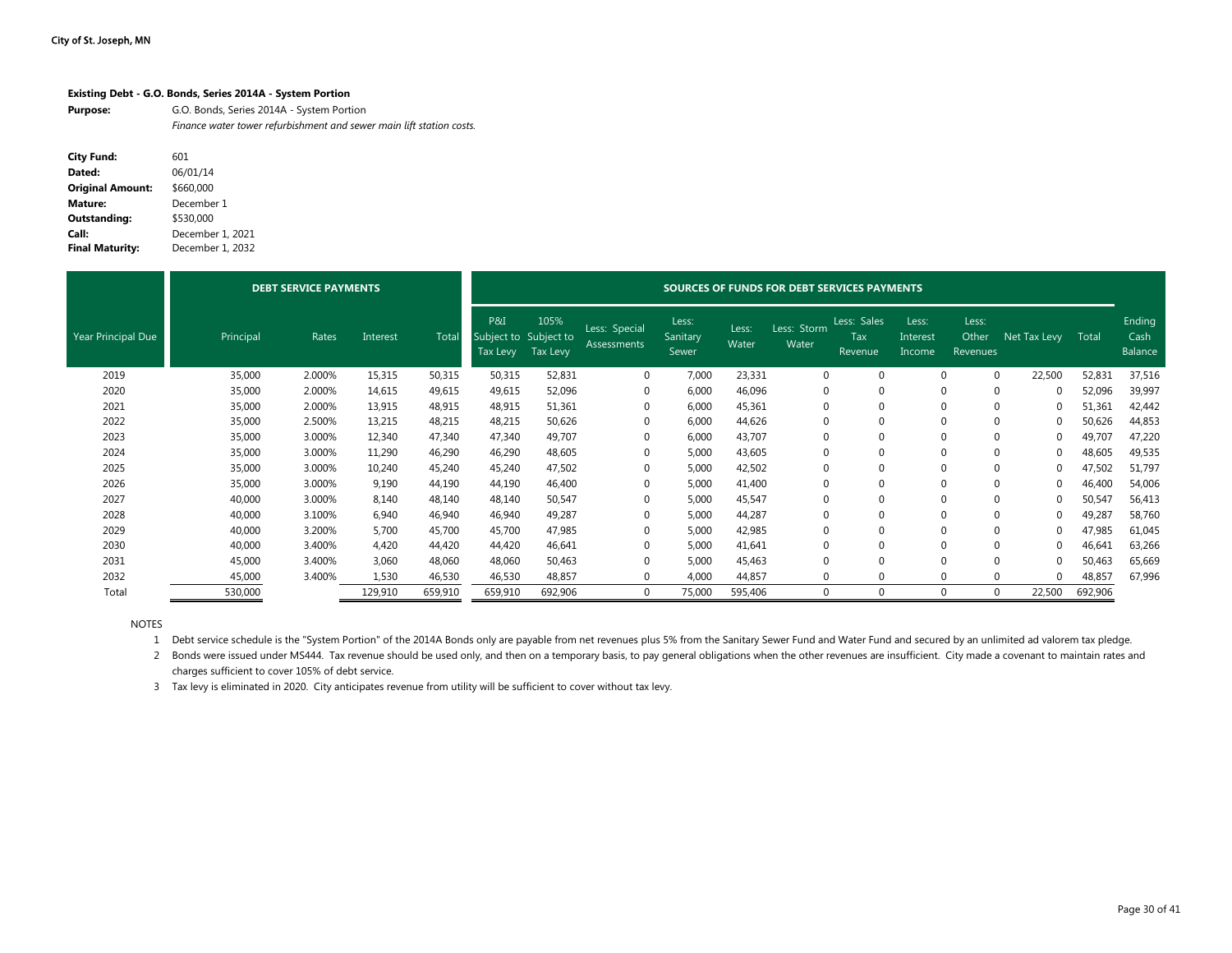#### **Existing Debt - G.O. Bonds, Series 2014A - System Portion**

| <b>Purpose:</b> | G.O. Bonds, Series 2014A - System Portion                            |
|-----------------|----------------------------------------------------------------------|
|                 | Finance water tower refurbishment and sewer main lift station costs. |

| <b>City Fund:</b>       | 601              |
|-------------------------|------------------|
| Dated:                  | 06/01/14         |
| <b>Original Amount:</b> | \$660,000        |
| Mature:                 | December 1       |
| <b>Outstanding:</b>     | \$530.000        |
| Call:                   | December 1, 2021 |
| <b>Final Maturity:</b>  | December 1, 2032 |

|                           |           | <b>DEBT SERVICE PAYMENTS</b> |          |         | SOURCES OF FUNDS FOR DEBT SERVICES PAYMENTS |                  |                              |                            |                |                      |                               |                             |                            |              |         |                           |  |
|---------------------------|-----------|------------------------------|----------|---------|---------------------------------------------|------------------|------------------------------|----------------------------|----------------|----------------------|-------------------------------|-----------------------------|----------------------------|--------------|---------|---------------------------|--|
| <b>Year Principal Due</b> | Principal | Rates                        | Interest | Tota    | P&I<br>Subject to Subject to<br>Tax Levy    | 105%<br>Tax Levy | Less: Special<br>Assessments | Less:<br>Sanitary<br>Sewer | Less:<br>Water | Less: Storm<br>Water | Less: Sales<br>Tax<br>Revenue | Less:<br>Interest<br>Income | Less:<br>Other<br>Revenues | Net Tax Levy | Total   | Ending<br>Cash<br>Balance |  |
| 2019                      | 35,000    | 2.000%                       | 15,315   | 50,315  | 50,315                                      | 52,831           | $\Omega$                     | 7,000                      | 23,331         | $\Omega$             | $\Omega$                      | $\Omega$                    | $\Omega$                   | 22,500       | 52,831  | 37,516                    |  |
| 2020                      | 35,000    | 2.000%                       | 14,615   | 49,615  | 49,615                                      | 52,096           | 0                            | 6,000                      | 46,096         | $\Omega$             | $\Omega$                      | $\Omega$                    | $\Omega$                   |              | 52,096  | 39,997                    |  |
| 2021                      | 35,000    | 2.000%                       | 13,915   | 48,915  | 48,915                                      | 51,361           | 0                            | 6,000                      | 45,361         | $\Omega$             | $\Omega$                      | $\Omega$                    | $\Omega$                   |              | 51,361  | 42,442                    |  |
| 2022                      | 35,000    | 2.500%                       | 13,215   | 48,215  | 48,215                                      | 50,626           | 0                            | 6,000                      | 44,626         | $\Omega$             | $\Omega$                      | $\Omega$                    | $\Omega$                   |              | 50,626  | 44,853                    |  |
| 2023                      | 35,000    | 3.000%                       | 12,340   | 47,340  | 47,340                                      | 49,707           | 0                            | 6,000                      | 43,707         | $\Omega$             | $\mathbf 0$                   | $\Omega$                    | 0                          |              | 49,707  | 47,220                    |  |
| 2024                      | 35,000    | 3.000%                       | 11,290   | 46,290  | 46,290                                      | 48,605           | $\Omega$                     | 5,000                      | 43,605         | $\Omega$             | $\Omega$                      | $\Omega$                    | $\Omega$                   |              | 48,605  | 49,535                    |  |
| 2025                      | 35,000    | 3.000%                       | 10,240   | 45,240  | 45,240                                      | 47,502           | 0                            | 5,000                      | 42,502         | $\Omega$             | $\mathbf 0$                   | $\Omega$                    | 0                          |              | 47,502  | 51,797                    |  |
| 2026                      | 35,000    | 3.000%                       | 9,190    | 44,190  | 44,190                                      | 46,400           | $\mathbf 0$                  | 5,000                      | 41,400         | $\Omega$             | $\Omega$                      | $\Omega$                    | $\Omega$                   |              | 46,400  | 54,006                    |  |
| 2027                      | 40,000    | 3.000%                       | 8,140    | 48,140  | 48,140                                      | 50,547           | 0                            | 5,000                      | 45,547         | $\Omega$             | $\mathbf{0}$                  | $\Omega$                    | 0                          |              | 50,547  | 56,413                    |  |
| 2028                      | 40,000    | 3.100%                       | 6,940    | 46,940  | 46,940                                      | 49,287           | $\Omega$                     | 5,000                      | 44,287         | $\Omega$             | $\Omega$                      | $\Omega$                    | $\Omega$                   |              | 49,287  | 58,760                    |  |
| 2029                      | 40,000    | 3.200%                       | 5,700    | 45,700  | 45,700                                      | 47,985           | $\Omega$                     | 5.000                      | 42,985         | $\Omega$             | $\Omega$                      | $\Omega$                    | $\Omega$                   |              | 47,985  | 61,045                    |  |
| 2030                      | 40,000    | 3.400%                       | 4,420    | 44,420  | 44,420                                      | 46,641           | $\Omega$                     | 5,000                      | 41,641         | $\Omega$             | $\Omega$                      | $\Omega$                    | $\Omega$                   |              | 46,641  | 63,266                    |  |
| 2031                      | 45,000    | 3.400%                       | 3,060    | 48,060  | 48,060                                      | 50,463           | 0                            | 5,000                      | 45,463         | $\Omega$             | $\Omega$                      | $\Omega$                    | $\Omega$                   |              | 50,463  | 65,669                    |  |
| 2032                      | 45,000    | 3.400%                       | 1,530    | 46,530  | 46,530                                      | 48,857           | $\Omega$                     | 4,000                      | 44,857         | $\Omega$             | $\Omega$                      | $\Omega$                    |                            |              | 48,857  | 67,996                    |  |
| Total                     | 530,000   |                              | 129,910  | 659,910 | 659,910                                     | 692,906          | $\Omega$                     | 75,000                     | 595,406        | $\Omega$             | $\Omega$                      | $\Omega$                    | $\Omega$                   | 22,500       | 692,906 |                           |  |

NOTES

1 Debt service schedule is the "System Portion" of the 2014A Bonds only are payable from net revenues plus 5% from the Sanitary Sewer Fund and Water Fund and secured by an unlimited ad valorem tax pledge.

2 Bonds were issued under MS444. Tax revenue should be used only, and then on a temporary basis, to pay general obligations when the other revenues are insufficient. City made a covenant to maintain rates and charges sufficient to cover 105% of debt service.

3 Tax levy is eliminated in 2020. City anticipates revenue from utility will be sufficient to cover without tax levy.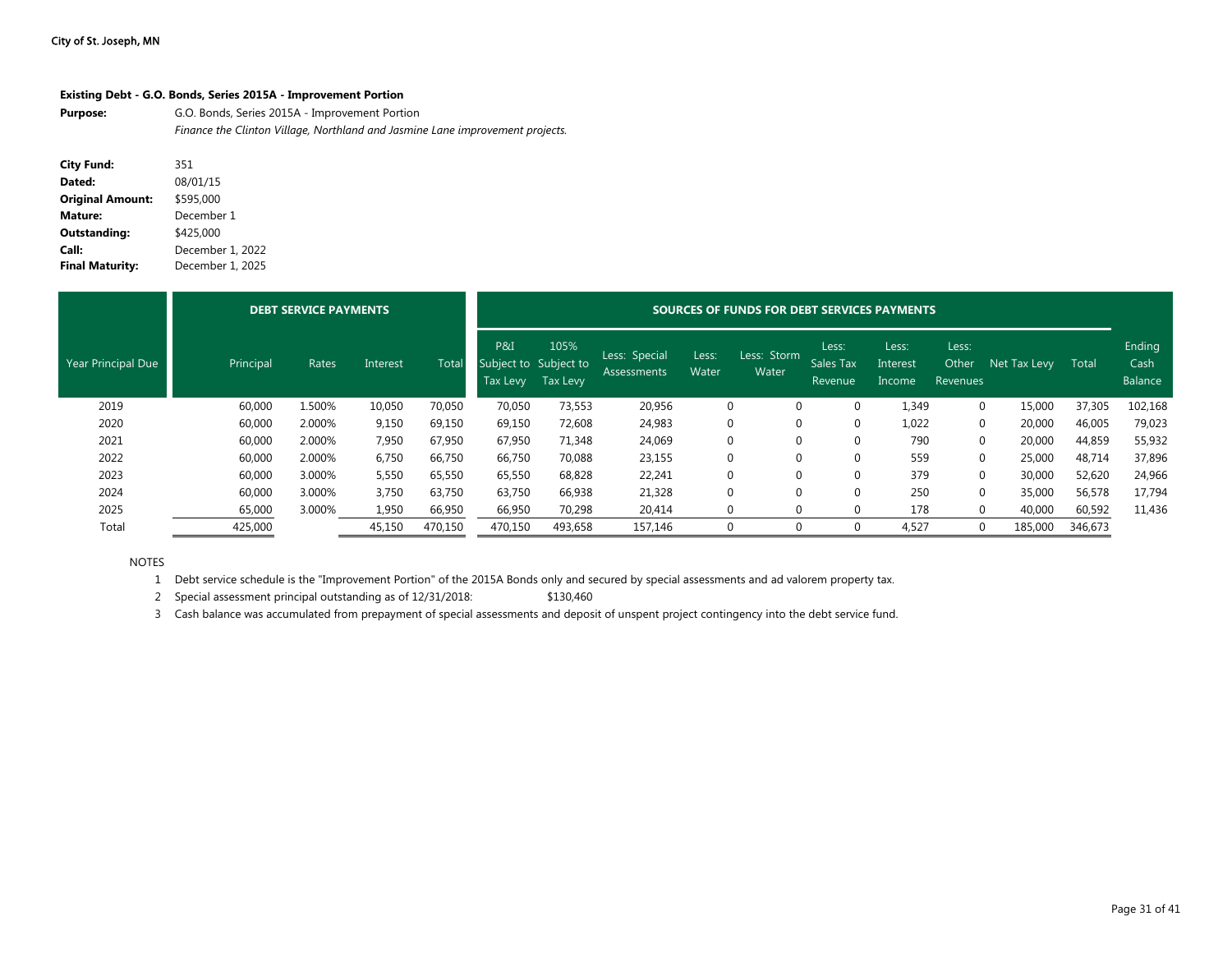#### **Existing Debt - G.O. Bonds, Series 2015A - Improvement Portion**

**Purpose:** G.O. Bonds, Series 2015A - Improvement Portion *Finance the Clinton Village, Northland and Jasmine Lane improvement projects.*

| <b>City Fund:</b>       | 351              |
|-------------------------|------------------|
| Dated:                  | 08/01/15         |
| <b>Original Amount:</b> | \$595,000        |
| <b>Mature:</b>          | December 1       |
| <b>Outstanding:</b>     | \$425,000        |
| Call:                   | December 1, 2022 |
| <b>Final Maturity:</b>  | December 1, 2025 |

|                    |           | <b>DEBT SERVICE PAYMENTS</b> |          |         | SOURCES OF FUNDS FOR DEBT SERVICES PAYMENTS |                  |                              |                |                      |                               |                             |                            |              |         |                           |  |
|--------------------|-----------|------------------------------|----------|---------|---------------------------------------------|------------------|------------------------------|----------------|----------------------|-------------------------------|-----------------------------|----------------------------|--------------|---------|---------------------------|--|
| Year Principal Due | Principal | Rates                        | Interest | Total   | P&I<br>Subject to Subject to<br>Tax Levy    | 105%<br>Tax Levy | Less: Special<br>Assessments | Less:<br>Water | Less: Storm<br>Water | Less:<br>Sales Tax<br>Revenue | Less:<br>Interest<br>Income | Less:<br>Other<br>Revenues | Net Tax Levy | Total   | Ending<br>Cash<br>Balance |  |
| 2019               | 60,000    | 1.500%                       | 10,050   | 70,050  | 70,050                                      | 73,553           | 20,956                       | 0              |                      | 0                             | 1,349                       | 0                          | 15,000       | 37,305  | 102,168                   |  |
| 2020               | 60,000    | 2.000%                       | 9,150    | 69,150  | 69,150                                      | 72,608           | 24,983                       | 0              |                      |                               | 1,022                       | 0                          | 20,000       | 46,005  | 79,023                    |  |
| 2021               | 60,000    | 2.000%                       | 7,950    | 67,950  | 67,950                                      | 71,348           | 24,069                       | $\Omega$       |                      | $\Omega$                      | 790                         | 0                          | 20,000       | 44,859  | 55,932                    |  |
| 2022               | 60,000    | 2.000%                       | 6,750    | 66,750  | 66,750                                      | 70,088           | 23,155                       | $\Omega$       |                      |                               | 559                         | 0                          | 25,000       | 48,714  | 37,896                    |  |
| 2023               | 60,000    | 3.000%                       | 5,550    | 65,550  | 65,550                                      | 68,828           | 22,241                       | 0              |                      | $\Omega$                      | 379                         | 0                          | 30,000       | 52,620  | 24,966                    |  |
| 2024               | 60,000    | 3.000%                       | 3,750    | 63,750  | 63,750                                      | 66,938           | 21,328                       | 0              |                      | 0                             | 250                         | 0                          | 35,000       | 56,578  | 17,794                    |  |
| 2025               | 65,000    | 3.000%                       | 1,950    | 66,950  | 66,950                                      | 70,298           | 20,414                       |                | 0<br>0               | 0                             | 178                         | 0                          | 40,000       | 60,592  | 11,436                    |  |
| Total              | 425,000   |                              | 45,150   | 470,150 | 470,150                                     | 493,658          | 157,146                      | 0              |                      |                               | 4,527                       | 0                          | 185,000      | 346,673 |                           |  |

NOTES

1 Debt service schedule is the "Improvement Portion" of the 2015A Bonds only and secured by special assessments and ad valorem property tax.

2 Special assessment principal outstanding as of 12/31/2018: \$130,460

3 Cash balance was accumulated from prepayment of special assessments and deposit of unspent project contingency into the debt service fund.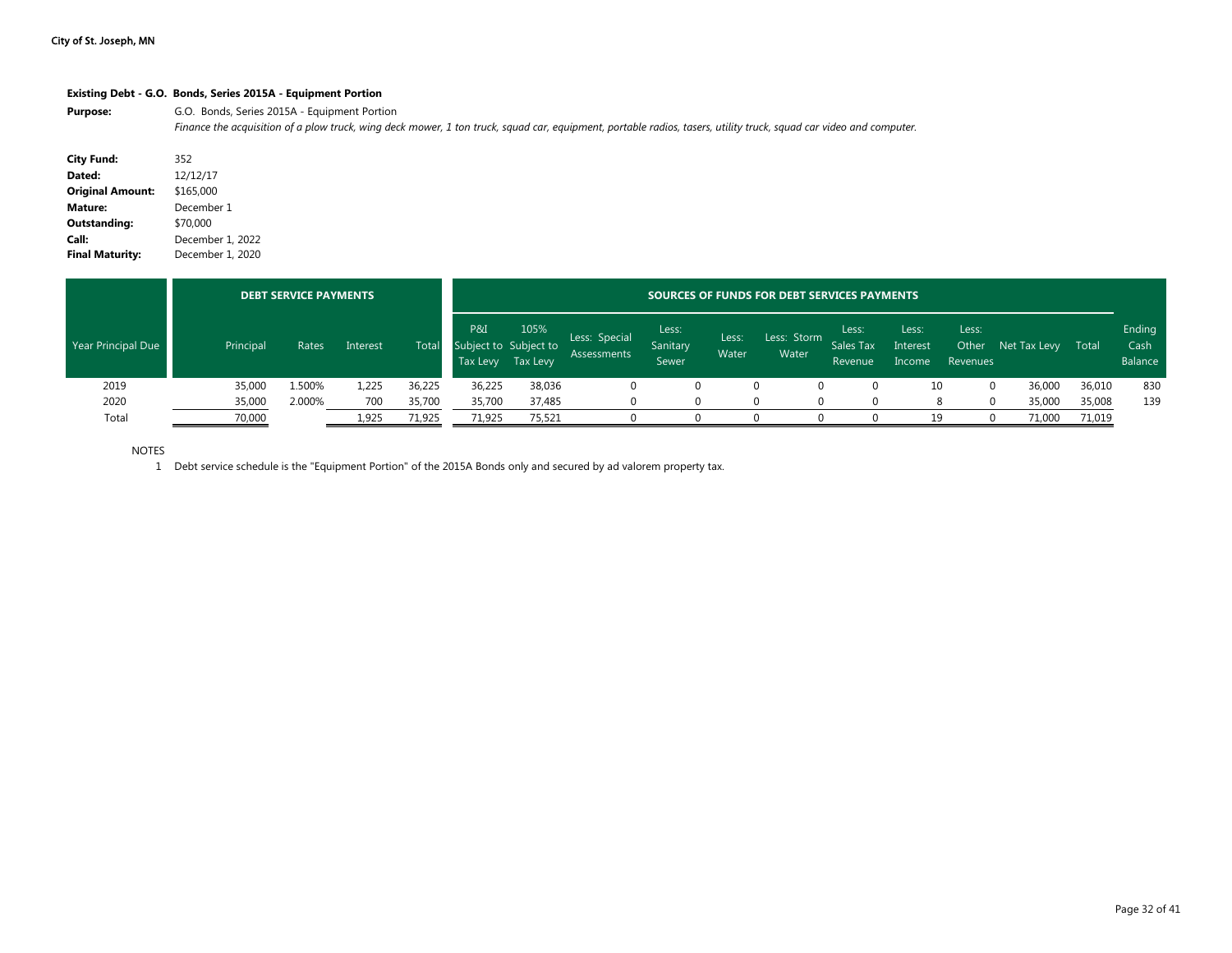#### **Existing Debt - G.O. Bonds, Series 2015A - Equipment Portion**

Purpose: G.O. Bonds, Series 2015A - Equipment Portion

*Finance the acquisition of a plow truck, wing deck mower, 1 ton truck, squad car, equipment, portable radios, tasers, utility truck, squad car video and computer.*

| <b>City Fund:</b>       | 352              |
|-------------------------|------------------|
| Dated:                  | 12/12/17         |
| <b>Original Amount:</b> | \$165,000        |
| Mature:                 | December 1       |
| Outstanding:            | \$70,000         |
| Call:                   | December 1, 2022 |
| <b>Final Maturity:</b>  | December 1, 2020 |

|                    |           | <b>DEBT SERVICE PAYMENTS</b> |          |        |                                          | SOURCES OF FUNDS FOR DEBT SERVICES PAYMENTS |                              |                            |                |                      |                               |                             |                            |              |        |                           |  |
|--------------------|-----------|------------------------------|----------|--------|------------------------------------------|---------------------------------------------|------------------------------|----------------------------|----------------|----------------------|-------------------------------|-----------------------------|----------------------------|--------------|--------|---------------------------|--|
| Year Principal Due | Principal | Rates                        | Interest | Total  | P&I<br>Subject to Subject to<br>Tax Levy | 105%<br>Tax Levy                            | Less: Special<br>Assessments | Less:<br>Sanitary<br>Sewer | Less:<br>Water | Less: Storm<br>Water | Less:<br>Sales Tax<br>Revenue | Less:<br>Interest<br>Income | Less:<br>Other<br>Revenues | Net Tax Levy | Total  | Ending<br>Cash<br>Balance |  |
| 2019               | 35,000    | 1.500%                       | 1,225    | 36,225 | 36,225                                   | 38,036                                      |                              |                            |                | $\Omega$             |                               | 10                          | 0                          | 36,000       | 36,010 | 830                       |  |
| 2020               | 35,000    | 2.000%                       | 700      | 35,700 | 35,700                                   | 37,485                                      |                              |                            |                | $\Omega$             |                               |                             |                            | 35,000       | 35,008 | 139                       |  |
| Total              | 70,000    |                              | 1,925    | 71,925 | 71,925                                   | 75,521                                      |                              |                            |                |                      |                               | 19                          |                            | 71,000       | 71,019 |                           |  |

NOTES

1 Debt service schedule is the "Equipment Portion" of the 2015A Bonds only and secured by ad valorem property tax.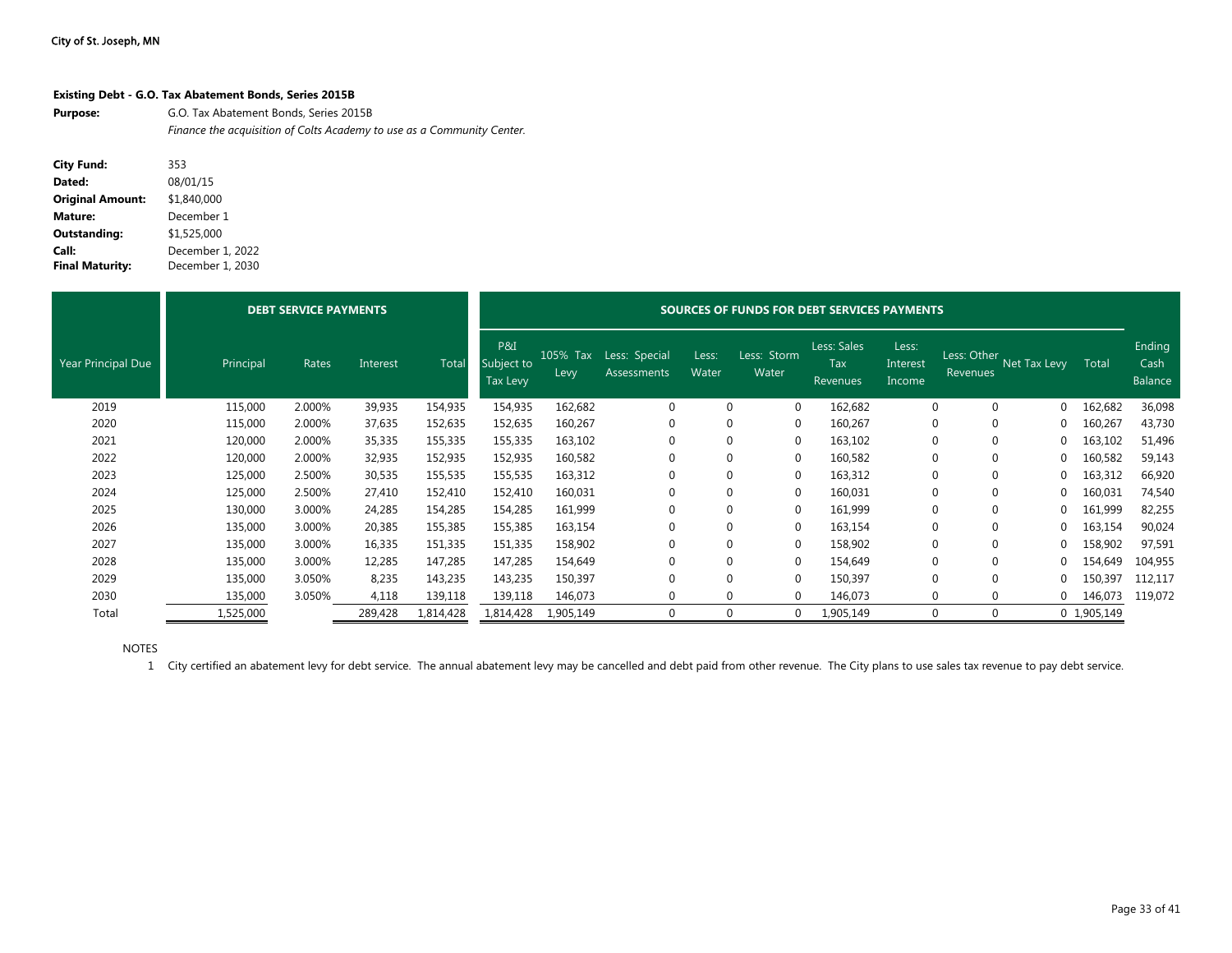#### **Existing Debt - G.O. Tax Abatement Bonds, Series 2015B**

Purpose: **G.O. Tax Abatement Bonds, Series 2015B** *Finance the acquisition of Colts Academy to use as a Community Center.*

| <b>City Fund:</b>       | 353              |
|-------------------------|------------------|
| Dated:                  | 08/01/15         |
| <b>Original Amount:</b> | \$1,840,000      |
| Mature:                 | December 1       |
| Outstanding:            | \$1,525,000      |
| Call:                   | December 1, 2022 |
| <b>Final Maturity:</b>  | December 1, 2030 |

|                           | <b>DEBT SERVICE PAYMENTS</b> |        |          | SOURCES OF FUNDS FOR DEBT SERVICES PAYMENTS |                               |                  |                                     |                |                      |                                |                             |                               |                          |             |                           |
|---------------------------|------------------------------|--------|----------|---------------------------------------------|-------------------------------|------------------|-------------------------------------|----------------|----------------------|--------------------------------|-----------------------------|-------------------------------|--------------------------|-------------|---------------------------|
| <b>Year Principal Due</b> | Principal                    | Rates  | Interest | Total                                       | P&I<br>Subject to<br>Tax Levy | 105% Tax<br>Levy | Less: Special<br><b>Assessments</b> | Less:<br>Water | Less: Storm<br>Water | Less: Sales<br>Tax<br>Revenues | Less:<br>Interest<br>Income | Revenues                      | Less: Other Net Tax Levy | Total       | Ending<br>Cash<br>Balance |
| 2019                      | 115,000                      | 2.000% | 39,935   | 154,935                                     | 154,935                       | 162,682          | $\mathbf 0$                         | 0              | 0                    | 162,682                        |                             | $\mathbf{0}$<br>$\mathbf 0$   | 0                        | 162,682     | 36,098                    |
| 2020                      | 115,000                      | 2.000% | 37,635   | 152,635                                     | 152,635                       | 160,267          | $\Omega$                            | U              | 0                    | 160,267                        |                             | $\mathbf 0$<br>$\overline{0}$ | 0                        | 160,267     | 43,730                    |
| 2021                      | 120,000                      | 2.000% | 35,335   | 155,335                                     | 155,335                       | 163,102          |                                     |                | 0                    | 163,102                        |                             | $\mathbf 0$<br>0              | $\Omega$                 | 163,102     | 51,496                    |
| 2022                      | 120,000                      | 2.000% | 32,935   | 152,935                                     | 152,935                       | 160,582          |                                     |                | $\Omega$             | 160,582                        | $\mathbf 0$                 | $\mathbf 0$                   | 0                        | 160,582     | 59,143                    |
| 2023                      | 125,000                      | 2.500% | 30,535   | 155,535                                     | 155,535                       | 163,312          |                                     |                | $\Omega$             | 163,312                        | 0                           | 0                             | $\Omega$                 | 163,312     | 66,920                    |
| 2024                      | 125,000                      | 2.500% | 27,410   | 152,410                                     | 152,410                       | 160,031          |                                     |                | 0                    | 160,031                        | $\mathbf 0$                 | $\mathbf 0$                   | $\Omega$                 | 160,031     | 74,540                    |
| 2025                      | 130,000                      | 3.000% | 24,285   | 154,285                                     | 154,285                       | 161,999          |                                     |                | $\Omega$             | 161,999                        |                             | $\mathbf 0$<br>0              | $\Omega$                 | 161,999     | 82,255                    |
| 2026                      | 135,000                      | 3.000% | 20,385   | 155,385                                     | 155,385                       | 163,154          | $\Omega$                            |                | $\Omega$             | 163,154                        |                             | $\mathbf 0$<br>$\mathbf 0$    | $\Omega$                 | 163,154     | 90,024                    |
| 2027                      | 135,000                      | 3.000% | 16,335   | 151,335                                     | 151,335                       | 158,902          | $\Omega$                            |                | $\Omega$             | 158,902                        |                             | $\mathbf 0$<br>$\mathbf 0$    |                          | 158,902     | 97,591                    |
| 2028                      | 135,000                      | 3.000% | 12,285   | 147,285                                     | 147,285                       | 154,649          |                                     |                | $\Omega$             | 154,649                        |                             | $\mathbf 0$<br>$\Omega$       |                          | 154,649     | 104,955                   |
| 2029                      | 135,000                      | 3.050% | 8,235    | 143,235                                     | 143,235                       | 150,397          |                                     |                | $\Omega$             | 150,397                        |                             | $\Omega$<br>$\Omega$          |                          | 150,397     | 112,117                   |
| 2030                      | 135,000                      | 3.050% | 4,118    | 139,118                                     | 139,118                       | 146,073          | $\Omega$                            |                | $\Omega$             | 146,073                        |                             | $\mathbf 0$<br>$\Omega$       | 0                        | 146,073     | 119,072                   |
| Total                     | 1,525,000                    |        | 289,428  | 1,814,428                                   | 1,814,428                     | 1,905,149        |                                     |                | $\Omega$             | 1,905,149                      |                             |                               |                          | 0 1,905,149 |                           |

NOTES

1 City certified an abatement levy for debt service. The annual abatement levy may be cancelled and debt paid from other revenue. The City plans to use sales tax revenue to pay debt service.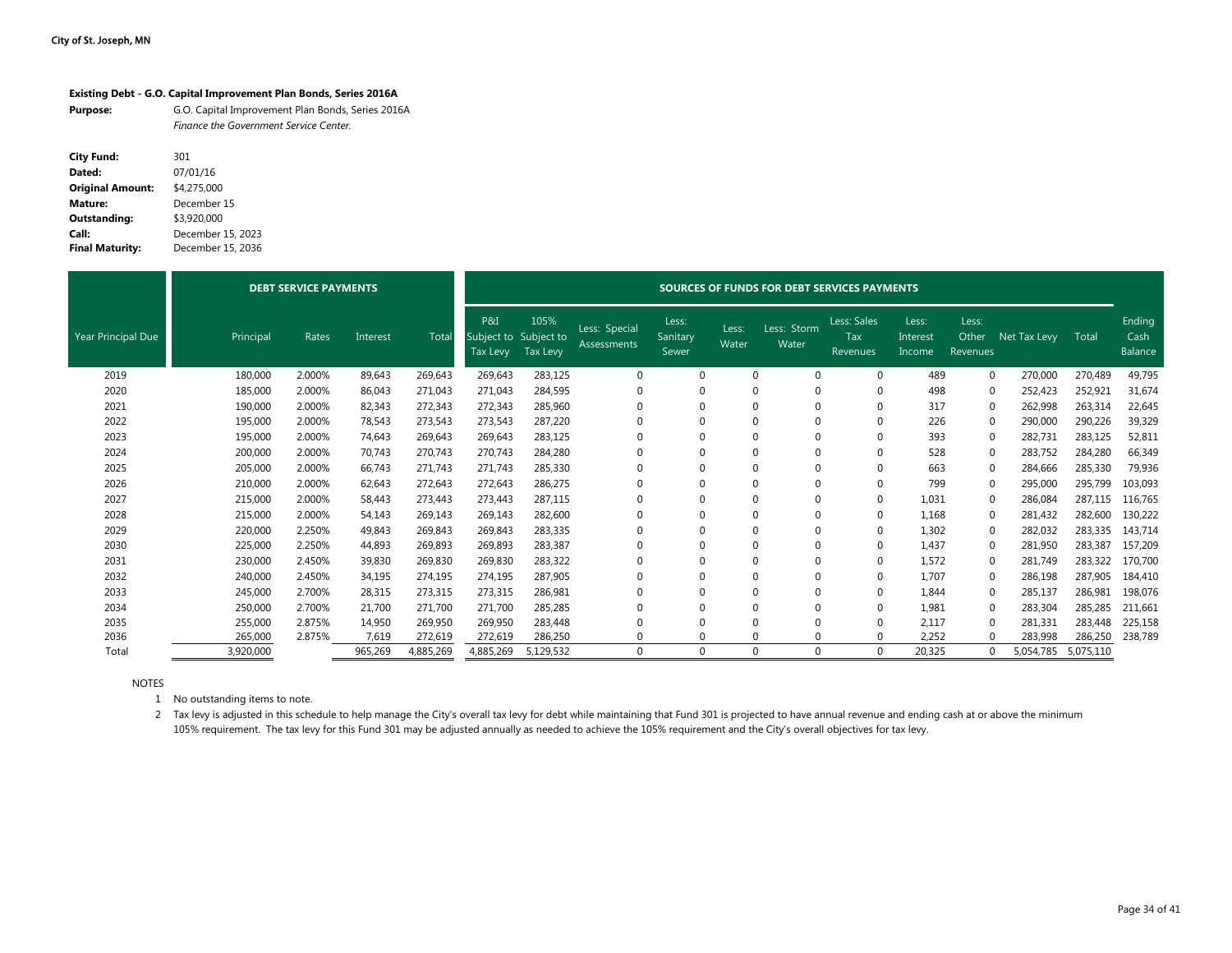#### **Existing Debt - G.O. Capital Improvement Plan Bonds, Series 2016A**

| <b>Purpose:</b> | G.O. Capital Improvement Plan Bonds, Series 2016A |
|-----------------|---------------------------------------------------|
|                 | <b>Finance the Government Service Center.</b>     |

| <b>City Fund:</b>       | 301               |
|-------------------------|-------------------|
| Dated:                  | 07/01/16          |
| <b>Original Amount:</b> | \$4,275,000       |
| Mature:                 | December 15       |
| Outstanding:            | \$3,920,000       |
| Call:                   | December 15, 2023 |
| <b>Final Maturity:</b>  | December 15, 2036 |

|                           |           | <b>DEBT SERVICE PAYMENTS</b> |          |           |                                          |                  | SOURCES OF FUNDS FOR DEBT SERVICES PAYMENTS |                            |                |                      |                                       |                             |                            |              |           |                                  |  |  |  |
|---------------------------|-----------|------------------------------|----------|-----------|------------------------------------------|------------------|---------------------------------------------|----------------------------|----------------|----------------------|---------------------------------------|-----------------------------|----------------------------|--------------|-----------|----------------------------------|--|--|--|
| <b>Year Principal Due</b> | Principal | Rates                        | Interest | Tota      | P&I<br>Subject to Subject to<br>Tax Levy | 105%<br>Tax Levy | Less: Special<br><b>Assessments</b>         | Less:<br>Sanitary<br>Sewer | Less:<br>Water | Less: Storm<br>Water | Less: Sales<br>Tax<br><b>Revenues</b> | Less:<br>Interest<br>Income | Less:<br>Other<br>Revenues | Net Tax Levy | Total     | Ending<br>Cash<br><b>Balance</b> |  |  |  |
| 2019                      | 180,000   | 2.000%                       | 89,643   | 269,643   | 269,643                                  | 283,125          |                                             | $\Omega$                   | $\Omega$       | $\Omega$             | $\mathbf 0$                           | 489                         | $\Omega$                   | 270,000      | 270,489   | 49,795                           |  |  |  |
| 2020                      | 185,000   | 2.000%                       | 86,043   | 271,043   | 271,043                                  | 284,595          |                                             | $\Omega$                   |                | $\Omega$             | $\mathbf 0$                           | 498                         | $\Omega$                   | 252,423      | 252,921   | 31,674                           |  |  |  |
| 2021                      | 190,000   | 2.000%                       | 82,343   | 272,343   | 272,343                                  | 285,960          |                                             | $\Omega$                   | $\Omega$       | $\Omega$             | 0                                     | 317                         | $\Omega$                   | 262,998      | 263,314   | 22,645                           |  |  |  |
| 2022                      | 195,000   | 2.000%                       | 78,543   | 273,543   | 273,543                                  | 287,220          |                                             | $\Omega$                   |                | $\Omega$             | $\mathbf 0$                           | 226                         | $\Omega$                   | 290,000      | 290,226   | 39,329                           |  |  |  |
| 2023                      | 195,000   | 2.000%                       | 74,643   | 269,643   | 269,643                                  | 283,125          |                                             | $\Omega$                   |                | $\Omega$             | $\Omega$                              | 393                         | $\Omega$                   | 282,731      | 283,125   | 52,811                           |  |  |  |
| 2024                      | 200,000   | 2.000%                       | 70,743   | 270,743   | 270,743                                  | 284,280          |                                             | $\Omega$                   |                | $\Omega$             | 0                                     | 528                         |                            | 283,752      | 284,280   | 66,349                           |  |  |  |
| 2025                      | 205,000   | 2.000%                       | 66,743   | 271,743   | 271,743                                  | 285,330          |                                             | $\Omega$                   |                | $\Omega$             | $\mathbf 0$                           | 663                         | 0                          | 284,666      | 285,330   | 79,936                           |  |  |  |
| 2026                      | 210,000   | 2.000%                       | 62,643   | 272,643   | 272,643                                  | 286,275          |                                             | $\Omega$                   |                | $\Omega$             | $\mathbf 0$                           | 799                         | $\Omega$                   | 295,000      | 295,799   | 103,093                          |  |  |  |
| 2027                      | 215,000   | 2.000%                       | 58,443   | 273,443   | 273,443                                  | 287,115          |                                             | $\Omega$                   |                | $\Omega$             | $\mathbf 0$                           | 1,031                       |                            | 286,084      | 287,115   | 116,765                          |  |  |  |
| 2028                      | 215,000   | 2.000%                       | 54,143   | 269,143   | 269,143                                  | 282,600          |                                             | $\Omega$                   |                | $\Omega$             | 0                                     | 1,168                       | $\Omega$                   | 281,432      | 282,600   | 130,222                          |  |  |  |
| 2029                      | 220,000   | 2.250%                       | 49,843   | 269,843   | 269,843                                  | 283,335          |                                             | $\Omega$                   |                | $\Omega$             | 0                                     | 1,302                       | 0                          | 282,032      | 283,335   | 143,714                          |  |  |  |
| 2030                      | 225,000   | 2.250%                       | 44.893   | 269,893   | 269,893                                  | 283,387          |                                             | $\Omega$                   |                | $\Omega$             | 0                                     | 1,437                       | $\Omega$                   | 281,950      | 283,387   | 157,209                          |  |  |  |
| 2031                      | 230,000   | 2.450%                       | 39,830   | 269,830   | 269,830                                  | 283,322          |                                             | $\Omega$                   | $\Omega$       | $\Omega$             | 0                                     | 1,572                       |                            | 281,749      | 283,322   | 170,700                          |  |  |  |
| 2032                      | 240,000   | 2.450%                       | 34,195   | 274,195   | 274,195                                  | 287,905          |                                             | $\Omega$                   |                | $\Omega$             | $\mathbf 0$                           | 1.707                       | $\Omega$                   | 286,198      | 287,905   | 184,410                          |  |  |  |
| 2033                      | 245,000   | 2.700%                       | 28,315   | 273,315   | 273,315                                  | 286,981          |                                             | $\Omega$                   | $\Omega$       | $\Omega$             | $\Omega$                              | 1,844                       |                            | 285,137      | 286,981   | 198,076                          |  |  |  |
| 2034                      | 250,000   | 2.700%                       | 21,700   | 271,700   | 271,700                                  | 285,285          |                                             | $\Omega$                   |                | $\Omega$             | 0                                     | 1,981                       | $\mathbf 0$                | 283,304      | 285,285   | 211,661                          |  |  |  |
| 2035                      | 255,000   | 2.875%                       | 14,950   | 269,950   | 269,950                                  | 283,448          |                                             |                            |                | $\Omega$             | $\Omega$                              | 2,117                       | $\Omega$                   | 281,331      | 283,448   | 225,158                          |  |  |  |
| 2036                      | 265,000   | 2.875%                       | 7,619    | 272,619   | 272,619                                  | 286,250          |                                             | $\Omega$                   |                | $\Omega$             | 0                                     | 2,252                       |                            | 283,998      | 286,250   | 238,789                          |  |  |  |
| Total                     | 3,920,000 |                              | 965,269  | 4,885,269 | 4,885,269                                | 5,129,532        |                                             | $\Omega$                   | $\Omega$       | $\Omega$             | 0                                     | 20,325                      |                            | 5,054,785    | 5,075,110 |                                  |  |  |  |

NOTES

1 No outstanding items to note.

2 Tax levy is adjusted in this schedule to help manage the City's overall tax levy for debt while maintaining that Fund 301 is projected to have annual revenue and ending cash at or above the minimum 105% requirement. The tax levy for this Fund 301 may be adjusted annually as needed to achieve the 105% requirement and the City's overall objectives for tax levy.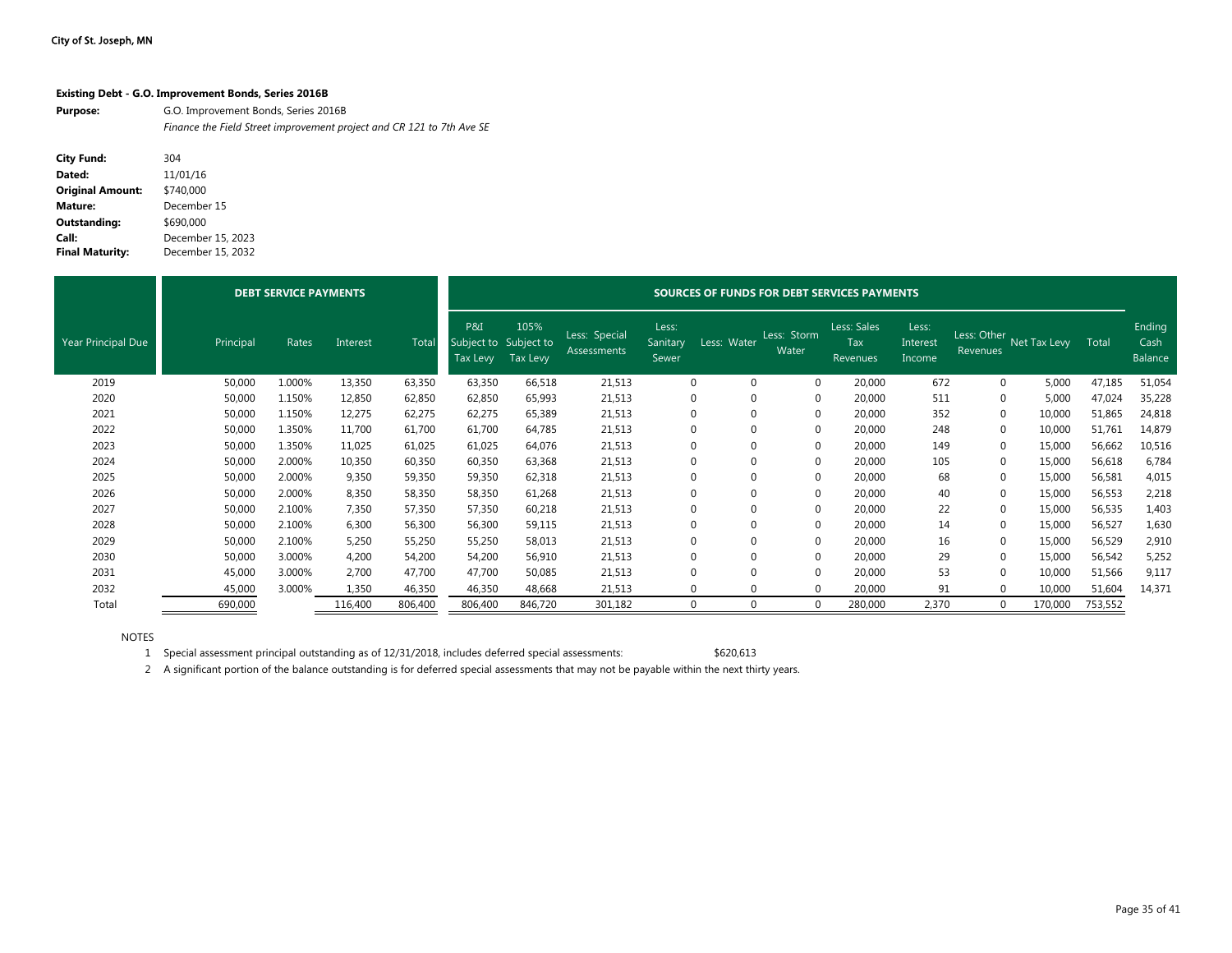| Existing Debt - G.O. Improvement Bonds, Series 2016B |  |  |  |  |  |
|------------------------------------------------------|--|--|--|--|--|
|                                                      |  |  |  |  |  |

**Purpose:** G.O. Improvement Bonds, Series 2016B *Finance the Field Street improvement project and CR 121 to 7th Ave SE*

| <b>City Fund:</b>       | 304               |
|-------------------------|-------------------|
| Dated:                  | 11/01/16          |
| <b>Original Amount:</b> | \$740,000         |
| Mature:                 | December 15       |
| Outstanding:            | \$690,000         |
| Call:                   | December 15, 2023 |
| <b>Final Maturity:</b>  | December 15, 2032 |

|                           |           | <b>DEBT SERVICE PAYMENTS</b> |          |         | SOURCES OF FUNDS FOR DEBT SERVICES PAYMENTS |                         |                              |                            |                            |                      |                                              |                             |                         |              |         |                           |  |
|---------------------------|-----------|------------------------------|----------|---------|---------------------------------------------|-------------------------|------------------------------|----------------------------|----------------------------|----------------------|----------------------------------------------|-----------------------------|-------------------------|--------------|---------|---------------------------|--|
| <b>Year Principal Due</b> | Principal | Rates                        | Interest | Tota    | P&I<br>Subject to Subject to<br>Tax Levy    | 105%<br><b>Tax Levy</b> | Less: Special<br>Assessments | Less:<br>Sanitary<br>Sewer | Less: Water                | Less: Storm<br>Water | Less: Sales<br><b>Tax</b><br><b>Revenues</b> | Less:<br>Interest<br>Income | Less: Other<br>Revenues | Net Tax Levy | Total   | Ending<br>Cash<br>Balance |  |
| 2019                      | 50,000    | 1.000%                       | 13,350   | 63,350  | 63,350                                      | 66,518                  | 21,513                       |                            | $\Omega$<br>$\mathbf 0$    | 0                    | 20,000                                       | 672                         | $\mathbf{0}$            | 5,000        | 47,185  | 51,054                    |  |
| 2020                      | 50,000    | 1.150%                       | 12,850   | 62,850  | 62,850                                      | 65,993                  | 21,513                       |                            | $\mathbf 0$<br>$\Omega$    | 0                    | 20,000                                       | 511                         |                         | 5,000        | 47,024  | 35,228                    |  |
| 2021                      | 50,000    | 1.150%                       | 12,275   | 62,275  | 62,275                                      | 65,389                  | 21,513                       |                            | $\mathbf 0$<br>$\mathbf 0$ | 0                    | 20,000                                       | 352                         | $\mathbf 0$             | 10,000       | 51,865  | 24,818                    |  |
| 2022                      | 50,000    | 1.350%                       | 11,700   | 61,700  | 61,700                                      | 64,785                  | 21,513                       |                            | $\mathbf 0$<br>$\mathbf 0$ | 0                    | 20,000                                       | 248                         | $\mathbf{0}$            | 10,000       | 51,761  | 14,879                    |  |
| 2023                      | 50,000    | 1.350%                       | 11,025   | 61,025  | 61,025                                      | 64,076                  | 21,513                       |                            | $\Omega$<br>$\mathbf 0$    | 0                    | 20,000                                       | 149                         | $\Omega$                | 15,000       | 56,662  | 10,516                    |  |
| 2024                      | 50,000    | 2.000%                       | 10,350   | 60,350  | 60,350                                      | 63,368                  | 21,513                       |                            | $\mathbf 0$<br>$\mathbf 0$ | 0                    | 20,000                                       | 105                         | $\Omega$                | 15,000       | 56,618  | 6,784                     |  |
| 2025                      | 50,000    | 2.000%                       | 9,350    | 59,350  | 59,350                                      | 62,318                  | 21,513                       |                            | $\mathbf 0$<br>$\mathbf 0$ | 0                    | 20,000                                       | 68                          | $\Omega$                | 15,000       | 56,581  | 4,015                     |  |
| 2026                      | 50,000    | 2.000%                       | 8,350    | 58,350  | 58,350                                      | 61,268                  | 21,513                       |                            | $\mathbf 0$<br>$\mathbf 0$ | 0                    | 20,000                                       | 40                          | $\mathbf 0$             | 15,000       | 56,553  | 2,218                     |  |
| 2027                      | 50,000    | 2.100%                       | 7,350    | 57,350  | 57,350                                      | 60,218                  | 21,513                       |                            | $\mathbf 0$<br>$\mathbf 0$ | 0                    | 20,000                                       | 22                          | $\Omega$                | 15,000       | 56,535  | 1,403                     |  |
| 2028                      | 50,000    | 2.100%                       | 6,300    | 56,300  | 56,300                                      | 59,115                  | 21,513                       |                            | $\mathbf 0$<br>$\mathbf 0$ | 0                    | 20,000                                       | 14                          | $\Omega$                | 15,000       | 56,527  | 1,630                     |  |
| 2029                      | 50,000    | 2.100%                       | 5,250    | 55,250  | 55,250                                      | 58,013                  | 21,513                       |                            | $\Omega$<br>$\mathbf 0$    | 0                    | 20,000                                       | 16                          |                         | 15,000       | 56,529  | 2,910                     |  |
| 2030                      | 50,000    | 3.000%                       | 4,200    | 54,200  | 54,200                                      | 56,910                  | 21,513                       |                            | $\mathbf 0$<br>$\Omega$    | 0                    | 20,000                                       | 29                          |                         | 15,000       | 56,542  | 5,252                     |  |
| 2031                      | 45,000    | 3.000%                       | 2,700    | 47,700  | 47,700                                      | 50,085                  | 21,513                       |                            | $\Omega$<br>$\Omega$       | 0                    | 20,000                                       | 53                          | $\Omega$                | 10,000       | 51,566  | 9,117                     |  |
| 2032                      | 45,000    | 3.000%                       | 1,350    | 46,350  | 46,350                                      | 48,668                  | 21,513                       |                            | $\Omega$<br>$\Omega$       | 0                    | 20,000                                       | 91                          | $\Omega$                | 10,000       | 51,604  | 14,371                    |  |
| Total                     | 690,000   |                              | 116,400  | 806,400 | 806,400                                     | 846,720                 | 301,182                      |                            | $\Omega$<br>$\Omega$       | 0                    | 280,000                                      | 2,370                       | $\Omega$                | 170,000      | 753,552 |                           |  |

NOTES

1 Special assessment principal outstanding as of 12/31/2018, includes deferred special assessments: \$620,613

2 A significant portion of the balance outstanding is for deferred special assessments that may not be payable within the next thirty years.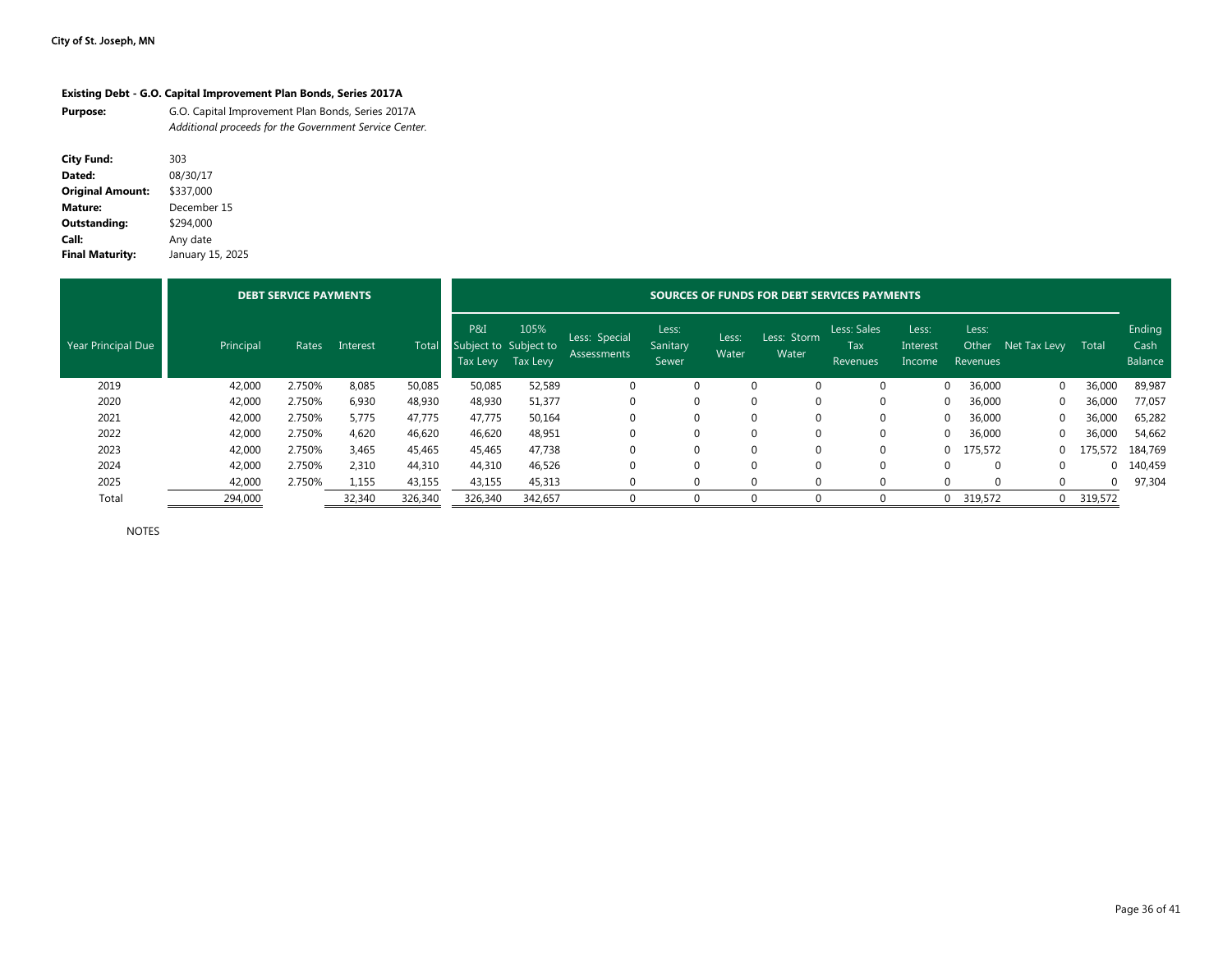#### **Existing Debt - G.O. Capital Improvement Plan Bonds, Series 2017A**

| <b>Purpose:</b> | G.O. Capital Improvement Plan Bonds, Series 2017A      |
|-----------------|--------------------------------------------------------|
|                 | Additional proceeds for the Government Service Center. |

| <b>City Fund:</b>       | 303              |
|-------------------------|------------------|
| Dated:                  | 08/30/17         |
| <b>Original Amount:</b> | \$337,000        |
| Mature:                 | December 15      |
| Outstanding:            | \$294.000        |
| Call:                   | Any date         |
| <b>Final Maturity:</b>  | January 15, 2025 |

|                    |           | <b>DEBT SERVICE PAYMENTS</b> |          |         |                                          |                  |                              | SOURCES OF FUNDS FOR DEBT SERVICES PAYMENTS |                |                      |                                       |                             |                            |              |          |                           |
|--------------------|-----------|------------------------------|----------|---------|------------------------------------------|------------------|------------------------------|---------------------------------------------|----------------|----------------------|---------------------------------------|-----------------------------|----------------------------|--------------|----------|---------------------------|
| Year Principal Due | Principal | Rates                        | Interest | Tota    | P&I<br>Subject to Subject to<br>Tax Levy | 105%<br>Tax Levy | Less: Special<br>Assessments | Less:<br>Sanitary<br>Sewer                  | Less:<br>Water | Less: Storm<br>Water | Less: Sales<br>Tax<br><b>Revenues</b> | Less:<br>Interest<br>Income | Less:<br>Other<br>Revenues | Net Tax Levy | Total    | Ending<br>Cash<br>Balance |
| 2019               | 42,000    | 2.750%                       | 8,085    | 50,085  | 50,085                                   | 52,589           |                              |                                             |                |                      |                                       |                             | 36,000                     | $\Omega$     | 36,000   | 89,987                    |
| 2020               | 42,000    | 2.750%                       | 6,930    | 48,930  | 48,930                                   | 51,377           |                              |                                             | $\Omega$       |                      | 0                                     |                             | 36,000                     | 0            | 36,000   | 77,057                    |
| 2021               | 42,000    | 2.750%                       | 5,775    | 47,775  | 47,775                                   | 50,164           |                              |                                             |                |                      | 0                                     | $\Omega$                    | 36,000                     |              | 36,000   | 65,282                    |
| 2022               | 42,000    | 2.750%                       | 4,620    | 46,620  | 46,620                                   | 48,951           |                              |                                             | $\Omega$       |                      |                                       | $\Omega$                    | 36,000                     |              | 36,000   | 54,662                    |
| 2023               | 42,000    | 2.750%                       | 3,465    | 45,465  | 45,465                                   | 47,738           |                              |                                             | $\Omega$       |                      | 0                                     |                             | 0 175,572                  | $\Omega$     | 175,572  | 184,769                   |
| 2024               | 42,000    | 2.750%                       | 2,310    | 44,310  | 44,310                                   | 46,526           |                              |                                             | $\Omega$       |                      |                                       |                             |                            |              | $\Omega$ | 140,459                   |
| 2025               | 42,000    | 2.750%                       | 1,155    | 43,155  | 43,155                                   | 45,313           |                              |                                             |                | $\Omega$             | 0                                     | $\Omega$                    | $\Omega$                   | $\Omega$     | $\Omega$ | 97,304                    |
| Total              | 294,000   |                              | 32,340   | 326,340 | 326,340                                  | 342,657          |                              |                                             |                |                      |                                       |                             | 319,572<br>$\Omega$        | $\mathbf 0$  | 319,572  |                           |

NOTES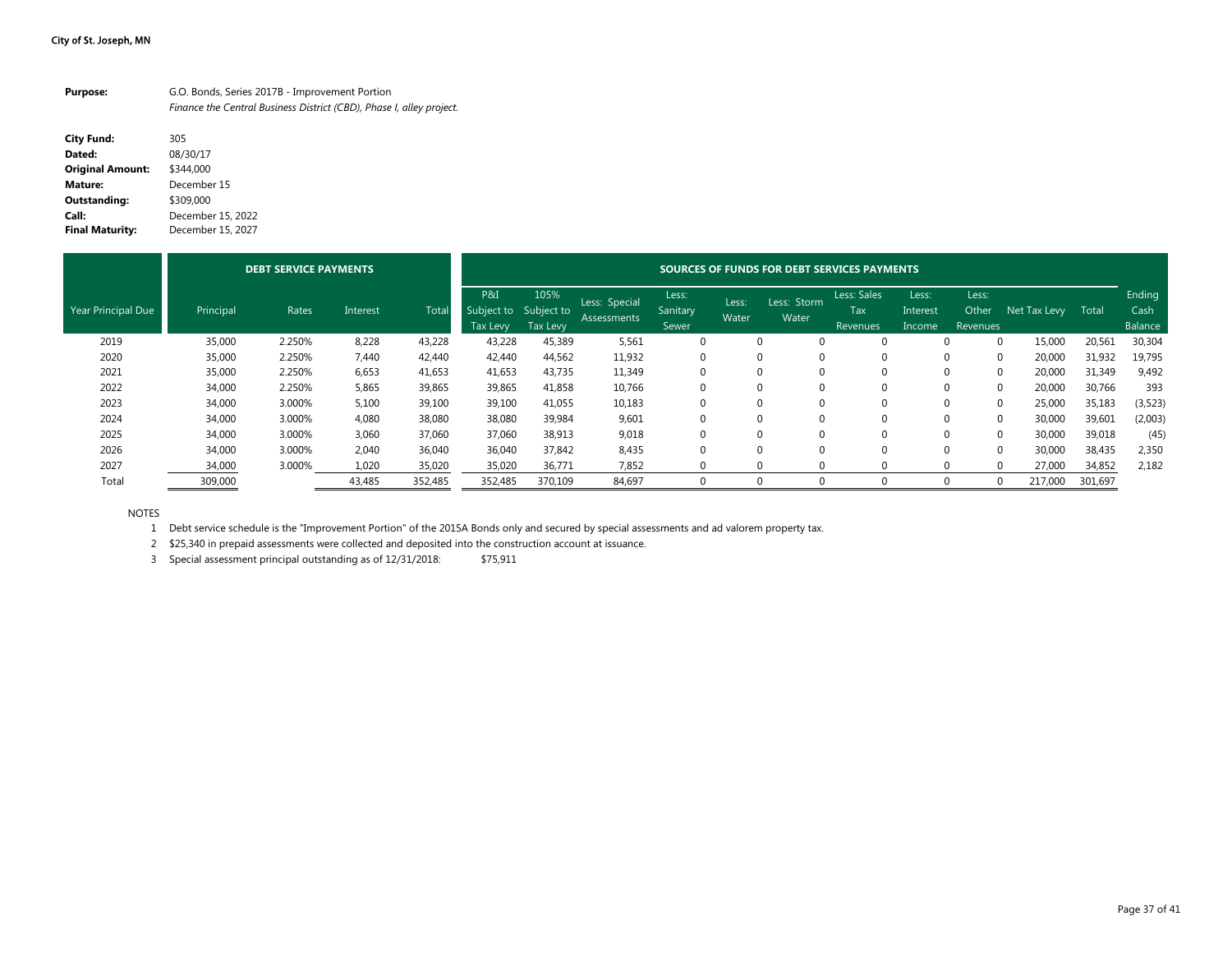| <b>Purpose:</b> | G.O. Bonds, Series 2017B - Improvement Portion                       |
|-----------------|----------------------------------------------------------------------|
|                 | Finance the Central Business District (CBD), Phase I, alley project. |

| <b>City Fund:</b>       | 305               |
|-------------------------|-------------------|
| Dated:                  | 08/30/17          |
| <b>Original Amount:</b> | \$344.000         |
| Mature:                 | December 15       |
| Outstanding:            | \$309.000         |
| Call:                   | December 15, 2022 |
| <b>Final Maturity:</b>  | December 15, 2027 |

|                    |           | <b>DEBT SERVICE PAYMENTS</b> |          |         | SOURCES OF FUNDS FOR DEBT SERVICES PAYMENTS |                  |                              |                            |                |                      |                                       |                             |                            |              |         |                           |
|--------------------|-----------|------------------------------|----------|---------|---------------------------------------------|------------------|------------------------------|----------------------------|----------------|----------------------|---------------------------------------|-----------------------------|----------------------------|--------------|---------|---------------------------|
| Year Principal Due | Principal | Rates                        | Interest | Total   | P&I<br>Subject to Subject to<br>Tax Levy    | 105%<br>Tax Levy | Less: Special<br>Assessments | Less:<br>Sanitary<br>Sewer | Less:<br>Water | Less: Storm<br>Water | Less: Sales<br>Tax<br><b>Revenues</b> | Less:<br>Interest<br>Income | Less:<br>Other<br>Revenues | Net Tax Levy | Total   | Ending<br>Cash<br>Balance |
| 2019               | 35,000    | 2.250%                       | 8,228    | 43,228  | 43,228                                      | 45,389           | 5,561                        |                            |                | 0                    | $\Omega$                              |                             | $\Omega$                   | 15,000       | 20,561  | 30,304                    |
| 2020               | 35,000    | 2.250%                       | 7,440    | 42,440  | 42,440                                      | 44,562           | 11,932                       |                            |                |                      | $\Omega$                              | 0                           |                            | 20,000       | 31,932  | 19,795                    |
| 2021               | 35,000    | 2.250%                       | 6,653    | 41,653  | 41,653                                      | 43,735           | 11,349                       |                            |                | $\Omega$             | $\Omega$                              | $\Omega$                    | $\Omega$                   | 20,000       | 31,349  | 9,492                     |
| 2022               | 34,000    | 2.250%                       | 5,865    | 39,865  | 39,865                                      | 41,858           | 10,766                       |                            |                |                      | $\Omega$                              | $\Omega$                    |                            | 20,000       | 30,766  | 393                       |
| 2023               | 34,000    | 3.000%                       | 5,100    | 39,100  | 39,100                                      | 41,055           | 10,183                       |                            |                | $\Omega$             | $\Omega$                              | $\Omega$                    | $\Omega$                   | 25,000       | 35,183  | (3, 523)                  |
| 2024               | 34,000    | 3.000%                       | 4,080    | 38,080  | 38,080                                      | 39,984           | 9,601                        |                            |                | $\Omega$             | $\Omega$                              | 0                           | $\Omega$                   | 30,000       | 39,601  | (2,003)                   |
| 2025               | 34,000    | 3.000%                       | 3,060    | 37,060  | 37,060                                      | 38,913           | 9,018                        |                            |                | $\Omega$             | $\Omega$                              | $\Omega$                    | $\Omega$                   | 30,000       | 39,018  | (45)                      |
| 2026               | 34,000    | 3.000%                       | 2,040    | 36.040  | 36.040                                      | 37.842           | 8,435                        |                            | $\Omega$       | $\Omega$             | $\Omega$                              | $\Omega$                    | $\Omega$                   | 30,000       | 38,435  | 2,350                     |
| 2027               | 34,000    | 3.000%                       | 1,020    | 35,020  | 35,020                                      | 36,771           | 7,852                        |                            |                | $\Omega$             | $\Omega$                              | $\Omega$                    | $\Omega$                   | 27,000       | 34,852  | 2,182                     |
| Total              | 309,000   |                              | 43,485   | 352,485 | 352,485                                     | 370,109          | 84,697                       |                            |                |                      | $\Omega$                              |                             |                            | 217,000      | 301,697 |                           |

NOTES

1 Debt service schedule is the "Improvement Portion" of the 2015A Bonds only and secured by special assessments and ad valorem property tax.

2 \$25,340 in prepaid assessments were collected and deposited into the construction account at issuance.

3 Special assessment principal outstanding as of 12/31/2018: \$75,911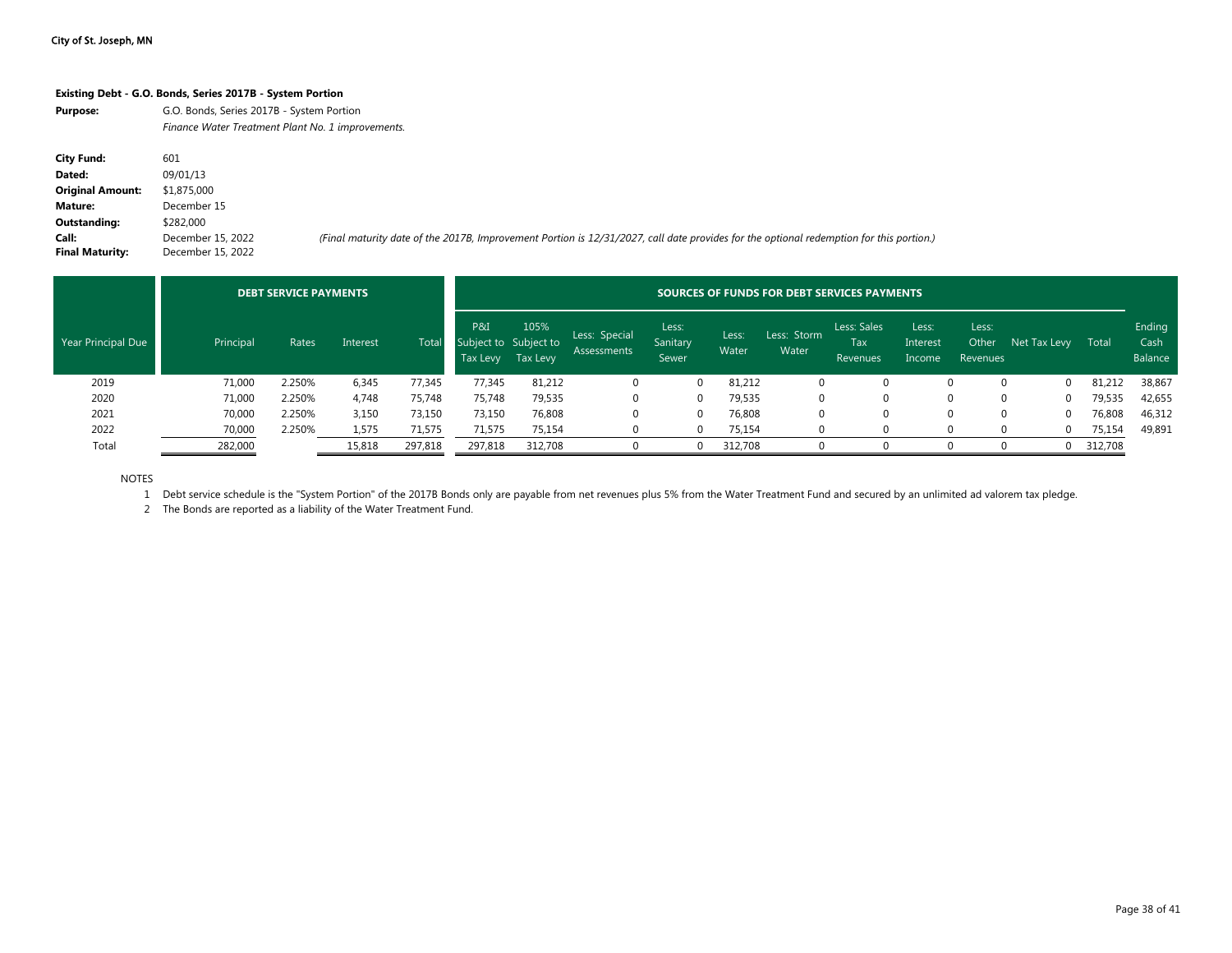#### **Existing Debt - G.O. Bonds, Series 2017B - System Portion**

| Purpose: | G.O. Bonds, Series 2017B - System Portion         |
|----------|---------------------------------------------------|
|          | Finance Water Treatment Plant No. 1 improvements. |

| <b>City Fund:</b>       | 601               |                                                                                                                                         |
|-------------------------|-------------------|-----------------------------------------------------------------------------------------------------------------------------------------|
| Dated:                  | 09/01/13          |                                                                                                                                         |
| <b>Original Amount:</b> | \$1,875,000       |                                                                                                                                         |
| Mature:                 | December 15       |                                                                                                                                         |
| Outstanding:            | \$282,000         |                                                                                                                                         |
| Call:                   | December 15, 2022 | (Final maturity date of the 2017B, Improvement Portion is 12/31/2027, call date provides for the optional redemption for this portion.) |
| <b>Final Maturity:</b>  | December 15, 2022 |                                                                                                                                         |

|                    |           | <b>DEBT SERVICE PAYMENTS</b> |          |         |                                          | SOURCES OF FUNDS FOR DEBT SERVICES PAYMENTS |                                     |                            |                |                      |                                       |                             |                            |              |         |                           |  |  |
|--------------------|-----------|------------------------------|----------|---------|------------------------------------------|---------------------------------------------|-------------------------------------|----------------------------|----------------|----------------------|---------------------------------------|-----------------------------|----------------------------|--------------|---------|---------------------------|--|--|
| Year Principal Due | Principal | Rates                        | Interest | Total   | P&I<br>Subject to Subject to<br>Tax Levy | 105%<br>Tax Levy                            | Less: Special<br><b>Assessments</b> | Less:<br>Sanitary<br>Sewer | Less:<br>Water | Less: Storm<br>Water | Less: Sales<br><b>Tax</b><br>Revenues | Less:<br>Interest<br>Income | Less:<br>Other<br>Revenues | Net Tax Levy | Total   | Ending<br>Cash<br>Balance |  |  |
| 2019               | 71,000    | 2.250%                       | 6,345    | 77,345  | 77,345                                   | 81,212                                      |                                     | $\Omega$                   | 81,212         |                      |                                       |                             | $\Omega$<br>O.             |              | 81,212  | 38,867                    |  |  |
| 2020               | 71,000    | 2.250%                       | 4,748    | 75,748  | 75,748                                   | 79,535                                      |                                     |                            | 79,535         | 0                    |                                       |                             |                            |              | 79,535  | 42,655                    |  |  |
| 2021               | 70,000    | 2.250%                       | 3,150    | 73,150  | 73,150                                   | 76,808                                      | 0                                   | $\Omega$                   | 76,808         | 0                    |                                       |                             | 0<br>0                     |              | 76,808  | 46,312                    |  |  |
| 2022               | 70,000    | 2.250%                       | 1,575    | 71,575  | 71,575                                   | 75,154                                      |                                     | $\Omega$                   | 75,154         | 0                    |                                       |                             |                            |              | 75,154  | 49,891                    |  |  |
| Total              | 282,000   |                              | 15,818   | 297,818 | 297,818                                  | 312,708                                     |                                     | $\Omega$                   | 312,708        |                      |                                       |                             |                            |              | 312,708 |                           |  |  |

NOTES

1 Debt service schedule is the "System Portion" of the 2017B Bonds only are payable from net revenues plus 5% from the Water Treatment Fund and secured by an unlimited ad valorem tax pledge.

2 The Bonds are reported as a liability of the Water Treatment Fund.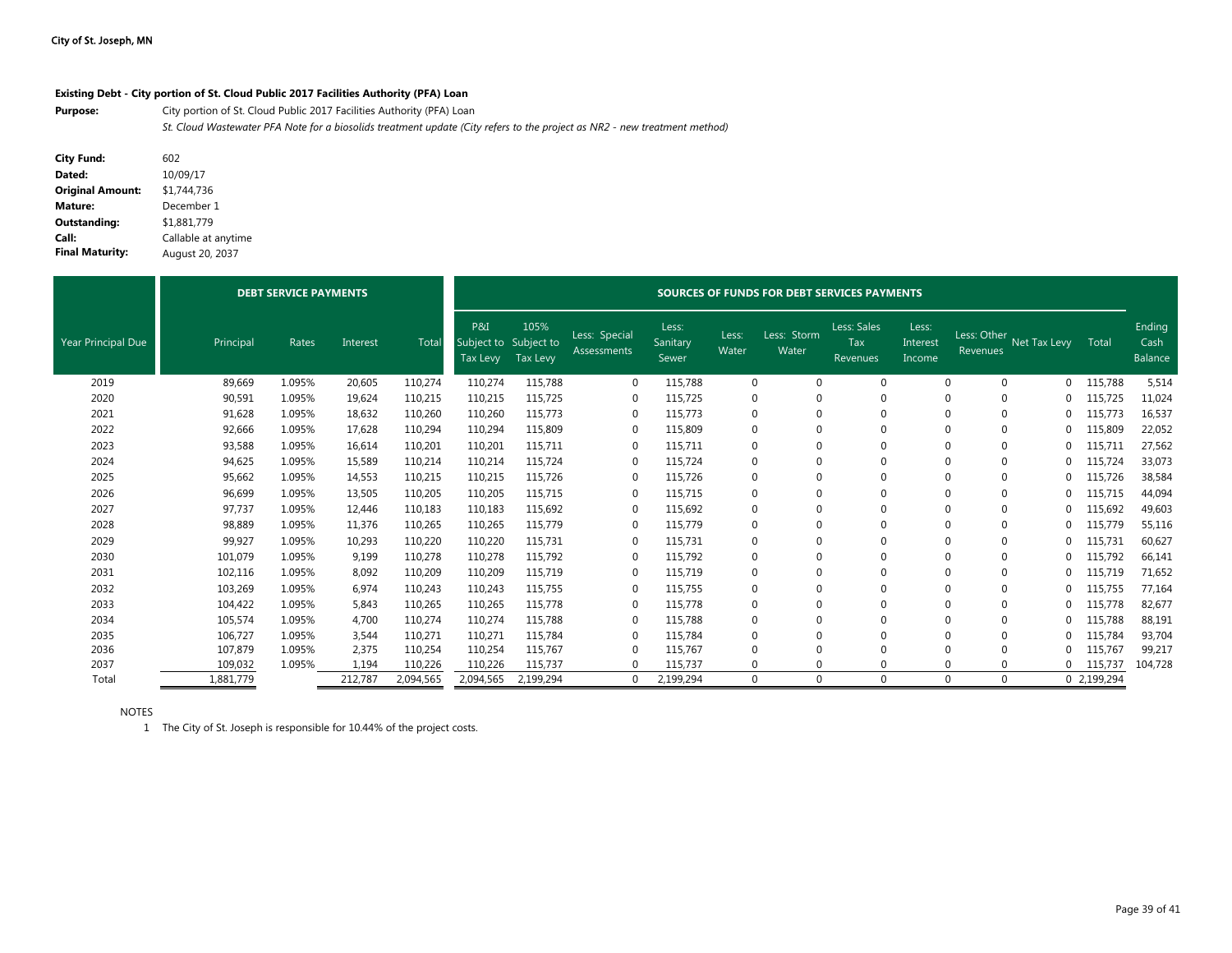#### **Existing Debt - City portion of St. Cloud Public 2017 Facilities Authority (PFA) Loan**

**Purpose:** City portion of St. Cloud Public 2017 Facilities Authority (PFA) Loan *St. Cloud Wastewater PFA Note for a biosolids treatment update (City refers to the project as NR2 - new treatment method)*

| <b>City Fund:</b>       | 602                 |
|-------------------------|---------------------|
| Dated:                  | 10/09/17            |
| <b>Original Amount:</b> | \$1,744,736         |
| Mature:                 | December 1          |
| Outstanding:            | \$1.881.779         |
| Call:                   | Callable at anytime |
| <b>Final Maturity:</b>  | August 20, 2037     |

|                           |           | <b>DEBT SERVICE PAYMENTS</b> |          |           |                                          |                  | SOURCES OF FUNDS FOR DEBT SERVICES PAYMENTS |                            |                |                      |                                |                             |                         |              |             |                                  |  |  |  |  |
|---------------------------|-----------|------------------------------|----------|-----------|------------------------------------------|------------------|---------------------------------------------|----------------------------|----------------|----------------------|--------------------------------|-----------------------------|-------------------------|--------------|-------------|----------------------------------|--|--|--|--|
| <b>Year Principal Due</b> | Principal | Rates                        | Interest | Total     | P&I<br>Subject to Subject to<br>Tax Levy | 105%<br>Tax Levy | Less: Special<br>Assessments                | Less:<br>Sanitary<br>Sewer | Less:<br>Water | Less: Storm<br>Water | Less: Sales<br>Tax<br>Revenues | Less:<br>Interest<br>Income | Less: Other<br>Revenues | Net Tax Levy | Total       | Ending<br>Cash<br><b>Balance</b> |  |  |  |  |
| 2019                      | 89,669    | 1.095%                       | 20,605   | 110,274   | 110,274                                  | 115,788          | $\mathbf 0$                                 | 115,788                    | $\mathbf 0$    |                      | $\Omega$                       | $\Omega$                    | 0                       | 0            | 115,788     | 5,514                            |  |  |  |  |
| 2020                      | 90,591    | 1.095%                       | 19,624   | 110,215   | 110,215                                  | 115,725          | $\Omega$                                    | 115,725                    | $\mathbf 0$    |                      | $\Omega$                       | $\Omega$                    | $\Omega$                | 0            | 115,725     | 11,024                           |  |  |  |  |
| 2021                      | 91,628    | 1.095%                       | 18,632   | 110,260   | 110,260                                  | 115,773          | $\Omega$                                    | 115,773                    | $\mathbf{0}$   |                      | $\Omega$                       |                             | 0                       |              | 115,773     | 16,537                           |  |  |  |  |
| 2022                      | 92,666    | 1.095%                       | 17,628   | 110,294   | 110,294                                  | 115,809          | $\Omega$                                    | 115,809                    | $\mathbf{0}$   |                      | $\Omega$                       | $\Omega$                    | $\Omega$                |              | 115,809     | 22,052                           |  |  |  |  |
| 2023                      | 93,588    | 1.095%                       | 16,614   | 110,201   | 110,201                                  | 115,711          | 0                                           | 115,711                    | $\mathbf 0$    |                      | $\Omega$                       | $\Omega$                    | $\mathbf 0$             | 0            | 115,711     | 27,562                           |  |  |  |  |
| 2024                      | 94,625    | 1.095%                       | 15,589   | 110,214   | 110,214                                  | 115,724          | $\Omega$                                    | 115,724                    | $\mathbf 0$    |                      | $\Omega$                       | $\Omega$                    | $\Omega$                |              | 115,724     | 33,073                           |  |  |  |  |
| 2025                      | 95,662    | 1.095%                       | 14,553   | 110,215   | 110,215                                  | 115,726          | $\Omega$                                    | 115,726                    | $\mathbf 0$    |                      | $\Omega$                       |                             |                         |              | 115,726     | 38,584                           |  |  |  |  |
| 2026                      | 96,699    | 1.095%                       | 13,505   | 110,205   | 110,205                                  | 115,715          | $\Omega$                                    | 115,715                    | $\mathbf 0$    |                      | $\Omega$                       | $\Omega$                    | $\Omega$                |              | 115,715     | 44,094                           |  |  |  |  |
| 2027                      | 97,737    | 1.095%                       | 12,446   | 110,183   | 110,183                                  | 115,692          | $\Omega$                                    | 115,692                    | $\mathbf 0$    |                      | $\Omega$                       | $\Omega$                    | $\Omega$                | 0            | 115,692     | 49,603                           |  |  |  |  |
| 2028                      | 98,889    | 1.095%                       | 11,376   | 110,265   | 110,265                                  | 115,779          | $\Omega$                                    | 115,779                    | $\mathbf 0$    |                      | $\Omega$                       | $\Omega$                    | $\Omega$                |              | 115,779     | 55,116                           |  |  |  |  |
| 2029                      | 99,927    | 1.095%                       | 10,293   | 110,220   | 110,220                                  | 115,731          | $\Omega$                                    | 115,731                    | $\mathbf{0}$   |                      | $\Omega$                       | $\Omega$                    | $\mathbf 0$             |              | 115,731     | 60,627                           |  |  |  |  |
| 2030                      | 101,079   | 1.095%                       | 9,199    | 110,278   | 110,278                                  | 115,792          | 0                                           | 115,792                    | $\mathbf 0$    |                      | $\Omega$                       | $\Omega$                    | 0                       |              | 115,792     | 66,141                           |  |  |  |  |
| 2031                      | 102,116   | 1.095%                       | 8,092    | 110,209   | 110,209                                  | 115,719          | $\Omega$                                    | 115.719                    | $\mathbf 0$    |                      | $\Omega$                       | $\Omega$                    | $\Omega$                | C            | 115,719     | 71,652                           |  |  |  |  |
| 2032                      | 103,269   | 1.095%                       | 6,974    | 110,243   | 110,243                                  | 115,755          | $\Omega$                                    | 115,755                    | $\mathbf 0$    |                      | $\Omega$                       |                             |                         | 0            | 115,755     | 77,164                           |  |  |  |  |
| 2033                      | 104,422   | 1.095%                       | 5,843    | 110,265   | 110,265                                  | 115,778          | $\Omega$                                    | 115,778                    | $\mathbf 0$    |                      | $\Omega$                       |                             |                         |              | 115,778     | 82,677                           |  |  |  |  |
| 2034                      | 105,574   | 1.095%                       | 4,700    | 110,274   | 110,274                                  | 115,788          | $\Omega$                                    | 115,788                    | $\mathbf 0$    |                      | $\Omega$                       | $\cap$                      |                         |              | 115,788     | 88,191                           |  |  |  |  |
| 2035                      | 106,727   | 1.095%                       | 3,544    | 110,271   | 110,271                                  | 115,784          | $\Omega$                                    | 115,784                    | $\Omega$       |                      | $\Omega$                       |                             |                         |              | 115,784     | 93,704                           |  |  |  |  |
| 2036                      | 107,879   | 1.095%                       | 2,375    | 110,254   | 110,254                                  | 115,767          | -0                                          | 115,767                    | 0              |                      | $\Omega$                       |                             |                         |              | 115,767     | 99,217                           |  |  |  |  |
| 2037                      | 109,032   | 1.095%                       | 1,194    | 110,226   | 110,226                                  | 115,737          | $\Omega$                                    | 115,737                    | $\Omega$       |                      | $\Omega$                       |                             |                         | 0            | 115,737     | 104,728                          |  |  |  |  |
| Total                     | 1,881,779 |                              | 212,787  | 2,094,565 | 2,094,565                                | 2,199,294        | $\Omega$                                    | 2,199,294                  | $\Omega$       |                      | $\Omega$                       | $\Omega$                    | $\Omega$                |              | 0 2,199,294 |                                  |  |  |  |  |

NOTES

1 The City of St. Joseph is responsible for 10.44% of the project costs.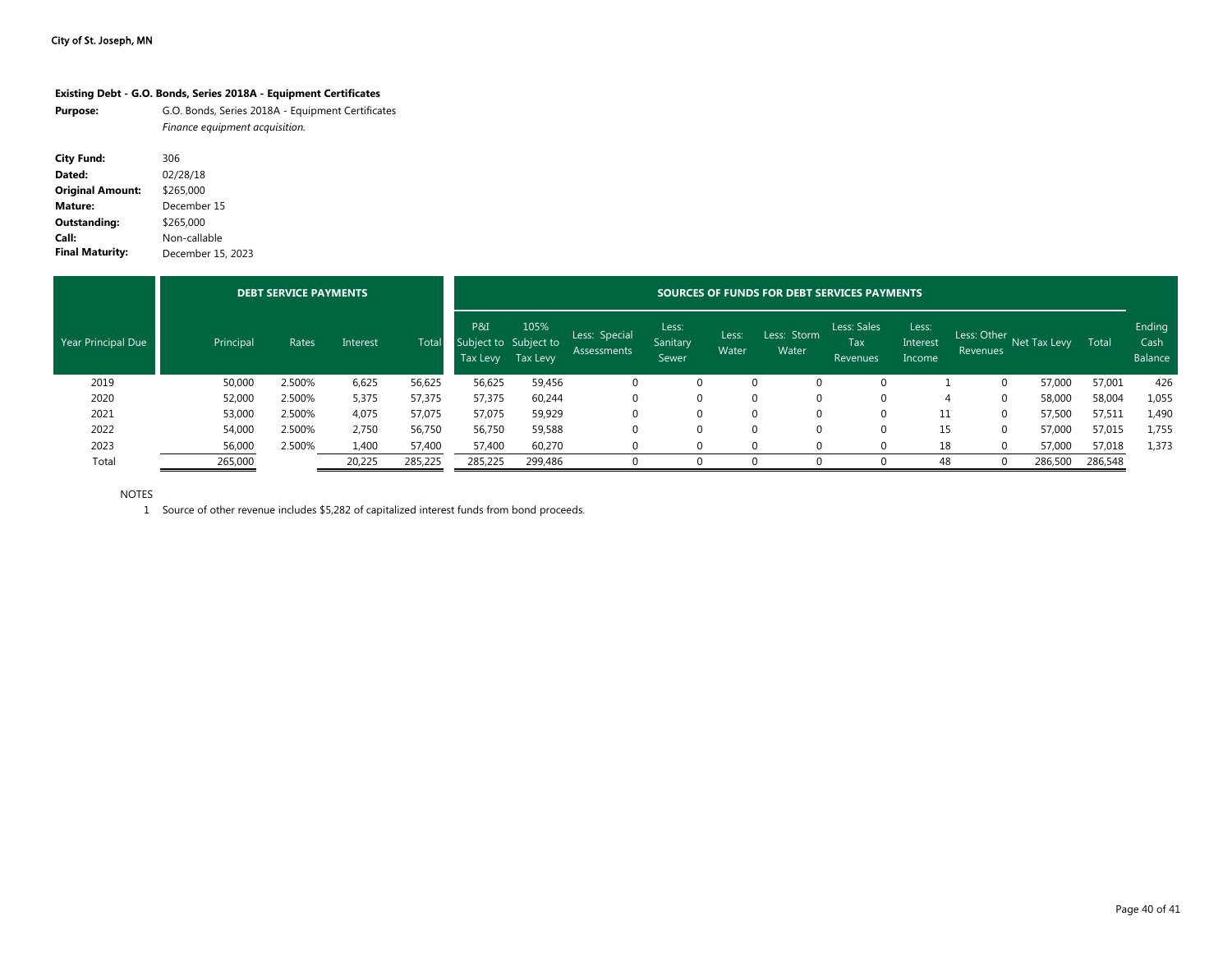|                         | Existing Debt - G.O. Bonds, Series 2018A - Equipment Certificates                   |
|-------------------------|-------------------------------------------------------------------------------------|
| <b>Purpose:</b>         | G.O. Bonds, Series 2018A - Equipment Certificates<br>Finance equipment acquisition. |
| <b>City Fund:</b>       | 306                                                                                 |
| Dated:                  | 02/28/18                                                                            |
| <b>Original Amount:</b> | \$265,000                                                                           |
| Mature:                 | December 15                                                                         |
| Outstanding:            | \$265,000                                                                           |
| Call:                   | Non-callable                                                                        |

**Final Maturity:** December 15, 2023

|                    |           | <b>DEBT SERVICE PAYMENTS</b> |          |         |                                          | SOURCES OF FUNDS FOR DEBT SERVICES PAYMENTS |                              |                            |                |                      |                                |                             |                         |              |         |                           |  |  |
|--------------------|-----------|------------------------------|----------|---------|------------------------------------------|---------------------------------------------|------------------------------|----------------------------|----------------|----------------------|--------------------------------|-----------------------------|-------------------------|--------------|---------|---------------------------|--|--|
| Year Principal Due | Principal | Rates                        | Interest | Tota    | P&I<br>Subject to Subject to<br>Tax Levy | 105%<br>Tax Levy                            | Less: Special<br>Assessments | Less:<br>Sanitary<br>Sewer | Less:<br>Water | Less: Storm<br>Water | Less: Sales<br>Tax<br>Revenues | Less:<br>Interest<br>Income | Less: Other<br>Revenues | Net Tax Levy | Total   | Ending<br>Cash<br>Balance |  |  |
| 2019               | 50,000    | 2.500%                       | 6,625    | 56,625  | 56,625                                   | 59,456                                      | 0                            |                            |                | $\Omega$             |                                |                             |                         | 57.000       | 57,001  | 426                       |  |  |
| 2020               | 52,000    | 2.500%                       | 5,375    | 57,375  | 57,375                                   | 60,244                                      |                              |                            |                | $\Omega$             |                                | Д                           |                         | 58,000       | 58,004  | 1,055                     |  |  |
| 2021               | 53,000    | 2.500%                       | 4,075    | 57,075  | 57,075                                   | 59,929                                      |                              |                            |                | $\Omega$             | 0                              | 11                          |                         | 57,500       | 57,511  | 1,490                     |  |  |
| 2022               | 54,000    | 2.500%                       | 2,750    | 56,750  | 56,750                                   | 59,588                                      | 0                            |                            |                | $\Omega$             | 0                              | 15                          |                         | 57,000       | 57,015  | 1,755                     |  |  |
| 2023               | 56,000    | 2.500%                       | 1,400    | 57,400  | 57,400                                   | 60,270                                      |                              |                            |                |                      |                                | 18                          |                         | 57,000       | 57,018  | 1,373                     |  |  |
| Total              | 265,000   |                              | 20,225   | 285,225 | 285,225                                  | 299,486                                     |                              |                            |                |                      |                                | 48                          |                         | 286,500      | 286,548 |                           |  |  |

NOTES

1 Source of other revenue includes \$5,282 of capitalized interest funds from bond proceeds.